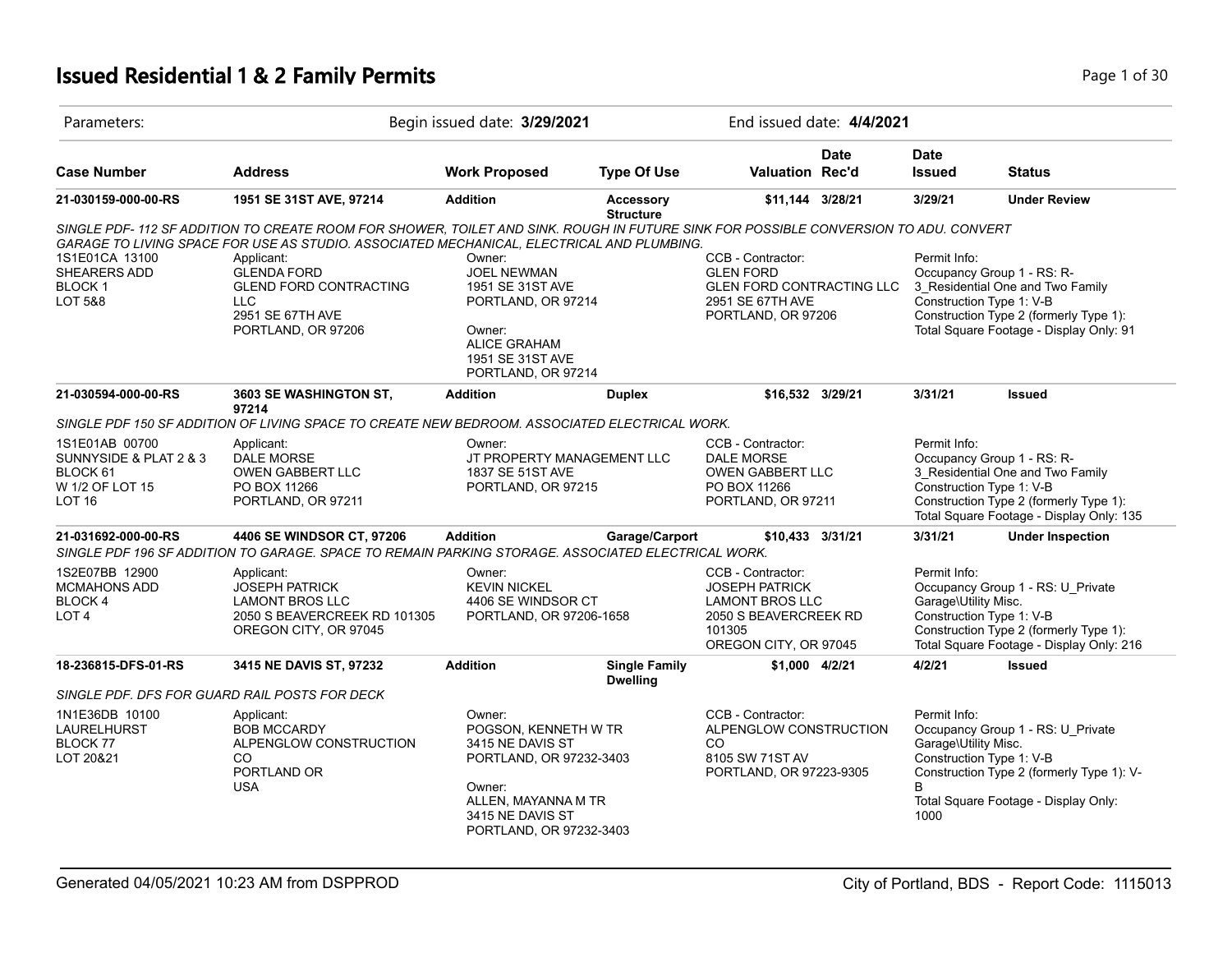# **Issued Residential 1 & 2 Family Permits Page 1 of 30 Page 1 of 30**

| Parameters:                                                                                  |                                                                                                                                                                                                                                                                                                                                                               | Begin issued date: 3/29/2021                                                                                                                                  |                                      | End issued date: 4/4/2021                                                                                                        |             |                                                   |                                                                                                                                                                                  |
|----------------------------------------------------------------------------------------------|---------------------------------------------------------------------------------------------------------------------------------------------------------------------------------------------------------------------------------------------------------------------------------------------------------------------------------------------------------------|---------------------------------------------------------------------------------------------------------------------------------------------------------------|--------------------------------------|----------------------------------------------------------------------------------------------------------------------------------|-------------|---------------------------------------------------|----------------------------------------------------------------------------------------------------------------------------------------------------------------------------------|
| <b>Case Number</b>                                                                           | <b>Address</b>                                                                                                                                                                                                                                                                                                                                                | <b>Work Proposed</b>                                                                                                                                          | <b>Type Of Use</b>                   | <b>Valuation Rec'd</b>                                                                                                           | <b>Date</b> | <b>Date</b><br><b>Issued</b>                      | <b>Status</b>                                                                                                                                                                    |
| 21-030159-000-00-RS                                                                          | 1951 SE 31ST AVE, 97214                                                                                                                                                                                                                                                                                                                                       | <b>Addition</b>                                                                                                                                               | <b>Accessory</b><br><b>Structure</b> | \$11,144 3/28/21                                                                                                                 |             | 3/29/21                                           | <b>Under Review</b>                                                                                                                                                              |
| 1S1E01CA 13100<br>SHEARERS ADD<br><b>BLOCK1</b><br><b>LOT 5&amp;8</b>                        | SINGLE PDF-112 SF ADDITION TO CREATE ROOM FOR SHOWER, TOILET AND SINK. ROUGH IN FUTURE SINK FOR POSSIBLE CONVERSION TO ADU. CONVERT<br>GARAGE TO LIVING SPACE FOR USE AS STUDIO. ASSOCIATED MECHANICAL, ELECTRICAL AND PLUMBING.<br>Applicant:<br><b>GLENDA FORD</b><br><b>GLEND FORD CONTRACTING</b><br><b>LLC</b><br>2951 SE 67TH AVE<br>PORTLAND, OR 97206 | Owner:<br><b>JOEL NEWMAN</b><br>1951 SE 31ST AVE<br>PORTLAND, OR 97214<br>Owner:<br><b>ALICE GRAHAM</b><br>1951 SE 31ST AVE                                   |                                      | CCB - Contractor:<br><b>GLEN FORD</b><br><b>GLEN FORD CONTRACTING LLC</b><br>2951 SE 67TH AVE<br>PORTLAND, OR 97206              |             | Permit Info:                                      | Occupancy Group 1 - RS: R-<br>3 Residential One and Two Family<br>Construction Type 1: V-B<br>Construction Type 2 (formerly Type 1):<br>Total Square Footage - Display Only: 91  |
| 21-030594-000-00-RS                                                                          | 3603 SE WASHINGTON ST,                                                                                                                                                                                                                                                                                                                                        | PORTLAND, OR 97214<br><b>Addition</b>                                                                                                                         | <b>Duplex</b>                        | \$16,532 3/29/21                                                                                                                 |             | 3/31/21                                           | <b>Issued</b>                                                                                                                                                                    |
|                                                                                              | 97214<br>SINGLE PDF 150 SF ADDITION OF LIVING SPACE TO CREATE NEW BEDROOM. ASSOCIATED ELECTRICAL WORK.                                                                                                                                                                                                                                                        |                                                                                                                                                               |                                      |                                                                                                                                  |             |                                                   |                                                                                                                                                                                  |
| 1S1E01AB 00700<br>SUNNYSIDE & PLAT 2 & 3<br>BLOCK 61<br>W 1/2 OF LOT 15<br>LOT <sub>16</sub> | Applicant:<br><b>DALE MORSE</b><br><b>OWEN GABBERT LLC</b><br>PO BOX 11266<br>PORTLAND, OR 97211                                                                                                                                                                                                                                                              | Owner:<br>JT PROPERTY MANAGEMENT LLC<br>1837 SE 51ST AVE<br>PORTLAND, OR 97215                                                                                |                                      | CCB - Contractor:<br><b>DALE MORSE</b><br><b>OWEN GABBERT LLC</b><br>PO BOX 11266<br>PORTLAND, OR 97211                          |             | Permit Info:                                      | Occupancy Group 1 - RS: R-<br>3_Residential One and Two Family<br>Construction Type 1: V-B<br>Construction Type 2 (formerly Type 1):<br>Total Square Footage - Display Only: 135 |
| 21-031692-000-00-RS                                                                          | 4406 SE WINDSOR CT, 97206<br>SINGLE PDF 196 SF ADDITION TO GARAGE. SPACE TO REMAIN PARKING STORAGE. ASSOCIATED ELECTRICAL WORK.                                                                                                                                                                                                                               | <b>Addition</b>                                                                                                                                               | Garage/Carport                       | \$10,433 3/31/21                                                                                                                 |             | 3/31/21                                           | <b>Under Inspection</b>                                                                                                                                                          |
| 1S2E07BB 12900<br><b>MCMAHONS ADD</b><br>BLOCK 4<br>LOT <sub>4</sub>                         | Applicant:<br><b>JOSEPH PATRICK</b><br><b>LAMONT BROS LLC</b><br>2050 S BEAVERCREEK RD 101305<br>OREGON CITY, OR 97045                                                                                                                                                                                                                                        | Owner:<br><b>KEVIN NICKEL</b><br>4406 SE WINDSOR CT<br>PORTLAND, OR 97206-1658                                                                                |                                      | CCB - Contractor:<br><b>JOSEPH PATRICK</b><br><b>LAMONT BROS LLC</b><br>2050 S BEAVERCREEK RD<br>101305<br>OREGON CITY, OR 97045 |             | Permit Info:<br>Garage\Utility Misc.              | Occupancy Group 1 - RS: U_Private<br>Construction Type 1: V-B<br>Construction Type 2 (formerly Type 1):<br>Total Square Footage - Display Only: 216                              |
| 18-236815-DFS-01-RS                                                                          | 3415 NE DAVIS ST, 97232                                                                                                                                                                                                                                                                                                                                       | <b>Addition</b>                                                                                                                                               | <b>Single Family</b>                 | \$1,000 4/2/21                                                                                                                   |             | 4/2/21                                            | <b>Issued</b>                                                                                                                                                                    |
|                                                                                              | SINGLE PDF. DFS FOR GUARD RAIL POSTS FOR DECK                                                                                                                                                                                                                                                                                                                 |                                                                                                                                                               | <b>Dwelling</b>                      |                                                                                                                                  |             |                                                   |                                                                                                                                                                                  |
| 1N1E36DB 10100<br><b>LAURELHURST</b><br>BLOCK 77<br>LOT 20&21                                | Applicant:<br><b>BOB MCCARDY</b><br>ALPENGLOW CONSTRUCTION<br>CO.<br>PORTLAND OR<br><b>USA</b>                                                                                                                                                                                                                                                                | Owner:<br>POGSON, KENNETH W TR<br>3415 NE DAVIS ST<br>PORTLAND, OR 97232-3403<br>Owner:<br>ALLEN, MAYANNA M TR<br>3415 NE DAVIS ST<br>PORTLAND, OR 97232-3403 |                                      | CCB - Contractor:<br>ALPENGLOW CONSTRUCTION<br>CO<br>8105 SW 71ST AV<br>PORTLAND, OR 97223-9305                                  |             | Permit Info:<br>Garage\Utility Misc.<br>B<br>1000 | Occupancy Group 1 - RS: U Private<br>Construction Type 1: V-B<br>Construction Type 2 (formerly Type 1): V-<br>Total Square Footage - Display Only:                               |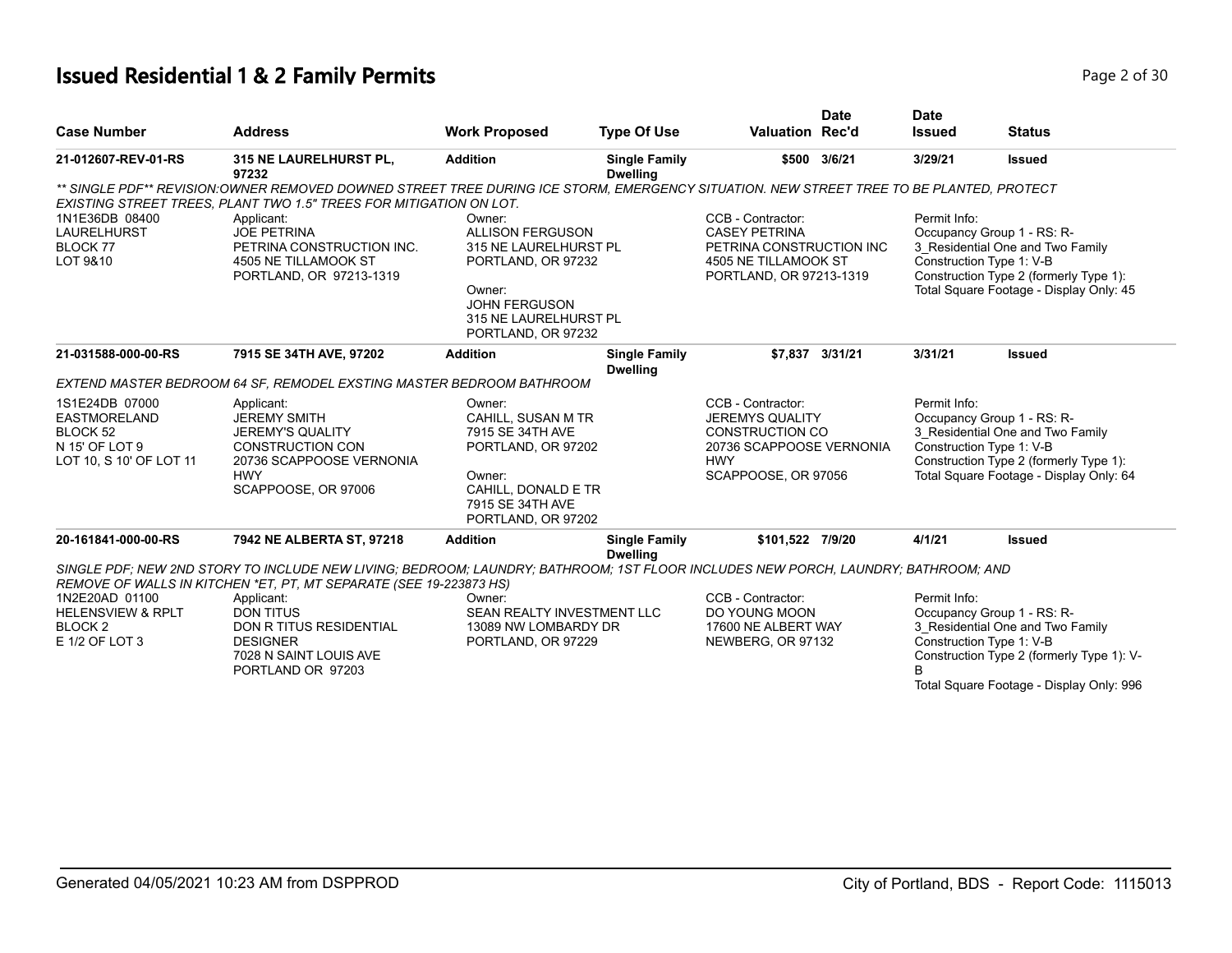# **Issued Residential 1 & 2 Family Permits Page 1 and 2011 12 July 120 2008 2 of 30**

|                                                                                                    |                                                                                                                                                                                                               |                                                                                                                                                   |                                         |                                                                                                                                        | <b>Date</b>     | <b>Date</b>   |                                                                                                                                                                                     |
|----------------------------------------------------------------------------------------------------|---------------------------------------------------------------------------------------------------------------------------------------------------------------------------------------------------------------|---------------------------------------------------------------------------------------------------------------------------------------------------|-----------------------------------------|----------------------------------------------------------------------------------------------------------------------------------------|-----------------|---------------|-------------------------------------------------------------------------------------------------------------------------------------------------------------------------------------|
| <b>Case Number</b>                                                                                 | <b>Address</b>                                                                                                                                                                                                | <b>Work Proposed</b>                                                                                                                              | <b>Type Of Use</b>                      | <b>Valuation Rec'd</b>                                                                                                                 |                 | <b>Issued</b> | <b>Status</b>                                                                                                                                                                       |
| 21-012607-REV-01-RS                                                                                | 315 NE LAURELHURST PL,<br>97232                                                                                                                                                                               | <b>Addition</b>                                                                                                                                   | <b>Single Family</b><br><b>Dwelling</b> |                                                                                                                                        | \$500 3/6/21    | 3/29/21       | <b>Issued</b>                                                                                                                                                                       |
|                                                                                                    | ** SINGLE PDF** REVISION:OWNER REMOVED DOWNED STREET TREE DURING ICE STORM, EMERGENCY SITUATION. NEW STREET TREE TO BE PLANTED, PROTECT<br>EXISTING STREET TREES, PLANT TWO 1.5" TREES FOR MITIGATION ON LOT. |                                                                                                                                                   |                                         |                                                                                                                                        |                 |               |                                                                                                                                                                                     |
| 1N1E36DB 08400<br><b>LAURELHURST</b><br>BLOCK 77<br>LOT 9&10                                       | Applicant:<br><b>JOE PETRINA</b><br>PETRINA CONSTRUCTION INC.<br>4505 NE TILLAMOOK ST<br>PORTLAND, OR 97213-1319                                                                                              | Owner:<br><b>ALLISON FERGUSON</b><br>315 NE LAURELHURST PL<br>PORTLAND, OR 97232<br>Owner:<br><b>JOHN FERGUSON</b>                                |                                         | CCB - Contractor:<br><b>CASEY PETRINA</b><br>PETRINA CONSTRUCTION INC<br>4505 NE TILLAMOOK ST<br>PORTLAND, OR 97213-1319               |                 | Permit Info:  | Occupancy Group 1 - RS: R-<br>3_Residential One and Two Family<br>Construction Type 1: V-B<br>Construction Type 2 (formerly Type 1):<br>Total Square Footage - Display Only: 45     |
| 21-031588-000-00-RS                                                                                | 7915 SE 34TH AVE, 97202                                                                                                                                                                                       | 315 NE LAURELHURST PL<br>PORTLAND, OR 97232<br><b>Addition</b>                                                                                    | <b>Single Family</b>                    |                                                                                                                                        | \$7.837 3/31/21 | 3/31/21       | <b>Issued</b>                                                                                                                                                                       |
|                                                                                                    | <b>EXTEND MASTER BEDROOM 64 SF, REMODEL EXSTING MASTER BEDROOM BATHROOM</b>                                                                                                                                   |                                                                                                                                                   | <b>Dwelling</b>                         |                                                                                                                                        |                 |               |                                                                                                                                                                                     |
| 1S1E24DB 07000<br>EASTMORELAND<br>BLOCK <sub>52</sub><br>N 15' OF LOT 9<br>LOT 10, S 10' OF LOT 11 | Applicant:<br><b>JEREMY SMITH</b><br><b>JEREMY'S QUALITY</b><br><b>CONSTRUCTION CON</b><br>20736 SCAPPOOSE VERNONIA<br><b>HWY</b><br>SCAPPOOSE, OR 97006                                                      | Owner:<br>CAHILL, SUSAN M TR<br>7915 SE 34TH AVE<br>PORTLAND, OR 97202<br>Owner:<br>CAHILL, DONALD E TR<br>7915 SE 34TH AVE<br>PORTLAND, OR 97202 |                                         | CCB - Contractor:<br><b>JEREMYS QUALITY</b><br><b>CONSTRUCTION CO</b><br>20736 SCAPPOOSE VERNONIA<br><b>HWY</b><br>SCAPPOOSE, OR 97056 |                 | Permit Info:  | Occupancy Group 1 - RS: R-<br>3_Residential One and Two Family<br>Construction Type 1: V-B<br>Construction Type 2 (formerly Type 1):<br>Total Square Footage - Display Only: 64     |
| 20-161841-000-00-RS                                                                                | 7942 NE ALBERTA ST, 97218                                                                                                                                                                                     | <b>Addition</b>                                                                                                                                   | <b>Single Family</b>                    | \$101.522 7/9/20                                                                                                                       |                 | 4/1/21        | <b>Issued</b>                                                                                                                                                                       |
|                                                                                                    | SINGLE PDF; NEW 2ND STORY TO INCLUDE NEW LIVING; BEDROOM; LAUNDRY; BATHROOM; 1ST FLOOR INCLUDES NEW PORCH, LAUNDRY; BATHROOM; AND<br>REMOVE OF WALLS IN KITCHEN *ET, PT, MT SEPARATE (SEE 19-223873 HS)       |                                                                                                                                                   | <b>Dwelling</b>                         |                                                                                                                                        |                 |               |                                                                                                                                                                                     |
| 1N2E20AD 01100<br><b>HELENSVIEW &amp; RPLT</b><br>BLOCK <sub>2</sub><br>E 1/2 OF LOT 3             | Applicant:<br><b>DON TITUS</b><br><b>DON R TITUS RESIDENTIAL</b><br><b>DESIGNER</b><br>7028 N SAINT LOUIS AVE<br>PORTLAND OR 97203                                                                            | Owner:<br>SEAN REALTY INVESTMENT LLC<br>13089 NW LOMBARDY DR<br>PORTLAND, OR 97229                                                                |                                         | CCB - Contractor:<br>DO YOUNG MOON<br>17600 NE ALBERT WAY<br>NEWBERG, OR 97132                                                         |                 | Permit Info:  | Occupancy Group 1 - RS: R-<br>3 Residential One and Two Family<br>Construction Type 1: V-B<br>Construction Type 2 (formerly Type 1): V-<br>Total Square Footage - Display Only: 996 |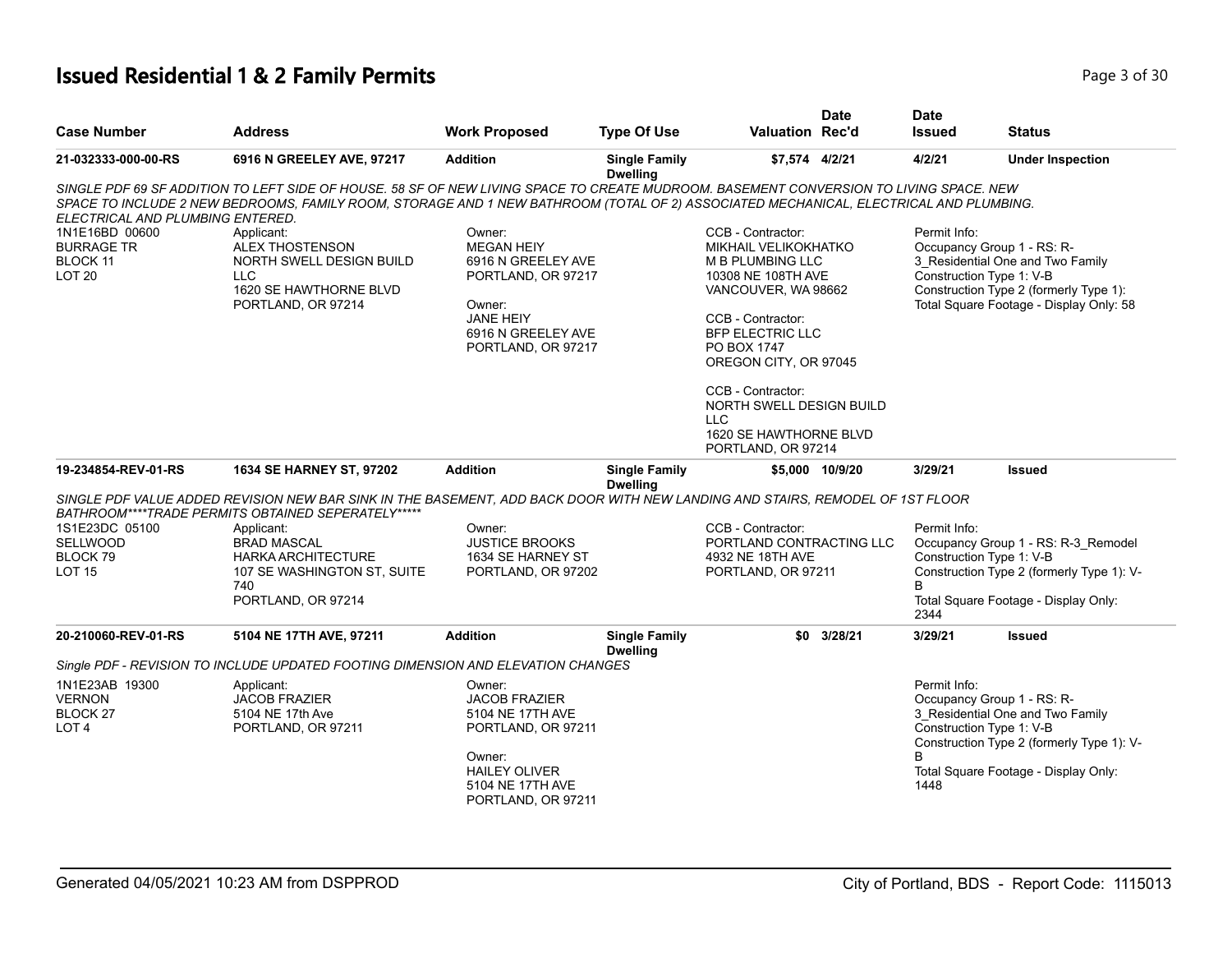# **Issued Residential 1 & 2 Family Permits Page 1 and 20 July 10 and 20 July 10 and 20 July 10 and 20 Page 3 of 30**

| <b>Case Number</b>                                                                                              | <b>Address</b>                                                                                                                                                                                                                                                                                                                                                                                             | <b>Work Proposed</b>                                                                                                                                 | <b>Type Of Use</b>                      | <b>Valuation Rec'd</b>                                                                                                                                                                                                                                                                                            | <b>Date</b>     | <b>Date</b><br><b>Issued</b>                                                   | <b>Status</b>                                                                                                            |
|-----------------------------------------------------------------------------------------------------------------|------------------------------------------------------------------------------------------------------------------------------------------------------------------------------------------------------------------------------------------------------------------------------------------------------------------------------------------------------------------------------------------------------------|------------------------------------------------------------------------------------------------------------------------------------------------------|-----------------------------------------|-------------------------------------------------------------------------------------------------------------------------------------------------------------------------------------------------------------------------------------------------------------------------------------------------------------------|-----------------|--------------------------------------------------------------------------------|--------------------------------------------------------------------------------------------------------------------------|
| 21-032333-000-00-RS                                                                                             | 6916 N GREELEY AVE, 97217                                                                                                                                                                                                                                                                                                                                                                                  | <b>Addition</b>                                                                                                                                      | <b>Single Family</b><br><b>Dwelling</b> | \$7,574 4/2/21                                                                                                                                                                                                                                                                                                    |                 | 4/2/21                                                                         | <b>Under Inspection</b>                                                                                                  |
| ELECTRICAL AND PLUMBING ENTERED.<br>1N1E16BD 00600<br><b>BURRAGE TR</b><br><b>BLOCK 11</b><br>LOT <sub>20</sub> | SINGLE PDF 69 SF ADDITION TO LEFT SIDE OF HOUSE. 58 SF OF NEW LIVING SPACE TO CREATE MUDROOM. BASEMENT CONVERSION TO LIVING SPACE. NEW<br>SPACE TO INCLUDE 2 NEW BEDROOMS, FAMILY ROOM, STORAGE AND 1 NEW BATHROOM (TOTAL OF 2) ASSOCIATED MECHANICAL, ELECTRICAL AND PLUMBING.<br>Applicant:<br>ALEX THOSTENSON<br>NORTH SWELL DESIGN BUILD<br><b>LLC</b><br>1620 SE HAWTHORNE BLVD<br>PORTLAND, OR 97214 | Owner:<br><b>MEGAN HEIY</b><br>6916 N GREELEY AVE<br>PORTLAND, OR 97217<br>Owner:<br><b>JANE HEIY</b><br>6916 N GREELEY AVE<br>PORTLAND, OR 97217    |                                         | CCB - Contractor:<br>MIKHAIL VELIKOKHATKO<br><b>M B PLUMBING LLC</b><br>10308 NE 108TH AVE<br>VANCOUVER, WA 98662<br>CCB - Contractor:<br><b>BFP ELECTRIC LLC</b><br>PO BOX 1747<br>OREGON CITY, OR 97045<br>CCB - Contractor:<br>NORTH SWELL DESIGN BUILD<br>LLC<br>1620 SE HAWTHORNE BLVD<br>PORTLAND, OR 97214 |                 | Permit Info:<br>Occupancy Group 1 - RS: R-<br>Construction Type 1: V-B         | 3 Residential One and Two Family<br>Construction Type 2 (formerly Type 1):<br>Total Square Footage - Display Only: 58    |
| 19-234854-REV-01-RS                                                                                             | <b>1634 SE HARNEY ST, 97202</b>                                                                                                                                                                                                                                                                                                                                                                            | <b>Addition</b>                                                                                                                                      | <b>Single Family</b>                    |                                                                                                                                                                                                                                                                                                                   | \$5,000 10/9/20 | 3/29/21                                                                        | <b>Issued</b>                                                                                                            |
| 1S1E23DC 05100<br><b>SELLWOOD</b><br>BLOCK 79<br><b>LOT 15</b>                                                  | SINGLE PDF VALUE ADDED REVISION NEW BAR SINK IN THE BASEMENT, ADD BACK DOOR WITH NEW LANDING AND STAIRS, REMODEL OF 1ST FLOOR<br>BATHROOM****TRADE PERMITS OBTAINED SEPERATELY*****<br>Applicant:<br><b>BRAD MASCAL</b><br><b>HARKA ARCHITECTURE</b><br>107 SE WASHINGTON ST, SUITE<br>740<br>PORTLAND, OR 97214                                                                                           | Owner:<br><b>JUSTICE BROOKS</b><br>1634 SE HARNEY ST<br>PORTLAND, OR 97202                                                                           | <b>Dwelling</b>                         | CCB - Contractor:<br>PORTLAND CONTRACTING LLC<br>4932 NE 18TH AVE<br>PORTLAND, OR 97211                                                                                                                                                                                                                           |                 | Permit Info:<br>Construction Type 1: V-B<br>R<br>2344                          | Occupancy Group 1 - RS: R-3 Remodel<br>Construction Type 2 (formerly Type 1): V-<br>Total Square Footage - Display Only: |
| 20-210060-REV-01-RS                                                                                             | 5104 NE 17TH AVE, 97211                                                                                                                                                                                                                                                                                                                                                                                    | <b>Addition</b>                                                                                                                                      | <b>Single Family</b><br><b>Dwelling</b> |                                                                                                                                                                                                                                                                                                                   | \$0 3/28/21     | 3/29/21                                                                        | <b>Issued</b>                                                                                                            |
|                                                                                                                 | Single PDF - REVISION TO INCLUDE UPDATED FOOTING DIMENSION AND ELEVATION CHANGES                                                                                                                                                                                                                                                                                                                           |                                                                                                                                                      |                                         |                                                                                                                                                                                                                                                                                                                   |                 |                                                                                |                                                                                                                          |
| 1N1E23AB 19300<br><b>VERNON</b><br>BLOCK 27<br>LOT <sub>4</sub>                                                 | Applicant:<br><b>JACOB FRAZIER</b><br>5104 NE 17th Ave<br>PORTLAND, OR 97211                                                                                                                                                                                                                                                                                                                               | Owner:<br><b>JACOB FRAZIER</b><br>5104 NE 17TH AVE<br>PORTLAND, OR 97211<br>Owner:<br><b>HAILEY OLIVER</b><br>5104 NE 17TH AVE<br>PORTLAND, OR 97211 |                                         |                                                                                                                                                                                                                                                                                                                   |                 | Permit Info:<br>Occupancy Group 1 - RS: R-<br>Construction Type 1: V-B<br>1448 | 3 Residential One and Two Family<br>Construction Type 2 (formerly Type 1): V-<br>Total Square Footage - Display Only:    |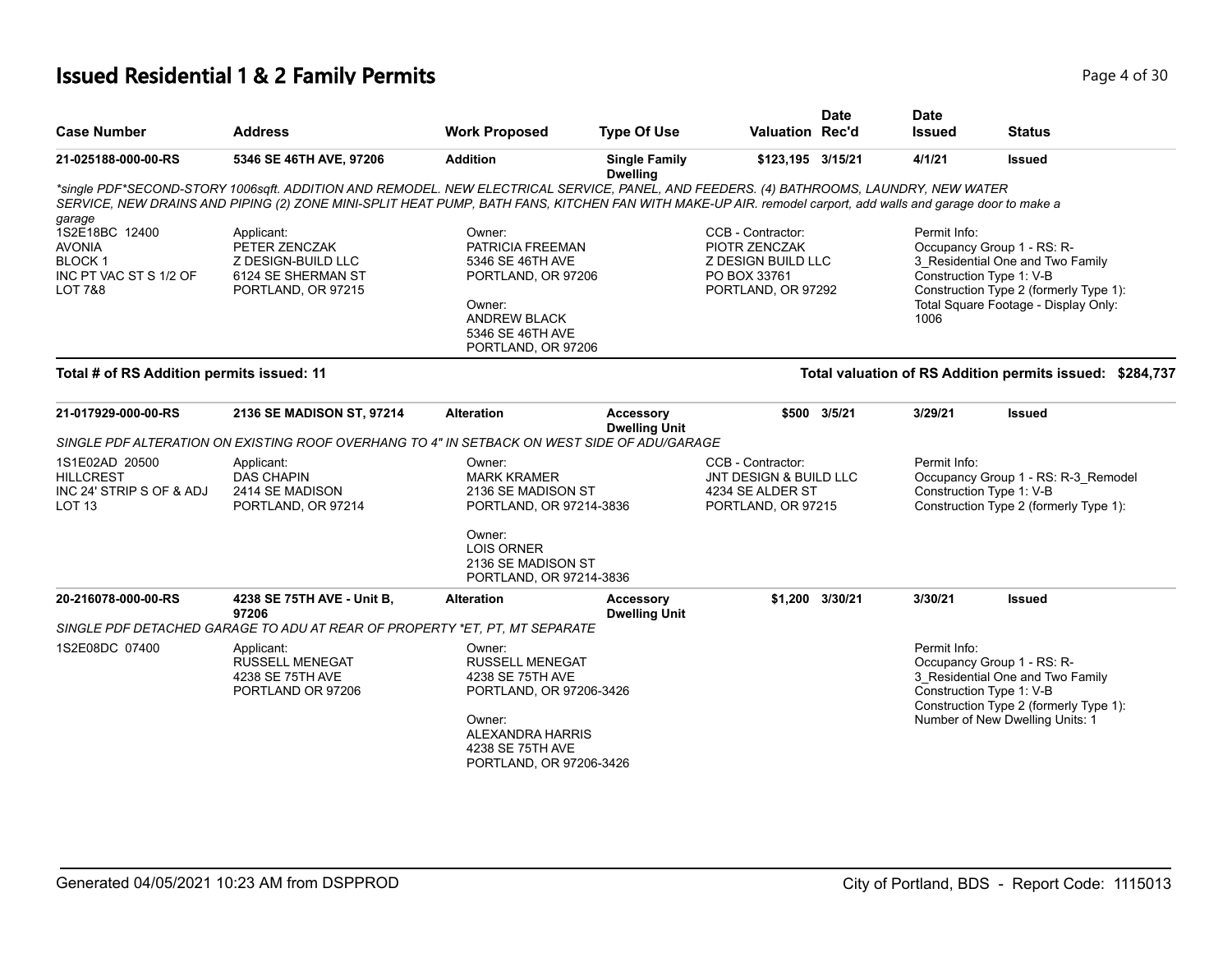# **Issued Residential 1 & 2 Family Permits Page 1 of 30** Page 4 of 30

| <b>Case Number</b>                                                                    | <b>Address</b>                                                                                                                                                                                                                                                                                        | <b>Work Proposed</b>                                                                                                                                         | <b>Type Of Use</b>                       | <b>Valuation Rec'd</b>                                                                                | <b>Date</b>     | <b>Date</b><br><b>Issued</b> | <b>Status</b>                                                                                                                                                                |
|---------------------------------------------------------------------------------------|-------------------------------------------------------------------------------------------------------------------------------------------------------------------------------------------------------------------------------------------------------------------------------------------------------|--------------------------------------------------------------------------------------------------------------------------------------------------------------|------------------------------------------|-------------------------------------------------------------------------------------------------------|-----------------|------------------------------|------------------------------------------------------------------------------------------------------------------------------------------------------------------------------|
| 21-025188-000-00-RS                                                                   | 5346 SE 46TH AVE, 97206                                                                                                                                                                                                                                                                               | <b>Addition</b>                                                                                                                                              | <b>Single Family</b><br><b>Dwelling</b>  | \$123,195 3/15/21                                                                                     |                 | 4/1/21                       | <b>Issued</b>                                                                                                                                                                |
| garage                                                                                | *single PDF*SECOND-STORY 1006sqft. ADDITION AND REMODEL. NEW ELECTRICAL SERVICE, PANEL, AND FEEDERS. (4) BATHROOMS, LAUNDRY, NEW WATER<br>SERVICE, NEW DRAINS AND PIPING (2) ZONE MINI-SPLIT HEAT PUMP, BATH FANS, KITCHEN FAN WITH MAKE-UP AIR, remodel carport, add walls and garage door to make a |                                                                                                                                                              |                                          |                                                                                                       |                 |                              |                                                                                                                                                                              |
| 1S2E18BC 12400<br><b>AVONIA</b><br><b>BLOCK1</b><br>INC PT VAC ST S 1/2 OF<br>LOT 7&8 | Applicant:<br>PETER ZENCZAK<br>Z DESIGN-BUILD LLC<br>6124 SE SHERMAN ST<br>PORTLAND, OR 97215                                                                                                                                                                                                         | Owner:<br>PATRICIA FREEMAN<br>5346 SE 46TH AVE<br>PORTLAND, OR 97206<br>Owner:<br><b>ANDREW BLACK</b><br>5346 SE 46TH AVE<br>PORTLAND, OR 97206              |                                          | CCB - Contractor:<br>PIOTR ZENCZAK<br><b>Z DESIGN BUILD LLC</b><br>PO BOX 33761<br>PORTLAND, OR 97292 |                 | Permit Info:<br>1006         | Occupancy Group 1 - RS: R-<br>3_Residential One and Two Family<br>Construction Type 1: V-B<br>Construction Type 2 (formerly Type 1):<br>Total Square Footage - Display Only: |
| Total # of RS Addition permits issued: 11                                             |                                                                                                                                                                                                                                                                                                       |                                                                                                                                                              |                                          |                                                                                                       |                 |                              | Total valuation of RS Addition permits issued: \$284,737                                                                                                                     |
| 21-017929-000-00-RS                                                                   | 2136 SE MADISON ST, 97214                                                                                                                                                                                                                                                                             | <b>Alteration</b>                                                                                                                                            | <b>Accessory</b><br><b>Dwelling Unit</b> |                                                                                                       | \$500 3/5/21    | 3/29/21                      | <b>Issued</b>                                                                                                                                                                |
| 1S1E02AD 20500                                                                        | SINGLE PDF ALTERATION ON EXISTING ROOF OVERHANG TO 4" IN SETBACK ON WEST SIDE OF ADU/GARAGE<br>Applicant:                                                                                                                                                                                             | Owner:                                                                                                                                                       |                                          | CCB - Contractor:                                                                                     |                 | Permit Info:                 |                                                                                                                                                                              |
| <b>HILLCREST</b><br>INC 24' STRIP S OF & ADJ<br>LOT <sub>13</sub>                     | <b>DAS CHAPIN</b><br>2414 SE MADISON<br>PORTLAND, OR 97214                                                                                                                                                                                                                                            | <b>MARK KRAMER</b><br>2136 SE MADISON ST<br>PORTLAND, OR 97214-3836                                                                                          |                                          | JNT DESIGN & BUILD LLC<br>4234 SE ALDER ST<br>PORTLAND, OR 97215                                      |                 |                              | Occupancy Group 1 - RS: R-3_Remodel<br>Construction Type 1: V-B<br>Construction Type 2 (formerly Type 1):                                                                    |
|                                                                                       |                                                                                                                                                                                                                                                                                                       | Owner:<br><b>LOIS ORNER</b><br>2136 SE MADISON ST<br>PORTLAND, OR 97214-3836                                                                                 |                                          |                                                                                                       |                 |                              |                                                                                                                                                                              |
| 20-216078-000-00-RS                                                                   | 4238 SE 75TH AVE - Unit B,<br>97206                                                                                                                                                                                                                                                                   | <b>Alteration</b>                                                                                                                                            | <b>Accessory</b><br><b>Dwelling Unit</b> |                                                                                                       | \$1.200 3/30/21 | 3/30/21                      | <b>Issued</b>                                                                                                                                                                |
|                                                                                       | SINGLE PDF DETACHED GARAGE TO ADU AT REAR OF PROPERTY *ET, PT, MT SEPARATE                                                                                                                                                                                                                            |                                                                                                                                                              |                                          |                                                                                                       |                 |                              |                                                                                                                                                                              |
| 1S2E08DC 07400                                                                        | Applicant:<br><b>RUSSELL MENEGAT</b><br>4238 SE 75TH AVE<br>PORTLAND OR 97206                                                                                                                                                                                                                         | Owner:<br><b>RUSSELL MENEGAT</b><br>4238 SE 75TH AVE<br>PORTLAND, OR 97206-3426<br>Owner:<br>ALEXANDRA HARRIS<br>4238 SE 75TH AVE<br>PORTLAND, OR 97206-3426 |                                          |                                                                                                       |                 | Permit Info:                 | Occupancy Group 1 - RS: R-<br>3_Residential One and Two Family<br>Construction Type 1: V-B<br>Construction Type 2 (formerly Type 1):<br>Number of New Dwelling Units: 1      |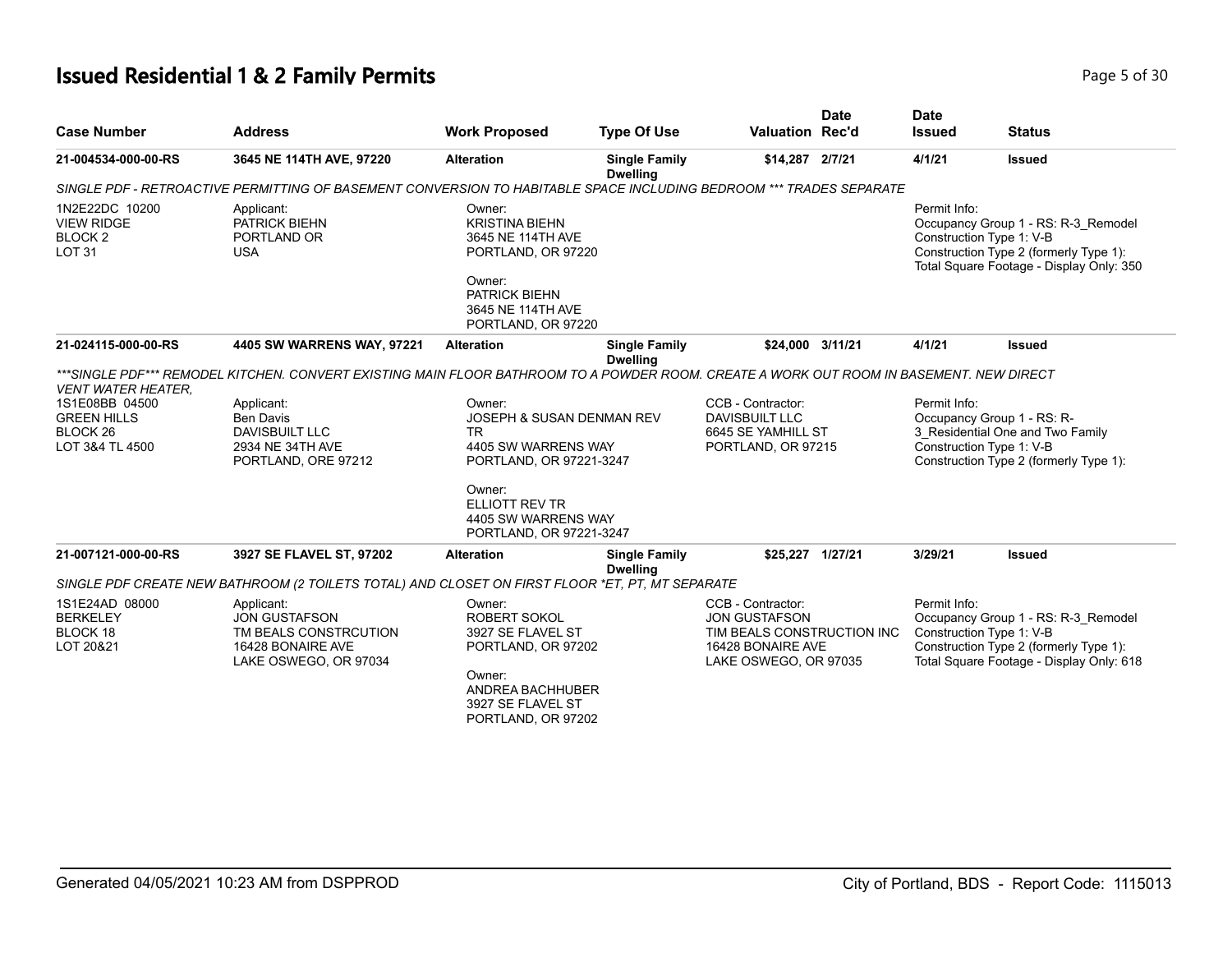# **Issued Residential 1 & 2 Family Permits Page 1 and 20 July 10 and 20 July 10 and 20 July 10 and 20 Page 5 of 30**

| <b>Case Number</b>                                                             | <b>Address</b>                                                                                                                          | <b>Work Proposed</b>                                                                                                       | <b>Type Of Use</b>                      | Valuation Rec'd                                                                                                       | <b>Date</b> | <b>Date</b><br><b>Issued</b> | <b>Status</b>                                                                                                                                         |
|--------------------------------------------------------------------------------|-----------------------------------------------------------------------------------------------------------------------------------------|----------------------------------------------------------------------------------------------------------------------------|-----------------------------------------|-----------------------------------------------------------------------------------------------------------------------|-------------|------------------------------|-------------------------------------------------------------------------------------------------------------------------------------------------------|
| 21-004534-000-00-RS                                                            | 3645 NE 114TH AVE, 97220                                                                                                                | <b>Alteration</b>                                                                                                          | <b>Single Family</b><br><b>Dwelling</b> | \$14,287 2/7/21                                                                                                       |             | 4/1/21                       | <b>Issued</b>                                                                                                                                         |
|                                                                                | SINGLE PDF - RETROACTIVE PERMITTING OF BASEMENT CONVERSION TO HABITABLE SPACE INCLUDING BEDROOM *** TRADES SEPARATE                     |                                                                                                                            |                                         |                                                                                                                       |             |                              |                                                                                                                                                       |
| 1N2E22DC 10200<br><b>VIEW RIDGE</b><br>BLOCK <sub>2</sub><br><b>LOT 31</b>     | Applicant:<br>PATRICK BIEHN<br>PORTLAND OR<br><b>USA</b>                                                                                | Owner:<br><b>KRISTINA BIEHN</b><br>3645 NE 114TH AVE<br>PORTLAND, OR 97220<br>Owner:<br>PATRICK BIEHN<br>3645 NE 114TH AVE |                                         |                                                                                                                       |             | Permit Info:                 | Occupancy Group 1 - RS: R-3_Remodel<br>Construction Type 1: V-B<br>Construction Type 2 (formerly Type 1):<br>Total Square Footage - Display Only: 350 |
| 21-024115-000-00-RS                                                            | 4405 SW WARRENS WAY, 97221                                                                                                              | PORTLAND, OR 97220<br>Alteration                                                                                           | <b>Single Family</b><br><b>Dwelling</b> | \$24,000                                                                                                              | 3/11/21     | 4/1/21                       | <b>Issued</b>                                                                                                                                         |
| <b>VENT WATER HEATER.</b>                                                      | ***SINGLE PDF*** REMODEL KITCHEN. CONVERT EXISTING MAIN FLOOR BATHROOM TO A POWDER ROOM. CREATE A WORK OUT ROOM IN BASEMENT. NEW DIRECT |                                                                                                                            |                                         |                                                                                                                       |             |                              |                                                                                                                                                       |
| 1S1E08BB 04500<br><b>GREEN HILLS</b><br>BLOCK <sub>26</sub><br>LOT 3&4 TL 4500 | Applicant:<br><b>Ben Davis</b><br><b>DAVISBUILT LLC</b><br>2934 NE 34TH AVE<br>PORTLAND, ORE 97212                                      | Owner:<br>JOSEPH & SUSAN DENMAN REV<br><b>TR</b><br>4405 SW WARRENS WAY<br>PORTLAND, OR 97221-3247                         |                                         | CCB - Contractor:<br><b>DAVISBUILT LLC</b><br>6645 SE YAMHILL ST<br>PORTLAND, OR 97215                                |             | Permit Info:                 | Occupancy Group 1 - RS: R-<br>3 Residential One and Two Family<br>Construction Type 1: V-B<br>Construction Type 2 (formerly Type 1):                  |
|                                                                                |                                                                                                                                         | Owner:<br><b>ELLIOTT REV TR</b><br>4405 SW WARRENS WAY<br>PORTLAND, OR 97221-3247                                          |                                         |                                                                                                                       |             |                              |                                                                                                                                                       |
| 21-007121-000-00-RS                                                            | 3927 SE FLAVEL ST, 97202                                                                                                                | Alteration                                                                                                                 | <b>Single Family</b><br><b>Dwelling</b> | \$25,227 1/27/21                                                                                                      |             | 3/29/21                      | <b>Issued</b>                                                                                                                                         |
|                                                                                | SINGLE PDF CREATE NEW BATHROOM (2 TOILETS TOTAL) AND CLOSET ON FIRST FLOOR *ET, PT, MT SEPARATE                                         |                                                                                                                            |                                         |                                                                                                                       |             |                              |                                                                                                                                                       |
| 1S1E24AD 08000<br><b>BERKELEY</b><br>BLOCK 18<br>LOT 20&21                     | Applicant:<br><b>JON GUSTAFSON</b><br>TM BEALS CONSTRCUTION<br>16428 BONAIRE AVE<br>LAKE OSWEGO, OR 97034                               | Owner:<br><b>ROBERT SOKOL</b><br>3927 SE FLAVEL ST<br>PORTLAND, OR 97202<br>Owner:<br>ANDREA BACHHUBER                     |                                         | CCB - Contractor:<br><b>JON GUSTAFSON</b><br>TIM BEALS CONSTRUCTION INC<br>16428 BONAIRE AVE<br>LAKE OSWEGO, OR 97035 |             | Permit Info:                 | Occupancy Group 1 - RS: R-3_Remodel<br>Construction Type 1: V-B<br>Construction Type 2 (formerly Type 1):<br>Total Square Footage - Display Only: 618 |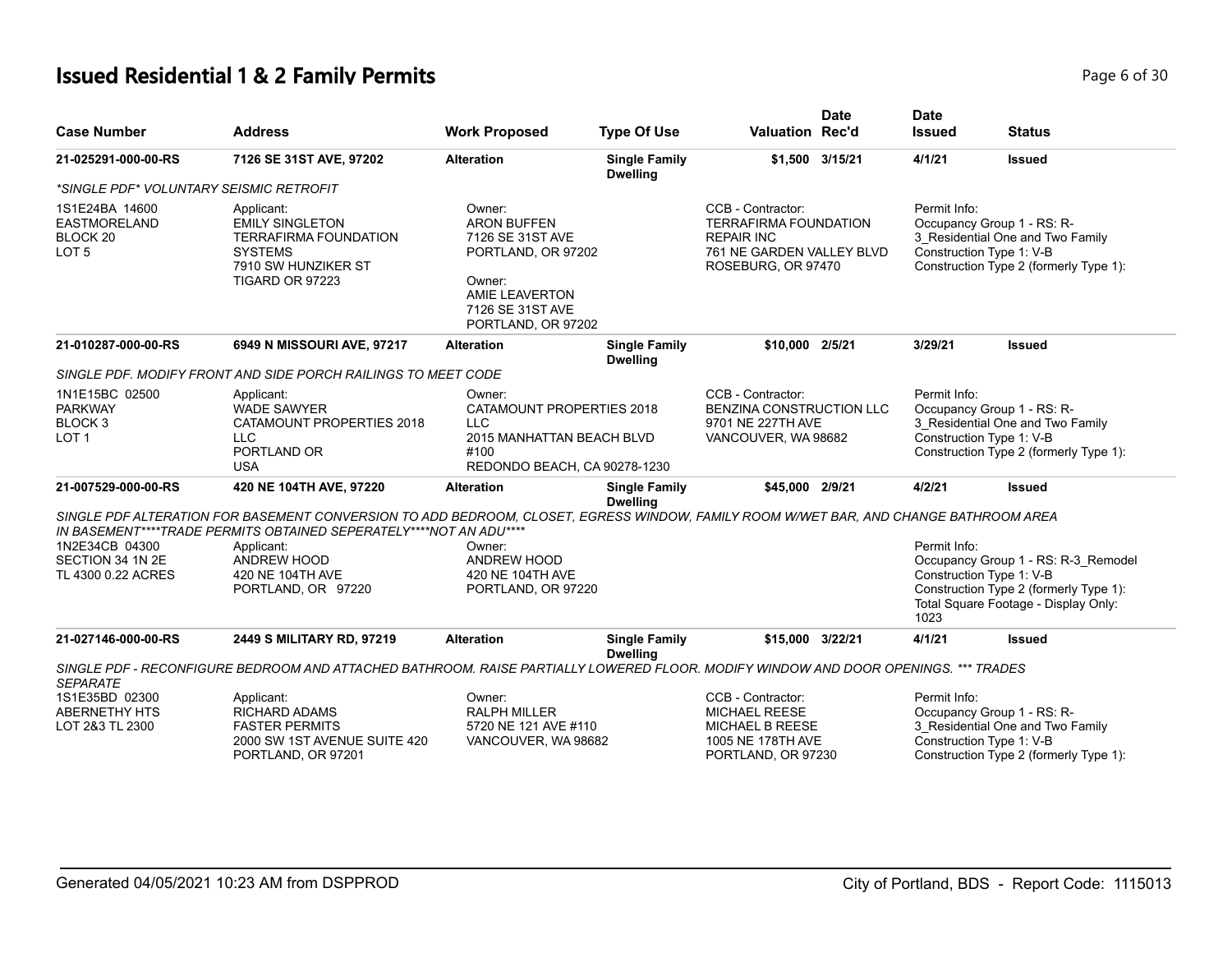# **Issued Residential 1 & 2 Family Permits Page 1 and 20 July 10 and 20 July 10 and 20 July 10 and 20 Page 6 of 30**

| <b>Case Number</b>                                                         | <b>Address</b>                                                                                                                                                                                                                                                                    | <b>Work Proposed</b>                                                                                                                         | <b>Type Of Use</b>                      | <b>Valuation Rec'd</b>                                                                                                    | <b>Date</b> | <b>Date</b><br><b>Issued</b> | <b>Status</b>                                                                                                                                     |
|----------------------------------------------------------------------------|-----------------------------------------------------------------------------------------------------------------------------------------------------------------------------------------------------------------------------------------------------------------------------------|----------------------------------------------------------------------------------------------------------------------------------------------|-----------------------------------------|---------------------------------------------------------------------------------------------------------------------------|-------------|------------------------------|---------------------------------------------------------------------------------------------------------------------------------------------------|
| 21-025291-000-00-RS                                                        | 7126 SE 31ST AVE, 97202                                                                                                                                                                                                                                                           | <b>Alteration</b>                                                                                                                            | <b>Single Family</b><br><b>Dwelling</b> | \$1,500 3/15/21                                                                                                           |             | 4/1/21                       | <b>Issued</b>                                                                                                                                     |
| *SINGLE PDF* VOLUNTARY SEISMIC RETROFIT                                    |                                                                                                                                                                                                                                                                                   |                                                                                                                                              |                                         |                                                                                                                           |             |                              |                                                                                                                                                   |
| 1S1E24BA 14600<br>EASTMORELAND<br>BLOCK <sub>20</sub><br>LOT <sub>5</sub>  | Applicant:<br><b>EMILY SINGLETON</b><br><b>TERRAFIRMA FOUNDATION</b><br><b>SYSTEMS</b><br>7910 SW HUNZIKER ST<br>TIGARD OR 97223                                                                                                                                                  | Owner:<br><b>ARON BUFFEN</b><br>7126 SE 31ST AVE<br>PORTLAND, OR 97202<br>Owner:<br>AMIE LEAVERTON<br>7126 SE 31ST AVE<br>PORTLAND, OR 97202 |                                         | CCB - Contractor:<br><b>TERRAFIRMA FOUNDATION</b><br><b>REPAIR INC</b><br>761 NE GARDEN VALLEY BLVD<br>ROSEBURG, OR 97470 |             | Permit Info:                 | Occupancy Group 1 - RS: R-<br>3 Residential One and Two Family<br>Construction Type 1: V-B<br>Construction Type 2 (formerly Type 1):              |
| 21-010287-000-00-RS                                                        | 6949 N MISSOURI AVE, 97217                                                                                                                                                                                                                                                        | <b>Alteration</b>                                                                                                                            | <b>Single Family</b><br><b>Dwelling</b> | \$10,000 2/5/21                                                                                                           |             | 3/29/21                      | <b>Issued</b>                                                                                                                                     |
|                                                                            | SINGLE PDF. MODIFY FRONT AND SIDE PORCH RAILINGS TO MEET CODE                                                                                                                                                                                                                     |                                                                                                                                              |                                         |                                                                                                                           |             |                              |                                                                                                                                                   |
| 1N1E15BC 02500<br><b>PARKWAY</b><br>BLOCK <sub>3</sub><br>LOT <sub>1</sub> | Applicant:<br><b>WADE SAWYER</b><br>CATAMOUNT PROPERTIES 2018<br>LLC<br>PORTLAND OR<br><b>USA</b>                                                                                                                                                                                 | Owner:<br>CATAMOUNT PROPERTIES 2018<br><b>LLC</b><br>2015 MANHATTAN BEACH BLVD<br>#100<br>REDONDO BEACH, CA 90278-1230                       |                                         | CCB - Contractor:<br>BENZINA CONSTRUCTION LLC<br>9701 NE 227TH AVE<br>VANCOUVER, WA 98682                                 |             | Permit Info:                 | Occupancy Group 1 - RS: R-<br>3_Residential One and Two Family<br>Construction Type 1: V-B<br>Construction Type 2 (formerly Type 1):              |
| 21-007529-000-00-RS                                                        | 420 NE 104TH AVE, 97220                                                                                                                                                                                                                                                           | <b>Alteration</b>                                                                                                                            | <b>Single Family</b><br><b>Dwelling</b> | \$45,000 2/9/21                                                                                                           |             | 4/2/21                       | <b>Issued</b>                                                                                                                                     |
| 1N2E34CB 04300<br>SECTION 34 1N 2E<br>TL 4300 0.22 ACRES                   | SINGLE PDF ALTERATION FOR BASEMENT CONVERSION TO ADD BEDROOM, CLOSET, EGRESS WINDOW, FAMILY ROOM W/WET BAR, AND CHANGE BATHROOM AREA<br>IN BASEMENT****TRADE PERMITS OBTAINED SEPERATELY****NOT AN ADU****<br>Applicant:<br>ANDREW HOOD<br>420 NE 104TH AVE<br>PORTLAND, OR 97220 | Owner:<br>ANDREW HOOD<br>420 NE 104TH AVE<br>PORTLAND, OR 97220                                                                              |                                         |                                                                                                                           |             | Permit Info:<br>1023         | Occupancy Group 1 - RS: R-3 Remodel<br>Construction Type 1: V-B<br>Construction Type 2 (formerly Type 1):<br>Total Square Footage - Display Only: |
| 21-027146-000-00-RS                                                        | 2449 S MILITARY RD, 97219                                                                                                                                                                                                                                                         | <b>Alteration</b>                                                                                                                            | <b>Single Family</b><br><b>Dwelling</b> | \$15,000 3/22/21                                                                                                          |             | 4/1/21                       | <b>Issued</b>                                                                                                                                     |
| <b>SEPARATE</b>                                                            | SINGLE PDF - RECONFIGURE BEDROOM AND ATTACHED BATHROOM. RAISE PARTIALLY LOWERED FLOOR. MODIFY WINDOW AND DOOR OPENINGS. *** TRADES                                                                                                                                                |                                                                                                                                              |                                         |                                                                                                                           |             |                              |                                                                                                                                                   |
| 1S1E35BD 02300<br><b>ABERNETHY HTS</b><br>LOT 2&3 TL 2300                  | Applicant:<br><b>RICHARD ADAMS</b><br><b>FASTER PERMITS</b><br>2000 SW 1ST AVENUE SUITE 420<br>PORTLAND, OR 97201                                                                                                                                                                 | Owner:<br><b>RALPH MILLER</b><br>5720 NE 121 AVE #110<br>VANCOUVER, WA 98682                                                                 |                                         | CCB - Contractor:<br><b>MICHAEL REESE</b><br><b>MICHAEL B REESE</b><br>1005 NE 178TH AVE<br>PORTLAND, OR 97230            |             | Permit Info:                 | Occupancy Group 1 - RS: R-<br>3 Residential One and Two Family<br>Construction Type 1: V-B<br>Construction Type 2 (formerly Type 1):              |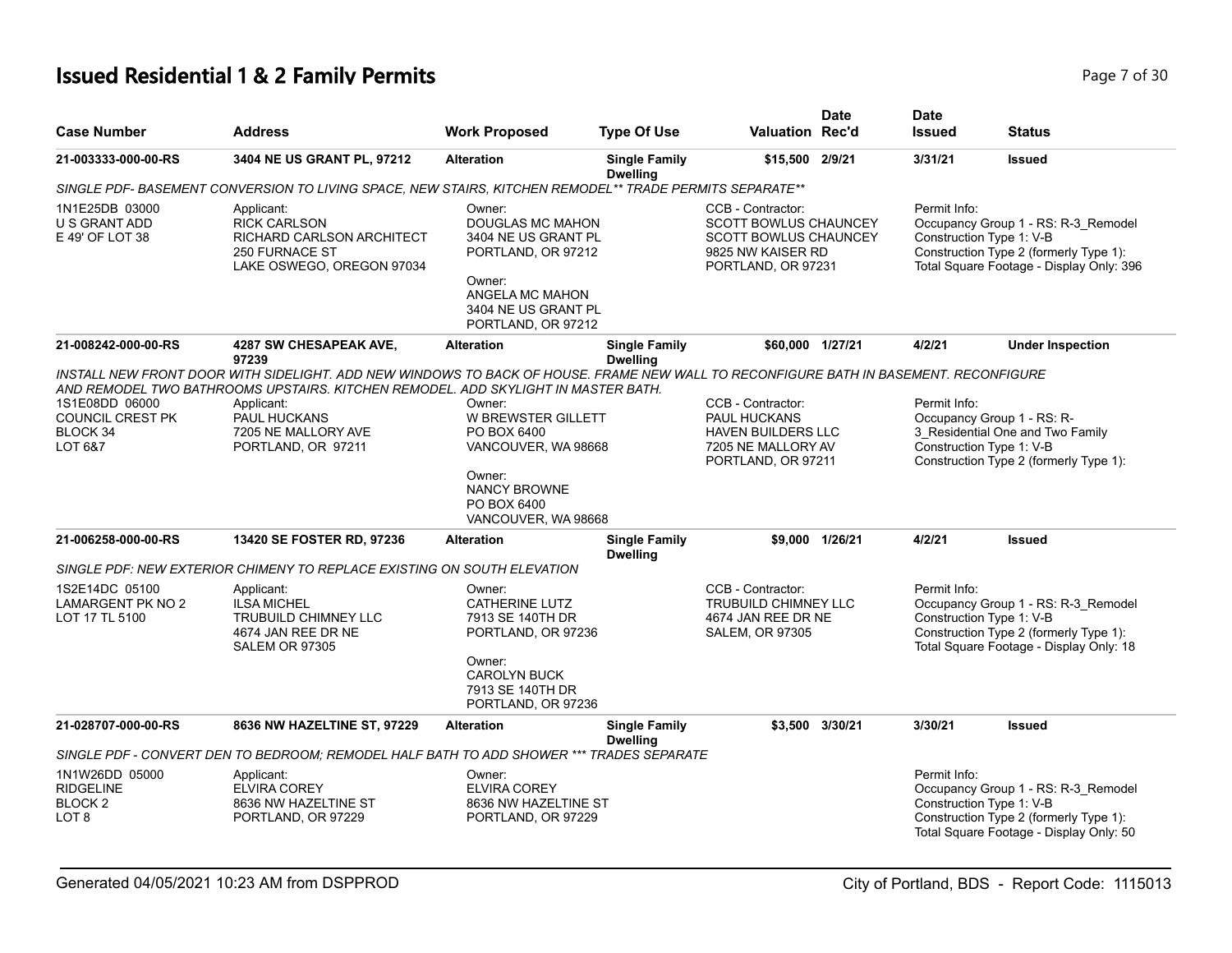# **Issued Residential 1 & 2 Family Permits Page 7 of 30 Page 7 of 30**

| <b>Case Number</b>                                                | <b>Address</b>                                                                                                                                                                                                                                                                                                | <b>Work Proposed</b>                                                                                                                                     | <b>Type Of Use</b>                      | <b>Valuation Rec'd</b>                                                                                                       | <b>Date</b>     | <b>Date</b><br><b>Issued</b>             | <b>Status</b>                                                                                                             |
|-------------------------------------------------------------------|---------------------------------------------------------------------------------------------------------------------------------------------------------------------------------------------------------------------------------------------------------------------------------------------------------------|----------------------------------------------------------------------------------------------------------------------------------------------------------|-----------------------------------------|------------------------------------------------------------------------------------------------------------------------------|-----------------|------------------------------------------|---------------------------------------------------------------------------------------------------------------------------|
| 21-003333-000-00-RS                                               | 3404 NE US GRANT PL, 97212                                                                                                                                                                                                                                                                                    | <b>Alteration</b>                                                                                                                                        | <b>Single Family</b><br><b>Dwelling</b> | \$15,500 2/9/21                                                                                                              |                 | 3/31/21                                  | <b>Issued</b>                                                                                                             |
|                                                                   | SINGLE PDF- BASEMENT CONVERSION TO LIVING SPACE, NEW STAIRS, KITCHEN REMODEL** TRADE PERMITS SEPARATE**                                                                                                                                                                                                       |                                                                                                                                                          |                                         |                                                                                                                              |                 |                                          |                                                                                                                           |
| 1N1E25DB 03000<br>U S GRANT ADD<br>E 49' OF LOT 38                | Applicant:<br><b>RICK CARLSON</b><br>RICHARD CARLSON ARCHITECT<br><b>250 FURNACE ST</b><br>LAKE OSWEGO, OREGON 97034                                                                                                                                                                                          | Owner:<br><b>DOUGLAS MC MAHON</b><br>3404 NE US GRANT PL<br>PORTLAND, OR 97212<br>Owner:<br>ANGELA MC MAHON<br>3404 NE US GRANT PL<br>PORTLAND, OR 97212 |                                         | CCB - Contractor:<br><b>SCOTT BOWLUS CHAUNCEY</b><br><b>SCOTT BOWLUS CHAUNCEY</b><br>9825 NW KAISER RD<br>PORTLAND, OR 97231 |                 | Permit Info:<br>Construction Type 1: V-B | Occupancy Group 1 - RS: R-3_Remodel<br>Construction Type 2 (formerly Type 1):<br>Total Square Footage - Display Only: 396 |
| 21-008242-000-00-RS                                               | <b>4287 SW CHESAPEAK AVE,</b>                                                                                                                                                                                                                                                                                 | <b>Alteration</b>                                                                                                                                        | <b>Single Family</b>                    | \$60,000 1/27/21                                                                                                             |                 | 4/2/21                                   | <b>Under Inspection</b>                                                                                                   |
| 1S1E08DD 06000<br><b>COUNCIL CREST PK</b><br>BLOCK 34<br>LOT 6&7  | 97239<br>INSTALL NEW FRONT DOOR WITH SIDELIGHT. ADD NEW WINDOWS TO BACK OF HOUSE. FRAME NEW WALL TO RECONFIGURE BATH IN BASEMENT. RECONFIGURE<br>AND REMODEL TWO BATHROOMS UPSTAIRS. KITCHEN REMODEL. ADD SKYLIGHT IN MASTER BATH.<br>Applicant:<br>PAUL HUCKANS<br>7205 NE MALLORY AVE<br>PORTLAND, OR 97211 | Owner:<br>W BREWSTER GILLETT<br>PO BOX 6400<br>VANCOUVER, WA 98668<br>Owner:<br><b>NANCY BROWNE</b><br>PO BOX 6400<br>VANCOUVER, WA 98668                | <b>Dwelling</b>                         | CCB - Contractor:<br>PAUL HUCKANS<br><b>HAVEN BUILDERS LLC</b><br>7205 NE MALLORY AV<br>PORTLAND, OR 97211                   |                 | Permit Info:<br>Construction Type 1: V-B | Occupancy Group 1 - RS: R-<br>3_Residential One and Two Family<br>Construction Type 2 (formerly Type 1):                  |
| 21-006258-000-00-RS                                               | 13420 SE FOSTER RD, 97236                                                                                                                                                                                                                                                                                     | <b>Alteration</b>                                                                                                                                        | <b>Single Family</b><br><b>Dwelling</b> |                                                                                                                              | \$9,000 1/26/21 | 4/2/21                                   | <b>Issued</b>                                                                                                             |
|                                                                   | SINGLE PDF: NEW EXTERIOR CHIMENY TO REPLACE EXISTING ON SOUTH ELEVATION                                                                                                                                                                                                                                       |                                                                                                                                                          |                                         |                                                                                                                              |                 |                                          |                                                                                                                           |
| 1S2E14DC 05100<br>LAMARGENT PK NO 2<br>LOT 17 TL 5100             | Applicant:<br><b>ILSA MICHEL</b><br><b>TRUBUILD CHIMNEY LLC</b><br>4674 JAN REE DR NE<br><b>SALEM OR 97305</b>                                                                                                                                                                                                | Owner:<br><b>CATHERINE LUTZ</b><br>7913 SE 140TH DR<br>PORTLAND, OR 97236<br>Owner:<br><b>CAROLYN BUCK</b><br>7913 SE 140TH DR<br>PORTLAND, OR 97236     |                                         | CCB - Contractor:<br>TRUBUILD CHIMNEY LLC<br>4674 JAN REE DR NE<br><b>SALEM, OR 97305</b>                                    |                 | Permit Info:<br>Construction Type 1: V-B | Occupancy Group 1 - RS: R-3_Remodel<br>Construction Type 2 (formerly Type 1):<br>Total Square Footage - Display Only: 18  |
| 21-028707-000-00-RS                                               | 8636 NW HAZELTINE ST, 97229                                                                                                                                                                                                                                                                                   | <b>Alteration</b>                                                                                                                                        | <b>Single Family</b><br><b>Dwelling</b> |                                                                                                                              | \$3,500 3/30/21 | 3/30/21                                  | <b>Issued</b>                                                                                                             |
|                                                                   | SINGLE PDF - CONVERT DEN TO BEDROOM; REMODEL HALF BATH TO ADD SHOWER *** TRADES SEPARATE                                                                                                                                                                                                                      |                                                                                                                                                          |                                         |                                                                                                                              |                 |                                          |                                                                                                                           |
| 1N1W26DD 05000<br><b>RIDGELINE</b><br>BLOCK <sub>2</sub><br>LOT 8 | Applicant:<br><b>ELVIRA COREY</b><br>8636 NW HAZELTINE ST<br>PORTLAND, OR 97229                                                                                                                                                                                                                               | Owner:<br><b>ELVIRA COREY</b><br>8636 NW HAZELTINE ST<br>PORTLAND, OR 97229                                                                              |                                         |                                                                                                                              |                 | Permit Info:<br>Construction Type 1: V-B | Occupancy Group 1 - RS: R-3_Remodel<br>Construction Type 2 (formerly Type 1):<br>Total Square Footage - Display Only: 50  |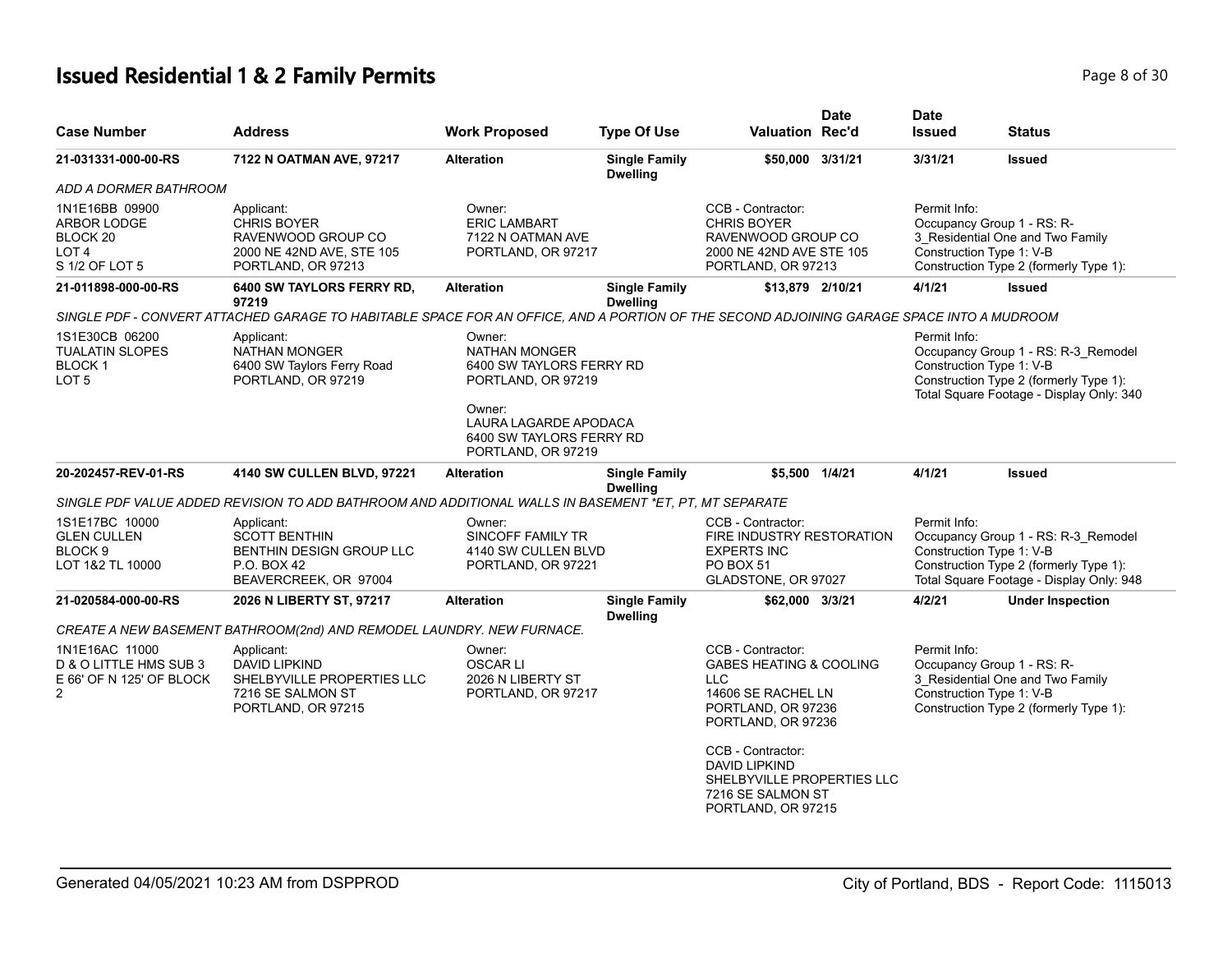# **Issued Residential 1 & 2 Family Permits Page 8 of 30 Page 8 of 30**

| <b>Case Number</b>                                                                         | <b>Address</b>                                                                                                                           | <b>Work Proposed</b>                                                                       | <b>Type Of Use</b>                      | <b>Valuation Rec'd</b>                                                                                                                                                                                                                                        | <b>Date</b> | <b>Date</b><br><b>Issued</b>                                           | <b>Status</b>                                                                                                             |
|--------------------------------------------------------------------------------------------|------------------------------------------------------------------------------------------------------------------------------------------|--------------------------------------------------------------------------------------------|-----------------------------------------|---------------------------------------------------------------------------------------------------------------------------------------------------------------------------------------------------------------------------------------------------------------|-------------|------------------------------------------------------------------------|---------------------------------------------------------------------------------------------------------------------------|
| 21-031331-000-00-RS                                                                        | 7122 N OATMAN AVE, 97217                                                                                                                 | <b>Alteration</b>                                                                          | <b>Single Family</b><br><b>Dwelling</b> | \$50,000 3/31/21                                                                                                                                                                                                                                              |             | 3/31/21                                                                | <b>Issued</b>                                                                                                             |
| ADD A DORMER BATHROOM                                                                      |                                                                                                                                          |                                                                                            |                                         |                                                                                                                                                                                                                                                               |             |                                                                        |                                                                                                                           |
| 1N1E16BB 09900<br>ARBOR LODGE<br>BLOCK <sub>20</sub><br>LOT <sub>4</sub><br>S 1/2 OF LOT 5 | Applicant:<br><b>CHRIS BOYER</b><br>RAVENWOOD GROUP CO<br>2000 NE 42ND AVE, STE 105<br>PORTLAND, OR 97213                                | Owner:<br><b>ERIC LAMBART</b><br>7122 N OATMAN AVE<br>PORTLAND, OR 97217                   |                                         | CCB - Contractor:<br><b>CHRIS BOYER</b><br>RAVENWOOD GROUP CO<br>2000 NE 42ND AVE STE 105<br>PORTLAND, OR 97213                                                                                                                                               |             | Permit Info:<br>Occupancy Group 1 - RS: R-<br>Construction Type 1: V-B | 3 Residential One and Two Family<br>Construction Type 2 (formerly Type 1):                                                |
| 21-011898-000-00-RS                                                                        | 6400 SW TAYLORS FERRY RD,<br>97219                                                                                                       | <b>Alteration</b>                                                                          | <b>Single Family</b><br><b>Dwelling</b> | \$13,879 2/10/21                                                                                                                                                                                                                                              |             | 4/1/21                                                                 | <b>Issued</b>                                                                                                             |
|                                                                                            | SINGLE PDF - CONVERT ATTACHED GARAGE TO HABITABLE SPACE FOR AN OFFICE. AND A PORTION OF THE SECOND ADJOINING GARAGE SPACE INTO A MUDROOM |                                                                                            |                                         |                                                                                                                                                                                                                                                               |             |                                                                        |                                                                                                                           |
| 1S1E30CB 06200<br><b>TUALATIN SLOPES</b><br><b>BLOCK1</b><br>LOT <sub>5</sub>              | Applicant:<br><b>NATHAN MONGER</b><br>6400 SW Taylors Ferry Road<br>PORTLAND, OR 97219                                                   | Owner:<br><b>NATHAN MONGER</b><br>6400 SW TAYLORS FERRY RD<br>PORTLAND, OR 97219<br>Owner: |                                         |                                                                                                                                                                                                                                                               |             | Permit Info:<br>Construction Type 1: V-B                               | Occupancy Group 1 - RS: R-3_Remodel<br>Construction Type 2 (formerly Type 1):<br>Total Square Footage - Display Only: 340 |
|                                                                                            |                                                                                                                                          | LAURA LAGARDE APODACA<br>6400 SW TAYLORS FERRY RD<br>PORTLAND, OR 97219                    |                                         |                                                                                                                                                                                                                                                               |             |                                                                        |                                                                                                                           |
| 20-202457-REV-01-RS                                                                        | 4140 SW CULLEN BLVD, 97221                                                                                                               | <b>Alteration</b>                                                                          | <b>Single Family</b><br><b>Dwelling</b> | \$5,500 1/4/21                                                                                                                                                                                                                                                |             | 4/1/21                                                                 | <b>Issued</b>                                                                                                             |
|                                                                                            | SINGLE PDF VALUE ADDED REVISION TO ADD BATHROOM AND ADDITIONAL WALLS IN BASEMENT *ET, PT, MT SEPARATE                                    |                                                                                            |                                         |                                                                                                                                                                                                                                                               |             |                                                                        |                                                                                                                           |
| 1S1E17BC 10000<br><b>GLEN CULLEN</b><br>BLOCK <sub>9</sub><br>LOT 1&2 TL 10000             | Applicant:<br><b>SCOTT BENTHIN</b><br>BENTHIN DESIGN GROUP LLC<br>P.O. BOX 42<br>BEAVERCREEK, OR 97004                                   | Owner:<br>SINCOFF FAMILY TR<br>4140 SW CULLEN BLVD<br>PORTLAND, OR 97221                   |                                         | CCB - Contractor:<br>FIRE INDUSTRY RESTORATION<br><b>EXPERTS INC</b><br><b>PO BOX 51</b><br>GLADSTONE, OR 97027                                                                                                                                               |             | Permit Info:<br>Construction Type 1: V-B                               | Occupancy Group 1 - RS: R-3_Remodel<br>Construction Type 2 (formerly Type 1):<br>Total Square Footage - Display Only: 948 |
| 21-020584-000-00-RS                                                                        | 2026 N LIBERTY ST, 97217                                                                                                                 | <b>Alteration</b>                                                                          | <b>Single Family</b><br><b>Dwelling</b> | \$62,000 3/3/21                                                                                                                                                                                                                                               |             | 4/2/21                                                                 | <b>Under Inspection</b>                                                                                                   |
|                                                                                            | CREATE A NEW BASEMENT BATHROOM(2nd) AND REMODEL LAUNDRY. NEW FURNACE.                                                                    |                                                                                            |                                         |                                                                                                                                                                                                                                                               |             |                                                                        |                                                                                                                           |
| 1N1E16AC 11000<br>D & O LITTLE HMS SUB 3<br>E 66' OF N 125' OF BLOCK<br>$\overline{2}$     | Applicant:<br><b>DAVID LIPKIND</b><br>SHELBYVILLE PROPERTIES LLC<br>7216 SE SALMON ST<br>PORTLAND, OR 97215                              | Owner:<br><b>OSCARLI</b><br>2026 N LIBERTY ST<br>PORTLAND, OR 97217                        |                                         | CCB - Contractor:<br><b>GABES HEATING &amp; COOLING</b><br><b>LLC</b><br>14606 SE RACHEL LN<br>PORTLAND, OR 97236<br>PORTLAND, OR 97236<br>CCB - Contractor:<br><b>DAVID LIPKIND</b><br>SHELBYVILLE PROPERTIES LLC<br>7216 SE SALMON ST<br>PORTLAND, OR 97215 |             | Permit Info:<br>Occupancy Group 1 - RS: R-<br>Construction Type 1: V-B | 3_Residential One and Two Family<br>Construction Type 2 (formerly Type 1):                                                |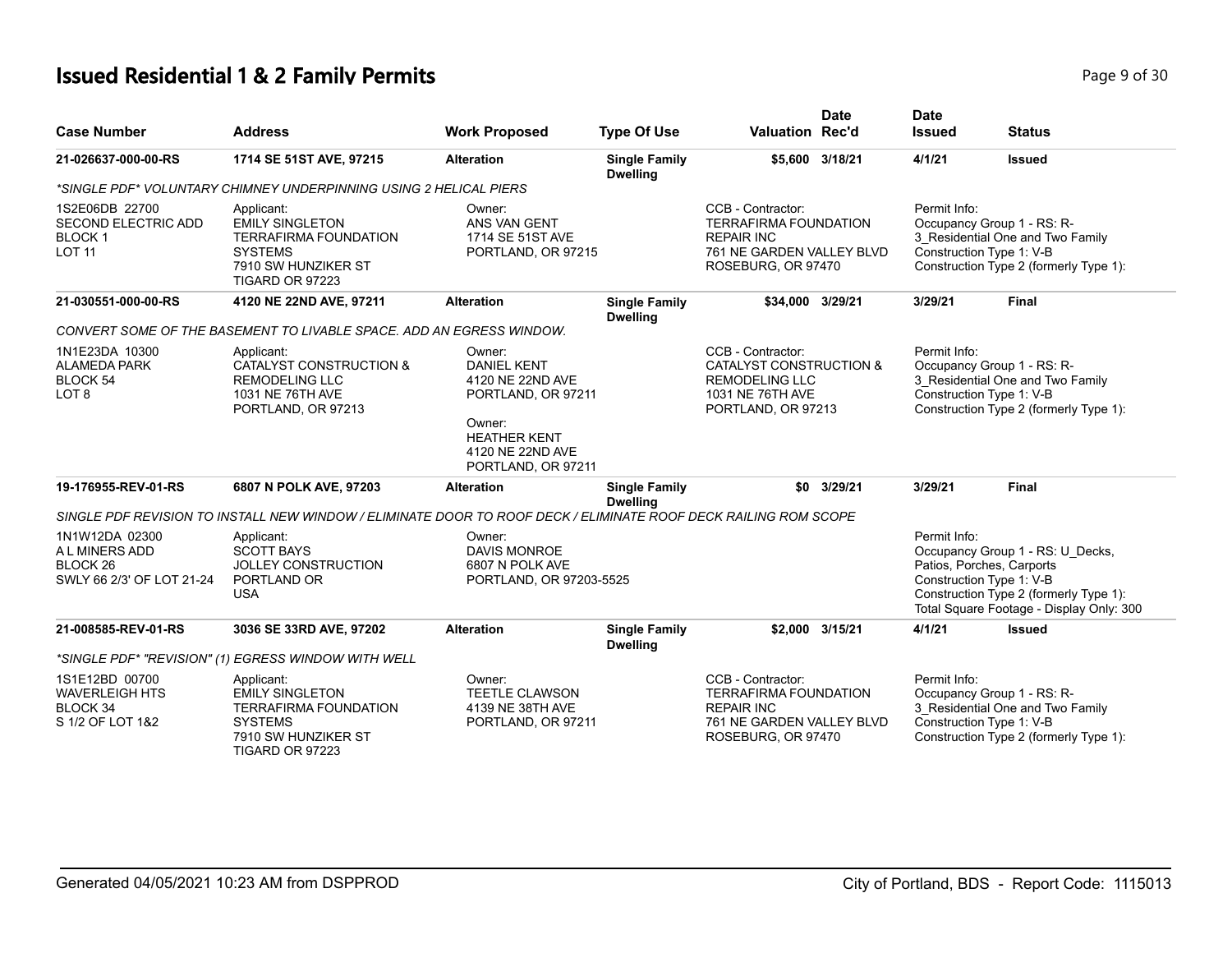# **Issued Residential 1 & 2 Family Permits Page 1 and 20 Interval 2 and 2 Page 9 of 30**

| <b>Case Number</b>                                                                   | <b>Address</b>                                                                                                                   | <b>Work Proposed</b>                                                                                                                              | <b>Type Of Use</b>                      | <b>Date</b><br><b>Valuation Rec'd</b>                                                                                     | <b>Date</b><br><b>Issued</b> | <b>Status</b>                                                                                                                                                                   |
|--------------------------------------------------------------------------------------|----------------------------------------------------------------------------------------------------------------------------------|---------------------------------------------------------------------------------------------------------------------------------------------------|-----------------------------------------|---------------------------------------------------------------------------------------------------------------------------|------------------------------|---------------------------------------------------------------------------------------------------------------------------------------------------------------------------------|
| 21-026637-000-00-RS                                                                  | 1714 SE 51ST AVE, 97215                                                                                                          | <b>Alteration</b>                                                                                                                                 | <b>Single Family</b><br><b>Dwelling</b> | \$5,600 3/18/21                                                                                                           | 4/1/21                       | <b>Issued</b>                                                                                                                                                                   |
|                                                                                      | *SINGLE PDF* VOLUNTARY CHIMNEY UNDERPINNING USING 2 HELICAL PIERS                                                                |                                                                                                                                                   |                                         |                                                                                                                           |                              |                                                                                                                                                                                 |
| 1S2E06DB 22700<br><b>SECOND ELECTRIC ADD</b><br><b>BLOCK1</b><br><b>LOT 11</b>       | Applicant:<br><b>EMILY SINGLETON</b><br><b>TERRAFIRMA FOUNDATION</b><br><b>SYSTEMS</b><br>7910 SW HUNZIKER ST<br>TIGARD OR 97223 | Owner:<br>ANS VAN GENT<br>1714 SE 51ST AVE<br>PORTLAND, OR 97215                                                                                  |                                         | CCB - Contractor:<br><b>TERRAFIRMA FOUNDATION</b><br><b>REPAIR INC</b><br>761 NE GARDEN VALLEY BLVD<br>ROSEBURG, OR 97470 | Permit Info:                 | Occupancy Group 1 - RS: R-<br>3_Residential One and Two Family<br>Construction Type 1: V-B<br>Construction Type 2 (formerly Type 1):                                            |
| 21-030551-000-00-RS                                                                  | 4120 NE 22ND AVE, 97211                                                                                                          | <b>Alteration</b>                                                                                                                                 | <b>Single Family</b><br><b>Dwelling</b> | \$34,000 3/29/21                                                                                                          | 3/29/21                      | <b>Final</b>                                                                                                                                                                    |
|                                                                                      | CONVERT SOME OF THE BASEMENT TO LIVABLE SPACE. ADD AN EGRESS WINDOW.                                                             |                                                                                                                                                   |                                         |                                                                                                                           |                              |                                                                                                                                                                                 |
| 1N1E23DA 10300<br>ALAMEDA PARK<br>BLOCK 54<br>LOT <sub>8</sub>                       | Applicant:<br><b>CATALYST CONSTRUCTION &amp;</b><br><b>REMODELING LLC</b><br>1031 NE 76TH AVE<br>PORTLAND, OR 97213              | Owner:<br><b>DANIEL KENT</b><br>4120 NE 22ND AVE<br>PORTLAND, OR 97211<br>Owner:<br><b>HEATHER KENT</b><br>4120 NE 22ND AVE<br>PORTLAND, OR 97211 |                                         | CCB - Contractor:<br>CATALYST CONSTRUCTION &<br><b>REMODELING LLC</b><br>1031 NE 76TH AVE<br>PORTLAND, OR 97213           | Permit Info:                 | Occupancy Group 1 - RS: R-<br>3_Residential One and Two Family<br>Construction Type 1: V-B<br>Construction Type 2 (formerly Type 1):                                            |
| 19-176955-REV-01-RS                                                                  | 6807 N POLK AVE, 97203                                                                                                           | <b>Alteration</b>                                                                                                                                 | <b>Single Family</b><br><b>Dwelling</b> | \$0 3/29/21                                                                                                               | 3/29/21                      | <b>Final</b>                                                                                                                                                                    |
|                                                                                      | SINGLE PDF REVISION TO INSTALL NEW WINDOW / ELIMINATE DOOR TO ROOF DECK / ELIMINATE ROOF DECK RAILING ROM SCOPE                  |                                                                                                                                                   |                                         |                                                                                                                           |                              |                                                                                                                                                                                 |
| 1N1W12DA 02300<br>A L MINERS ADD<br>BLOCK <sub>26</sub><br>SWLY 66 2/3' OF LOT 21-24 | Applicant:<br><b>SCOTT BAYS</b><br><b>JOLLEY CONSTRUCTION</b><br>PORTLAND OR<br><b>USA</b>                                       | Owner:<br><b>DAVIS MONROE</b><br>6807 N POLK AVE<br>PORTLAND, OR 97203-5525                                                                       |                                         |                                                                                                                           | Permit Info:                 | Occupancy Group 1 - RS: U_Decks,<br>Patios, Porches, Carports<br>Construction Type 1: V-B<br>Construction Type 2 (formerly Type 1):<br>Total Square Footage - Display Only: 300 |
| 21-008585-REV-01-RS                                                                  | 3036 SE 33RD AVE, 97202                                                                                                          | <b>Alteration</b>                                                                                                                                 | <b>Single Family</b><br><b>Dwelling</b> | \$2.000 3/15/21                                                                                                           | 4/1/21                       | <b>Issued</b>                                                                                                                                                                   |
|                                                                                      | *SINGLE PDF* "REVISION" (1) EGRESS WINDOW WITH WELL                                                                              |                                                                                                                                                   |                                         |                                                                                                                           |                              |                                                                                                                                                                                 |
| 1S1E12BD 00700<br><b>WAVERLEIGH HTS</b><br>BLOCK 34<br>S 1/2 OF LOT 1&2              | Applicant:<br><b>EMILY SINGLETON</b><br><b>TERRAFIRMA FOUNDATION</b><br><b>SYSTEMS</b><br>7910 SW HUNZIKER ST<br>TIGARD OR 97223 | Owner:<br><b>TEETLE CLAWSON</b><br>4139 NE 38TH AVE<br>PORTLAND, OR 97211                                                                         |                                         | CCB - Contractor:<br><b>TERRAFIRMA FOUNDATION</b><br><b>REPAIR INC</b><br>761 NE GARDEN VALLEY BLVD<br>ROSEBURG, OR 97470 | Permit Info:                 | Occupancy Group 1 - RS: R-<br>3 Residential One and Two Family<br>Construction Type 1: V-B<br>Construction Type 2 (formerly Type 1):                                            |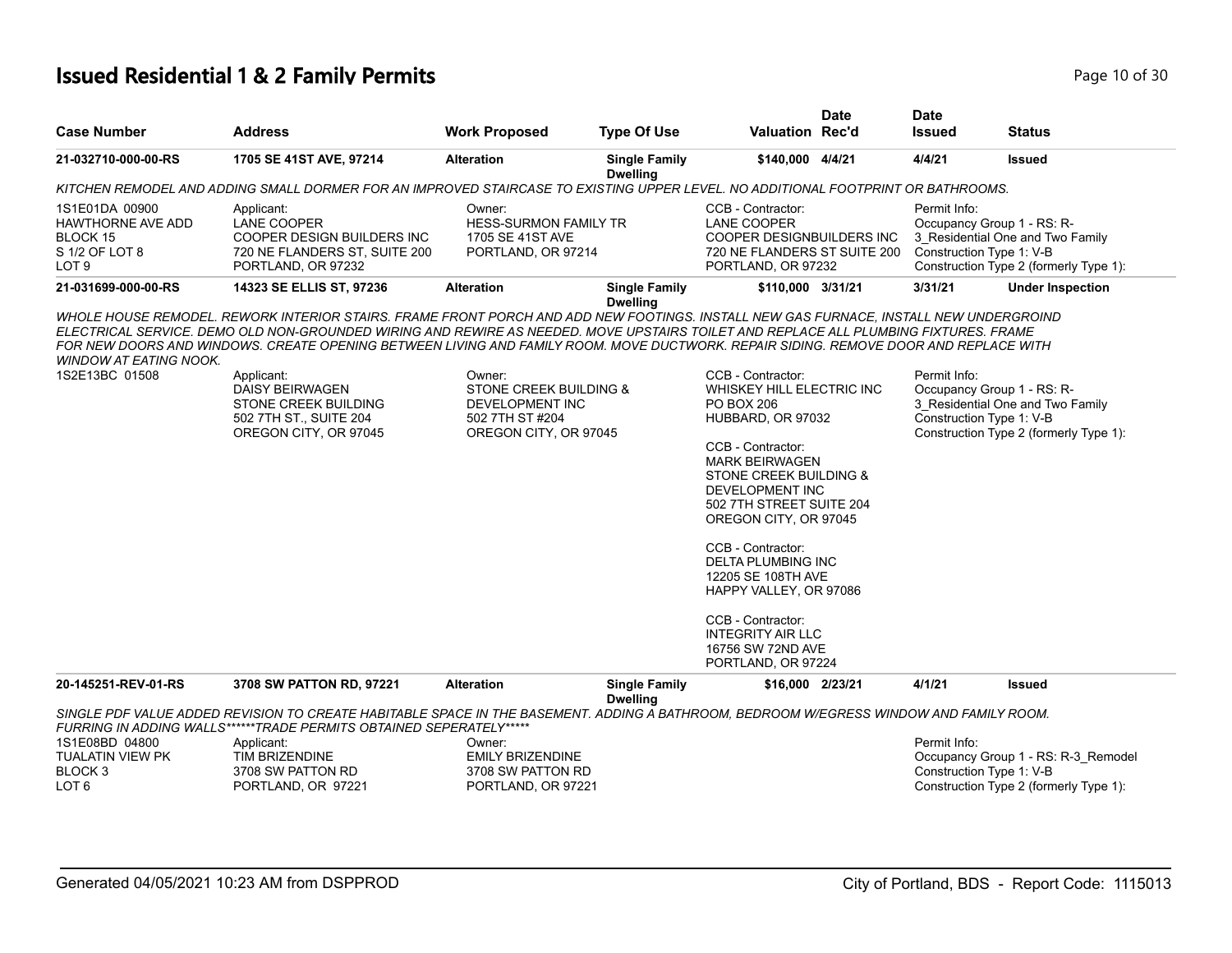#### **Issued Residential 1 & 2 Family Permits Page 10 of 30** Page 10 of 30

| <b>Case Number</b>                                                                           | <b>Address</b>                                                                                                                                                                                                                                                                                                                                                                           | <b>Work Proposed</b>                                                                                       | <b>Type Of Use</b>                      | <b>Valuation Rec'd</b>                                                                                                                                                                                                                                                                                                                                                                                                                 | <b>Date</b> | <b>Date</b><br><b>Issued</b> | <b>Status</b>                                                                                                                        |
|----------------------------------------------------------------------------------------------|------------------------------------------------------------------------------------------------------------------------------------------------------------------------------------------------------------------------------------------------------------------------------------------------------------------------------------------------------------------------------------------|------------------------------------------------------------------------------------------------------------|-----------------------------------------|----------------------------------------------------------------------------------------------------------------------------------------------------------------------------------------------------------------------------------------------------------------------------------------------------------------------------------------------------------------------------------------------------------------------------------------|-------------|------------------------------|--------------------------------------------------------------------------------------------------------------------------------------|
| 21-032710-000-00-RS                                                                          | 1705 SE 41ST AVE, 97214                                                                                                                                                                                                                                                                                                                                                                  | <b>Alteration</b>                                                                                          | <b>Single Family</b><br><b>Dwelling</b> | \$140,000 4/4/21                                                                                                                                                                                                                                                                                                                                                                                                                       |             | 4/4/21                       | <b>Issued</b>                                                                                                                        |
|                                                                                              | KITCHEN REMODEL AND ADDING SMALL DORMER FOR AN IMPROVED STAIRCASE TO EXISTING UPPER LEVEL. NO ADDITIONAL FOOTPRINT OR BATHROOMS.                                                                                                                                                                                                                                                         |                                                                                                            |                                         |                                                                                                                                                                                                                                                                                                                                                                                                                                        |             |                              |                                                                                                                                      |
| 1S1E01DA 00900<br><b>HAWTHORNE AVE ADD</b><br>BLOCK 15<br>S 1/2 OF LOT 8<br>LOT <sub>9</sub> | Applicant:<br>LANE COOPER<br>COOPER DESIGN BUILDERS INC<br>720 NE FLANDERS ST, SUITE 200<br>PORTLAND, OR 97232                                                                                                                                                                                                                                                                           | Owner:<br><b>HESS-SURMON FAMILY TR</b><br>1705 SE 41ST AVE<br>PORTLAND, OR 97214                           |                                         | CCB - Contractor:<br><b>LANE COOPER</b><br>COOPER DESIGNBUILDERS INC<br>720 NE FLANDERS ST SUITE 200<br>PORTLAND, OR 97232                                                                                                                                                                                                                                                                                                             |             | Permit Info:                 | Occupancy Group 1 - RS: R-<br>3_Residential One and Two Family<br>Construction Type 1: V-B<br>Construction Type 2 (formerly Type 1): |
| 21-031699-000-00-RS                                                                          | 14323 SE ELLIS ST, 97236                                                                                                                                                                                                                                                                                                                                                                 | <b>Alteration</b>                                                                                          | <b>Single Family</b><br><b>Dwelling</b> | \$110,000 3/31/21                                                                                                                                                                                                                                                                                                                                                                                                                      |             | 3/31/21                      | <b>Under Inspection</b>                                                                                                              |
| <b>WINDOW AT EATING NOOK.</b><br>1S2E13BC 01508                                              | ELECTRICAL SERVICE. DEMO OLD NON-GROUNDED WIRING AND REWIRE AS NEEDED. MOVE UPSTAIRS TOILET AND REPLACE ALL PLUMBING FIXTURES. FRAME<br>FOR NEW DOORS AND WINDOWS. CREATE OPENING BETWEEN LIVING AND FAMILY ROOM. MOVE DUCTWORK. REPAIR SIDING. REMOVE DOOR AND REPLACE WITH<br>Applicant:<br>DAISY BEIRWAGEN<br>STONE CREEK BUILDING<br>502 7TH ST., SUITE 204<br>OREGON CITY, OR 97045 | Owner:<br><b>STONE CREEK BUILDING &amp;</b><br>DEVELOPMENT INC<br>502 7TH ST #204<br>OREGON CITY, OR 97045 |                                         | CCB - Contractor:<br>WHISKEY HILL ELECTRIC INC<br><b>PO BOX 206</b><br>HUBBARD, OR 97032<br>CCB - Contractor:<br><b>MARK BEIRWAGEN</b><br>STONE CREEK BUILDING &<br><b>DEVELOPMENT INC</b><br>502 7TH STREET SUITE 204<br>OREGON CITY, OR 97045<br>CCB - Contractor:<br>DELTA PLUMBING INC<br>12205 SE 108TH AVE<br>HAPPY VALLEY, OR 97086<br>CCB - Contractor:<br><b>INTEGRITY AIR LLC</b><br>16756 SW 72ND AVE<br>PORTLAND, OR 97224 |             | Permit Info:                 | Occupancy Group 1 - RS: R-<br>3 Residential One and Two Family<br>Construction Type 1: V-B<br>Construction Type 2 (formerly Type 1): |
| 20-145251-REV-01-RS                                                                          | 3708 SW PATTON RD, 97221                                                                                                                                                                                                                                                                                                                                                                 | <b>Alteration</b>                                                                                          | <b>Single Family</b><br><b>Dwelling</b> | \$16,000 2/23/21                                                                                                                                                                                                                                                                                                                                                                                                                       |             | 4/1/21                       | <b>Issued</b>                                                                                                                        |
|                                                                                              | SINGLE PDF VALUE ADDED REVISION TO CREATE HABITABLE SPACE IN THE BASEMENT. ADDING A BATHROOM, BEDROOM W/EGRESS WINDOW AND FAMILY ROOM.                                                                                                                                                                                                                                                   |                                                                                                            |                                         |                                                                                                                                                                                                                                                                                                                                                                                                                                        |             |                              |                                                                                                                                      |
|                                                                                              | FURRING IN ADDING WALLS******TRADE PERMITS OBTAINED SEPERATELY*****                                                                                                                                                                                                                                                                                                                      |                                                                                                            |                                         |                                                                                                                                                                                                                                                                                                                                                                                                                                        |             |                              |                                                                                                                                      |
| 1S1E08BD 04800<br><b>TUALATIN VIEW PK</b>                                                    | Applicant:<br><b>TIM BRIZENDINE</b>                                                                                                                                                                                                                                                                                                                                                      | Owner:<br><b>EMILY BRIZENDINE</b>                                                                          |                                         |                                                                                                                                                                                                                                                                                                                                                                                                                                        |             | Permit Info:                 | Occupancy Group 1 - RS: R-3 Remodel                                                                                                  |
| <b>BLOCK3</b><br>LOT 6                                                                       | 3708 SW PATTON RD<br>PORTLAND, OR 97221                                                                                                                                                                                                                                                                                                                                                  | 3708 SW PATTON RD<br>PORTLAND, OR 97221                                                                    |                                         |                                                                                                                                                                                                                                                                                                                                                                                                                                        |             |                              | Construction Type 1: V-B<br>Construction Type 2 (formerly Type 1):                                                                   |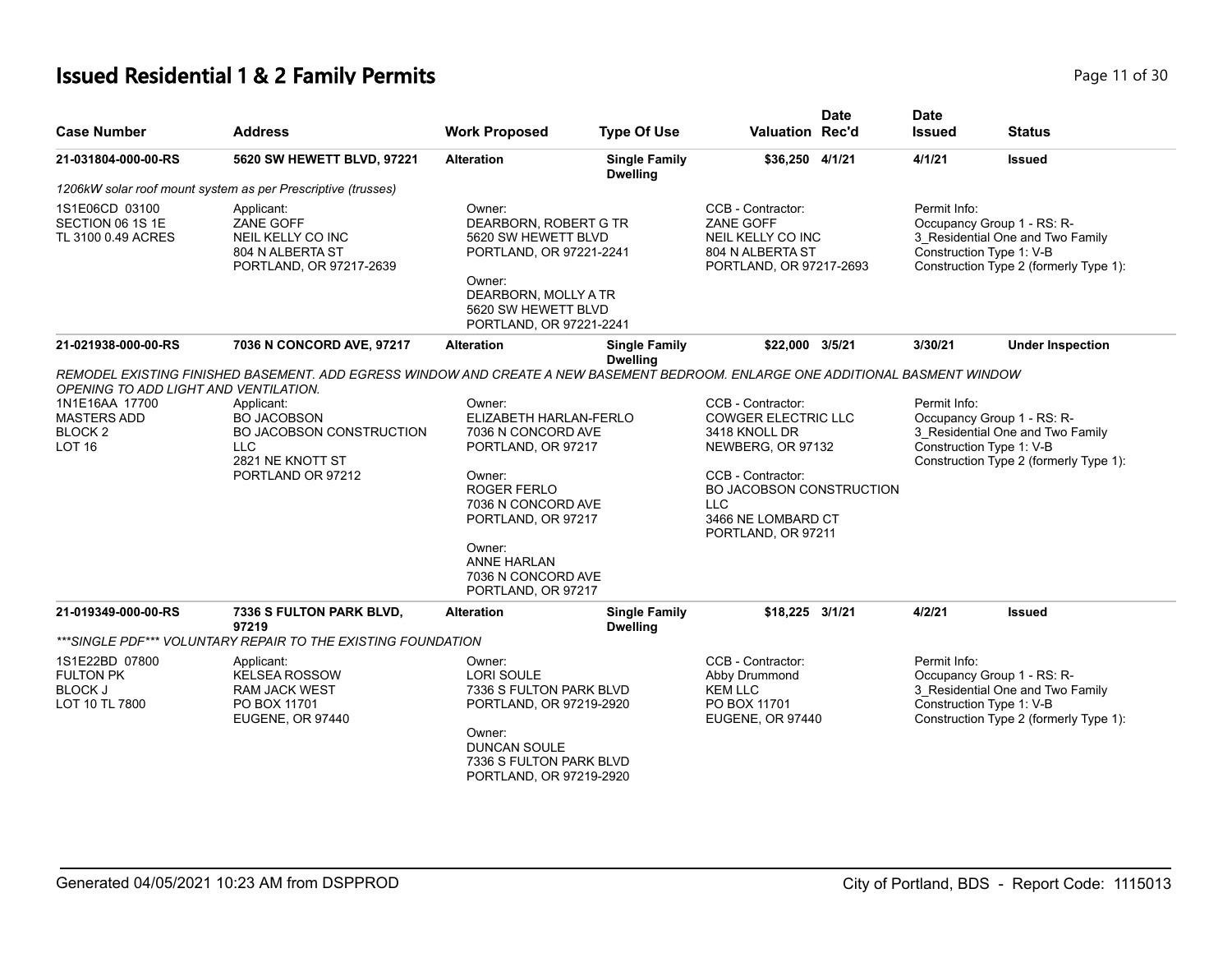# **Issued Residential 1 & 2 Family Permits Page 11 of 30 Page 11 of 30**

| <b>Case Number</b>                                                     | <b>Address</b>                                                                                                                 | <b>Work Proposed</b>                                                                                                                                                                                                          | <b>Type Of Use</b>                      | <b>Valuation Rec'd</b>                                                                                                                                                                                  | <b>Date</b> | <b>Date</b><br><b>Issued</b> | <b>Status</b>                                                                                                                        |
|------------------------------------------------------------------------|--------------------------------------------------------------------------------------------------------------------------------|-------------------------------------------------------------------------------------------------------------------------------------------------------------------------------------------------------------------------------|-----------------------------------------|---------------------------------------------------------------------------------------------------------------------------------------------------------------------------------------------------------|-------------|------------------------------|--------------------------------------------------------------------------------------------------------------------------------------|
| 21-031804-000-00-RS                                                    | 5620 SW HEWETT BLVD, 97221                                                                                                     | <b>Alteration</b>                                                                                                                                                                                                             | <b>Single Family</b><br><b>Dwelling</b> | \$36,250 4/1/21                                                                                                                                                                                         |             | 4/1/21                       | <b>Issued</b>                                                                                                                        |
|                                                                        | 1206kW solar roof mount system as per Prescriptive (trusses)                                                                   |                                                                                                                                                                                                                               |                                         |                                                                                                                                                                                                         |             |                              |                                                                                                                                      |
| 1S1E06CD 03100<br>SECTION 06 1S 1E<br>TL 3100 0.49 ACRES               | Applicant:<br>ZANE GOFF<br>NEIL KELLY CO INC<br>804 N ALBERTA ST<br>PORTLAND, OR 97217-2639                                    | Owner:<br>DEARBORN, ROBERT G TR<br>5620 SW HEWETT BLVD<br>PORTLAND, OR 97221-2241<br>Owner:<br>DEARBORN, MOLLY A TR<br>5620 SW HEWETT BLVD<br>PORTLAND, OR 97221-2241                                                         |                                         | CCB - Contractor:<br>ZANE GOFF<br>NEIL KELLY CO INC<br>804 N ALBERTA ST<br>PORTLAND, OR 97217-2693                                                                                                      |             | Permit Info:                 | Occupancy Group 1 - RS: R-<br>3 Residential One and Two Family<br>Construction Type 1: V-B<br>Construction Type 2 (formerly Type 1): |
| 21-021938-000-00-RS                                                    | 7036 N CONCORD AVE, 97217                                                                                                      | <b>Alteration</b>                                                                                                                                                                                                             | <b>Single Family</b><br><b>Dwelling</b> | \$22,000 3/5/21                                                                                                                                                                                         |             | 3/30/21                      | <b>Under Inspection</b>                                                                                                              |
| OPENING TO ADD LIGHT AND VENTILATION.                                  | REMODEL EXISTING FINISHED BASEMENT. ADD EGRESS WINDOW AND CREATE A NEW BASEMENT BEDROOM. ENLARGE ONE ADDITIONAL BASMENT WINDOW |                                                                                                                                                                                                                               |                                         |                                                                                                                                                                                                         |             |                              |                                                                                                                                      |
| 1N1E16AA 17700<br><b>MASTERS ADD</b><br><b>BLOCK2</b><br><b>LOT 16</b> | Applicant:<br><b>BO JACOBSON</b><br>BO JACOBSON CONSTRUCTION<br><b>LLC</b><br>2821 NE KNOTT ST<br>PORTLAND OR 97212            | Owner:<br>ELIZABETH HARLAN-FERLO<br>7036 N CONCORD AVE<br>PORTLAND, OR 97217<br>Owner:<br>ROGER FERLO<br>7036 N CONCORD AVE<br>PORTLAND, OR 97217<br>Owner:<br><b>ANNE HARLAN</b><br>7036 N CONCORD AVE<br>PORTLAND, OR 97217 |                                         | CCB - Contractor:<br><b>COWGER ELECTRIC LLC</b><br>3418 KNOLL DR<br>NEWBERG, OR 97132<br>CCB - Contractor:<br><b>BO JACOBSON CONSTRUCTION</b><br><b>LLC</b><br>3466 NE LOMBARD CT<br>PORTLAND, OR 97211 |             | Permit Info:                 | Occupancy Group 1 - RS: R-<br>3 Residential One and Two Family<br>Construction Type 1: V-B<br>Construction Type 2 (formerly Type 1): |
| 21-019349-000-00-RS                                                    | 7336 S FULTON PARK BLVD,<br>97219                                                                                              | <b>Alteration</b>                                                                                                                                                                                                             | <b>Single Family</b><br><b>Dwelling</b> | \$18,225 3/1/21                                                                                                                                                                                         |             | 4/2/21                       | <b>Issued</b>                                                                                                                        |
|                                                                        | ***SINGLE PDF*** VOLUNTARY REPAIR TO THE EXISTING FOUNDATION                                                                   |                                                                                                                                                                                                                               |                                         |                                                                                                                                                                                                         |             |                              |                                                                                                                                      |
| 1S1E22BD 07800<br><b>FULTON PK</b><br><b>BLOCK J</b><br>LOT 10 TL 7800 | Applicant:<br><b>KELSEA ROSSOW</b><br><b>RAM JACK WEST</b><br>PO BOX 11701<br><b>EUGENE, OR 97440</b>                          | Owner:<br><b>LORI SOULE</b><br>7336 S FULTON PARK BLVD<br>PORTLAND, OR 97219-2920<br>Owner:<br><b>DUNCAN SOULE</b><br>7336 S FULTON PARK BLVD<br>PORTLAND, OR 97219-2920                                                      |                                         | CCB - Contractor:<br>Abby Drummond<br><b>KEM LLC</b><br>PO BOX 11701<br>EUGENE, OR 97440                                                                                                                |             | Permit Info:                 | Occupancy Group 1 - RS: R-<br>3 Residential One and Two Family<br>Construction Type 1: V-B<br>Construction Type 2 (formerly Type 1): |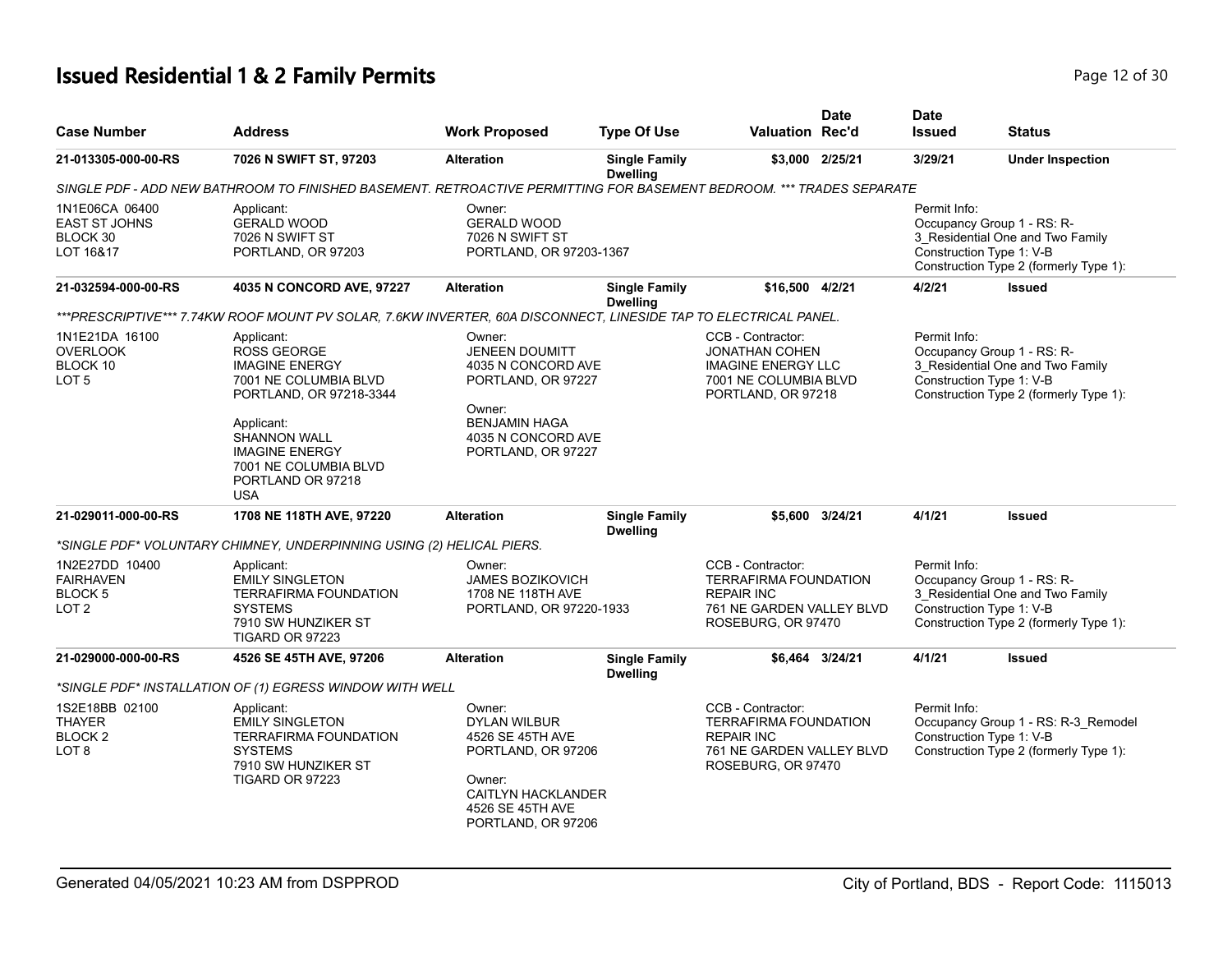# **Issued Residential 1 & 2 Family Permits Page 12 of 30 Page 12 of 30**

| <b>Case Number</b>                                                   | <b>Address</b>                                                                                                                                                                                                                          | <b>Work Proposed</b>                                                                                                                                      | <b>Type Of Use</b>                      | Valuation Rec'd                                                                                                           | <b>Date</b>     | <b>Date</b><br><b>Issued</b> | <b>Status</b>                                                                                                                        |
|----------------------------------------------------------------------|-----------------------------------------------------------------------------------------------------------------------------------------------------------------------------------------------------------------------------------------|-----------------------------------------------------------------------------------------------------------------------------------------------------------|-----------------------------------------|---------------------------------------------------------------------------------------------------------------------------|-----------------|------------------------------|--------------------------------------------------------------------------------------------------------------------------------------|
| 21-013305-000-00-RS                                                  | 7026 N SWIFT ST, 97203                                                                                                                                                                                                                  | <b>Alteration</b>                                                                                                                                         | <b>Single Family</b><br><b>Dwelling</b> |                                                                                                                           | \$3,000 2/25/21 | 3/29/21                      | <b>Under Inspection</b>                                                                                                              |
|                                                                      | SINGLE PDF - ADD NEW BATHROOM TO FINISHED BASEMENT. RETROACTIVE PERMITTING FOR BASEMENT BEDROOM. *** TRADES SEPARATE                                                                                                                    |                                                                                                                                                           |                                         |                                                                                                                           |                 |                              |                                                                                                                                      |
| 1N1E06CA 06400<br><b>EAST ST JOHNS</b><br>BLOCK 30<br>LOT 16&17      | Applicant:<br><b>GERALD WOOD</b><br>7026 N SWIFT ST<br>PORTLAND, OR 97203                                                                                                                                                               | Owner:<br><b>GERALD WOOD</b><br>7026 N SWIFT ST<br>PORTLAND, OR 97203-1367                                                                                |                                         |                                                                                                                           |                 | Permit Info:                 | Occupancy Group 1 - RS: R-<br>3_Residential One and Two Family<br>Construction Type 1: V-B<br>Construction Type 2 (formerly Type 1): |
| 21-032594-000-00-RS                                                  | 4035 N CONCORD AVE, 97227                                                                                                                                                                                                               | <b>Alteration</b>                                                                                                                                         | <b>Single Family</b><br><b>Dwelling</b> | \$16,500 4/2/21                                                                                                           |                 | 4/2/21                       | <b>Issued</b>                                                                                                                        |
|                                                                      | ***PRESCRIPTIVE*** 7.74KW ROOF MOUNT PV SOLAR, 7.6KW INVERTER, 60A DISCONNECT, LINESIDE TAP TO ELECTRICAL PANEL.                                                                                                                        |                                                                                                                                                           |                                         |                                                                                                                           |                 |                              |                                                                                                                                      |
| 1N1E21DA 16100<br><b>OVERLOOK</b><br>BLOCK 10<br>LOT <sub>5</sub>    | Applicant:<br><b>ROSS GEORGE</b><br><b>IMAGINE ENERGY</b><br>7001 NE COLUMBIA BLVD<br>PORTLAND, OR 97218-3344<br>Applicant:<br><b>SHANNON WALL</b><br><b>IMAGINE ENERGY</b><br>7001 NE COLUMBIA BLVD<br>PORTLAND OR 97218<br><b>USA</b> | Owner:<br><b>JENEEN DOUMITT</b><br>4035 N CONCORD AVE<br>PORTLAND, OR 97227<br>Owner:<br><b>BENJAMIN HAGA</b><br>4035 N CONCORD AVE<br>PORTLAND, OR 97227 |                                         | CCB - Contractor:<br><b>JONATHAN COHEN</b><br><b>IMAGINE ENERGY LLC</b><br>7001 NE COLUMBIA BLVD<br>PORTLAND, OR 97218    |                 | Permit Info:                 | Occupancy Group 1 - RS: R-<br>3 Residential One and Two Family<br>Construction Type 1: V-B<br>Construction Type 2 (formerly Type 1): |
| 21-029011-000-00-RS                                                  | 1708 NE 118TH AVE, 97220                                                                                                                                                                                                                | <b>Alteration</b>                                                                                                                                         | <b>Single Family</b><br><b>Dwelling</b> |                                                                                                                           | \$5,600 3/24/21 | 4/1/21                       | Issued                                                                                                                               |
|                                                                      | *SINGLE PDF* VOLUNTARY CHIMNEY, UNDERPINNING USING (2) HELICAL PIERS.                                                                                                                                                                   |                                                                                                                                                           |                                         |                                                                                                                           |                 |                              |                                                                                                                                      |
| 1N2E27DD 10400<br><b>FAIRHAVEN</b><br>BLOCK 5<br>LOT <sub>2</sub>    | Applicant:<br><b>EMILY SINGLETON</b><br><b>TERRAFIRMA FOUNDATION</b><br><b>SYSTEMS</b><br>7910 SW HUNZIKER ST<br><b>TIGARD OR 97223</b>                                                                                                 | Owner:<br><b>JAMES BOZIKOVICH</b><br>1708 NE 118TH AVE<br>PORTLAND, OR 97220-1933                                                                         |                                         | CCB - Contractor:<br><b>TERRAFIRMA FOUNDATION</b><br><b>REPAIR INC</b><br>761 NE GARDEN VALLEY BLVD<br>ROSEBURG, OR 97470 |                 | Permit Info:                 | Occupancy Group 1 - RS: R-<br>3_Residential One and Two Family<br>Construction Type 1: V-B<br>Construction Type 2 (formerly Type 1): |
| 21-029000-000-00-RS                                                  | 4526 SE 45TH AVE, 97206                                                                                                                                                                                                                 | <b>Alteration</b>                                                                                                                                         | <b>Single Family</b><br><b>Dwelling</b> |                                                                                                                           | \$6.464 3/24/21 | 4/1/21                       | <b>Issued</b>                                                                                                                        |
|                                                                      | *SINGLE PDF* INSTALLATION OF (1) EGRESS WINDOW WITH WELL                                                                                                                                                                                |                                                                                                                                                           |                                         |                                                                                                                           |                 |                              |                                                                                                                                      |
| 1S2E18BB 02100<br><b>THAYER</b><br><b>BLOCK2</b><br>LOT <sub>8</sub> | Applicant:<br><b>EMILY SINGLETON</b><br><b>TERRAFIRMA FOUNDATION</b><br><b>SYSTEMS</b><br>7910 SW HUNZIKER ST<br>TIGARD OR 97223                                                                                                        | Owner:<br><b>DYLAN WILBUR</b><br>4526 SE 45TH AVE<br>PORTLAND, OR 97206<br>Owner:<br><b>CAITLYN HACKLANDER</b><br>4526 SE 45TH AVE<br>PORTLAND, OR 97206  |                                         | CCB - Contractor:<br><b>TERRAFIRMA FOUNDATION</b><br><b>REPAIR INC</b><br>761 NE GARDEN VALLEY BLVD<br>ROSEBURG, OR 97470 |                 | Permit Info:                 | Occupancy Group 1 - RS: R-3_Remodel<br>Construction Type 1: V-B<br>Construction Type 2 (formerly Type 1):                            |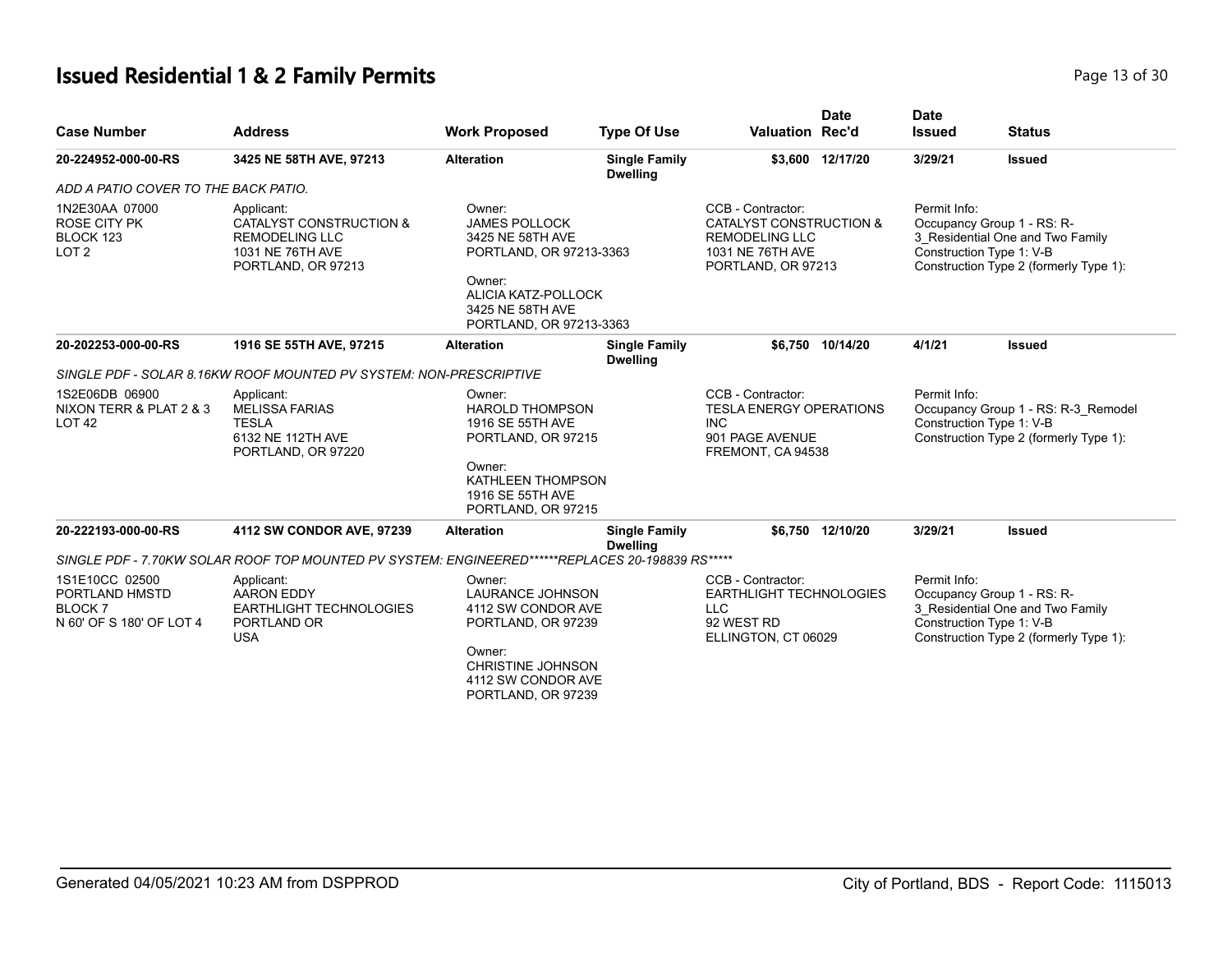# **Issued Residential 1 & 2 Family Permits Page 13 of 30 Page 13 of 30**

| <b>Case Number</b>                                                            | <b>Address</b>                                                                                                      | <b>Work Proposed</b>                                                                                                                                          | <b>Type Of Use</b>                      | <b>Valuation Rec'd</b>                                                                                          | <b>Date</b>      | <b>Date</b><br><b>Issued</b> | <b>Status</b>                                                                                                                        |  |
|-------------------------------------------------------------------------------|---------------------------------------------------------------------------------------------------------------------|---------------------------------------------------------------------------------------------------------------------------------------------------------------|-----------------------------------------|-----------------------------------------------------------------------------------------------------------------|------------------|------------------------------|--------------------------------------------------------------------------------------------------------------------------------------|--|
| 20-224952-000-00-RS                                                           | 3425 NE 58TH AVE, 97213                                                                                             | <b>Alteration</b>                                                                                                                                             | <b>Single Family</b><br><b>Dwelling</b> |                                                                                                                 | \$3,600 12/17/20 | 3/29/21                      | <b>Issued</b>                                                                                                                        |  |
| ADD A PATIO COVER TO THE BACK PATIO.                                          |                                                                                                                     |                                                                                                                                                               |                                         |                                                                                                                 |                  |                              |                                                                                                                                      |  |
| 1N2E30AA 07000<br><b>ROSE CITY PK</b><br>BLOCK 123<br>LOT <sub>2</sub>        | Applicant:<br><b>CATALYST CONSTRUCTION &amp;</b><br><b>REMODELING LLC</b><br>1031 NE 76TH AVE<br>PORTLAND, OR 97213 | Owner:<br><b>JAMES POLLOCK</b><br>3425 NE 58TH AVE<br>PORTLAND, OR 97213-3363<br>Owner:<br>ALICIA KATZ-POLLOCK<br>3425 NE 58TH AVE<br>PORTLAND, OR 97213-3363 |                                         | CCB - Contractor:<br>CATALYST CONSTRUCTION &<br><b>REMODELING LLC</b><br>1031 NE 76TH AVE<br>PORTLAND, OR 97213 |                  | Permit Info:                 | Occupancy Group 1 - RS: R-<br>3_Residential One and Two Family<br>Construction Type 1: V-B<br>Construction Type 2 (formerly Type 1): |  |
| 20-202253-000-00-RS                                                           | 1916 SE 55TH AVE, 97215                                                                                             | <b>Alteration</b>                                                                                                                                             | <b>Single Family</b><br><b>Dwelling</b> |                                                                                                                 | \$6.750 10/14/20 | 4/1/21                       | <b>Issued</b>                                                                                                                        |  |
|                                                                               | SINGLE PDF - SOLAR 8.16KW ROOF MOUNTED PV SYSTEM: NON-PRESCRIPTIVE                                                  |                                                                                                                                                               |                                         |                                                                                                                 |                  |                              |                                                                                                                                      |  |
| 1S2E06DB 06900<br>NIXON TERR & PLAT 2 & 3<br><b>LOT 42</b>                    | Applicant:<br><b>MELISSA FARIAS</b><br><b>TESLA</b><br>6132 NE 112TH AVE<br>PORTLAND, OR 97220                      | Owner:<br><b>HAROLD THOMPSON</b><br>1916 SE 55TH AVE<br>PORTLAND, OR 97215<br>Owner:<br>KATHLEEN THOMPSON<br>1916 SE 55TH AVE<br>PORTLAND, OR 97215           |                                         | CCB - Contractor:<br><b>TESLA ENERGY OPERATIONS</b><br><b>INC</b><br>901 PAGE AVENUE<br>FREMONT, CA 94538       |                  | Permit Info:                 | Occupancy Group 1 - RS: R-3_Remodel<br>Construction Type 1: V-B<br>Construction Type 2 (formerly Type 1):                            |  |
| 20-222193-000-00-RS                                                           | 4112 SW CONDOR AVE, 97239                                                                                           | <b>Alteration</b>                                                                                                                                             | <b>Single Family</b><br><b>Dwelling</b> |                                                                                                                 | \$6,750 12/10/20 | 3/29/21                      | <b>Issued</b>                                                                                                                        |  |
|                                                                               | SINGLE PDF - 7.70KW SOLAR ROOF TOP MOUNTED PV SYSTEM: ENGINEERED******REPLACES 20-198839 RS*****                    |                                                                                                                                                               |                                         |                                                                                                                 |                  |                              |                                                                                                                                      |  |
| 1S1E10CC 02500<br>PORTLAND HMSTD<br><b>BLOCK7</b><br>N 60' OF S 180' OF LOT 4 | Applicant:<br><b>AARON EDDY</b><br><b>EARTHLIGHT TECHNOLOGIES</b><br>PORTLAND OR<br><b>USA</b>                      | Owner:<br><b>LAURANCE JOHNSON</b><br>4112 SW CONDOR AVE<br>PORTLAND, OR 97239<br>Owner:<br>CHRISTINE JOHNSON<br>4112 SW CONDOR AVE<br>PORTLAND, OR 97239      |                                         | CCB - Contractor:<br>EARTHLIGHT TECHNOLOGIES<br><b>LLC</b><br>92 WEST RD<br>ELLINGTON, CT 06029                 |                  | Permit Info:                 | Occupancy Group 1 - RS: R-<br>3_Residential One and Two Family<br>Construction Type 1: V-B<br>Construction Type 2 (formerly Type 1): |  |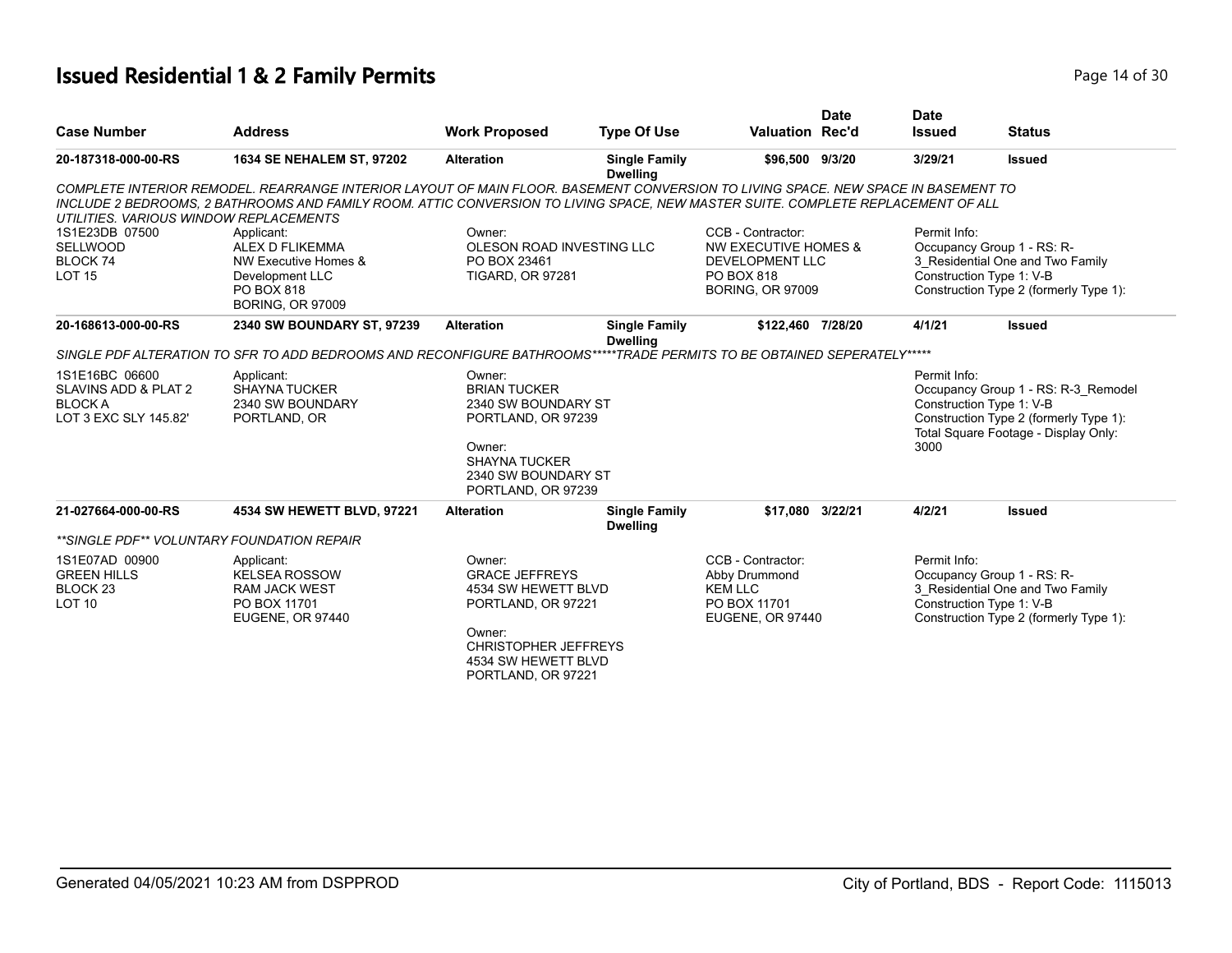# **Issued Residential 1 & 2 Family Permits Page 14 of 30 Page 14 of 30**

| Occupancy Group 1 - RS: R-                                                     |
|--------------------------------------------------------------------------------|
| 3 Residential One and Two Family                                               |
|                                                                                |
| Construction Type 2 (formerly Type 1):                                         |
|                                                                                |
|                                                                                |
|                                                                                |
|                                                                                |
| Occupancy Group 1 - RS: R-3 Remodel                                            |
|                                                                                |
| Construction Type 2 (formerly Type 1):<br>Total Square Footage - Display Only: |
|                                                                                |
|                                                                                |
|                                                                                |
|                                                                                |
|                                                                                |
|                                                                                |
|                                                                                |
| Occupancy Group 1 - RS: R-                                                     |
| 3_Residential One and Two Family                                               |
|                                                                                |
| Construction Type 2 (formerly Type 1):                                         |
|                                                                                |
|                                                                                |
|                                                                                |
|                                                                                |
|                                                                                |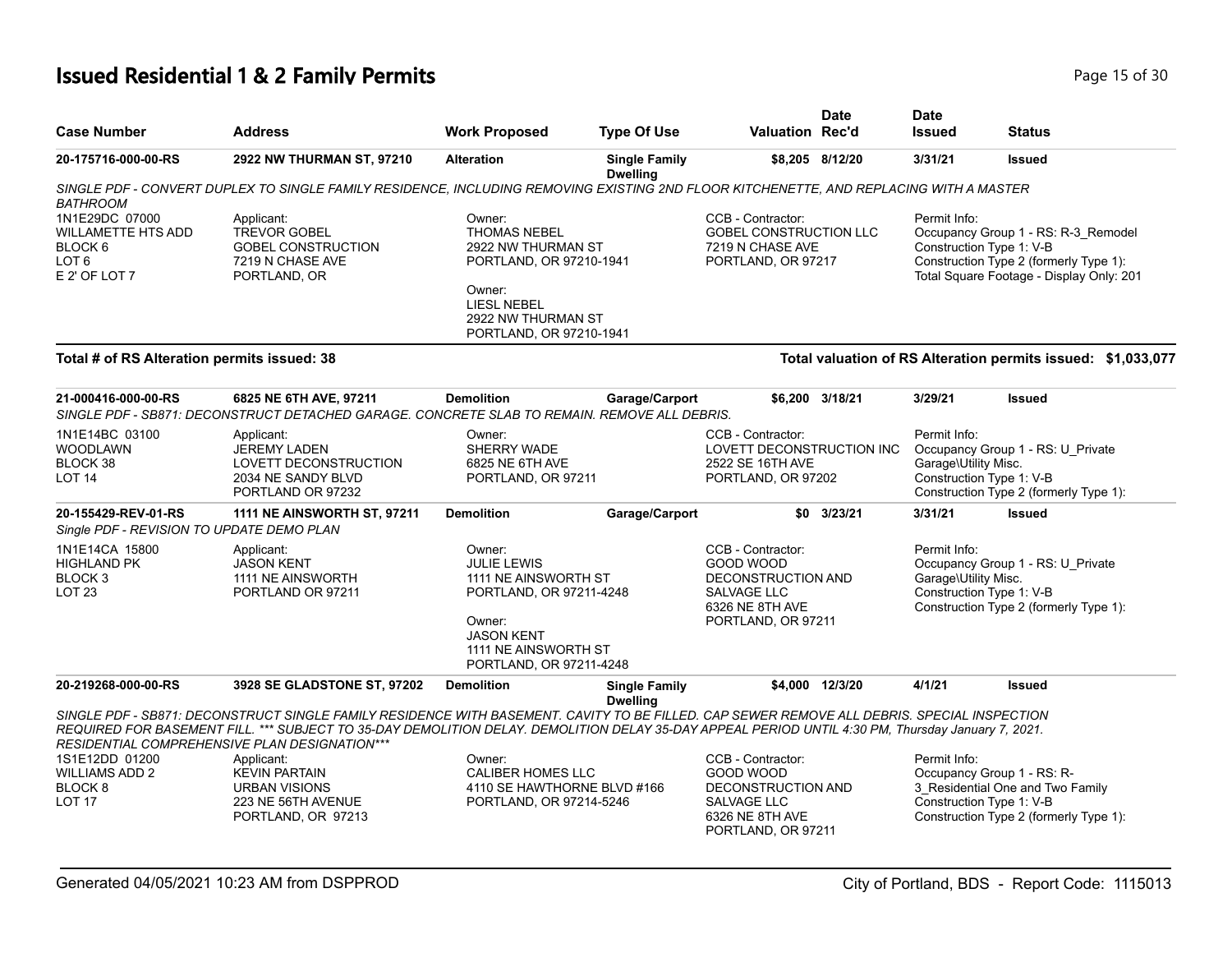# **Issued Residential 1 & 2 Family Permits Page 15 of 30 Page 15 of 30**

| <b>Case Number</b>                                                                              | <b>Address</b>                                                                                                                                                                                                                                                                                                                                     | <b>Work Proposed</b>                                                                                                                                              | <b>Type Of Use</b>                      | Valuation Rec'd                                                                                                     | <b>Date</b>     | <b>Date</b><br><b>Issued</b>         | <b>Status</b>                                                                                                                                         |
|-------------------------------------------------------------------------------------------------|----------------------------------------------------------------------------------------------------------------------------------------------------------------------------------------------------------------------------------------------------------------------------------------------------------------------------------------------------|-------------------------------------------------------------------------------------------------------------------------------------------------------------------|-----------------------------------------|---------------------------------------------------------------------------------------------------------------------|-----------------|--------------------------------------|-------------------------------------------------------------------------------------------------------------------------------------------------------|
| 20-175716-000-00-RS                                                                             | 2922 NW THURMAN ST, 97210                                                                                                                                                                                                                                                                                                                          | <b>Alteration</b>                                                                                                                                                 | <b>Single Family</b><br><b>Dwelling</b> |                                                                                                                     | \$8,205 8/12/20 | 3/31/21                              | <b>Issued</b>                                                                                                                                         |
|                                                                                                 | SINGLE PDF - CONVERT DUPLEX TO SINGLE FAMILY RESIDENCE, INCLUDING REMOVING EXISTING 2ND FLOOR KITCHENETTE, AND REPLACING WITH A MASTER                                                                                                                                                                                                             |                                                                                                                                                                   |                                         |                                                                                                                     |                 |                                      |                                                                                                                                                       |
| <b>BATHROOM</b>                                                                                 |                                                                                                                                                                                                                                                                                                                                                    |                                                                                                                                                                   |                                         |                                                                                                                     |                 |                                      |                                                                                                                                                       |
| 1N1E29DC 07000<br>WILLAMETTE HTS ADD<br>BLOCK <sub>6</sub><br>LOT <sub>6</sub><br>E 2' OF LOT 7 | Applicant:<br><b>TREVOR GOBEL</b><br><b>GOBEL CONSTRUCTION</b><br>7219 N CHASE AVE<br>PORTLAND, OR                                                                                                                                                                                                                                                 | Owner:<br><b>THOMAS NEBEL</b><br>2922 NW THURMAN ST<br>PORTLAND, OR 97210-1941<br>Owner:<br><b>LIESL NEBEL</b><br>2922 NW THURMAN ST                              |                                         | CCB - Contractor:<br>GOBEL CONSTRUCTION LLC<br>7219 N CHASE AVE<br>PORTLAND, OR 97217                               |                 | Permit Info:                         | Occupancy Group 1 - RS: R-3_Remodel<br>Construction Type 1: V-B<br>Construction Type 2 (formerly Type 1):<br>Total Square Footage - Display Only: 201 |
| Total # of RS Alteration permits issued: 38                                                     |                                                                                                                                                                                                                                                                                                                                                    | PORTLAND, OR 97210-1941                                                                                                                                           |                                         |                                                                                                                     |                 |                                      | Total valuation of RS Alteration permits issued: \$1,033,077                                                                                          |
| 21-000416-000-00-RS                                                                             | 6825 NE 6TH AVE, 97211<br>SINGLE PDF - SB871: DECONSTRUCT DETACHED GARAGE. CONCRETE SLAB TO REMAIN. REMOVE ALL DEBRIS.                                                                                                                                                                                                                             | <b>Demolition</b>                                                                                                                                                 | Garage/Carport                          |                                                                                                                     | \$6,200 3/18/21 | 3/29/21                              | <b>Issued</b>                                                                                                                                         |
| 1N1E14BC 03100<br><b>WOODLAWN</b><br>BLOCK 38<br>LOT <sub>14</sub>                              | Applicant:<br><b>JEREMY LADEN</b><br>LOVETT DECONSTRUCTION<br>2034 NE SANDY BLVD<br>PORTLAND OR 97232                                                                                                                                                                                                                                              | Owner:<br>SHERRY WADE<br>6825 NE 6TH AVE<br>PORTLAND, OR 97211                                                                                                    |                                         | CCB - Contractor:<br>LOVETT DECONSTRUCTION INC<br>2522 SE 16TH AVE<br>PORTLAND, OR 97202                            |                 | Permit Info:<br>Garage\Utility Misc. | Occupancy Group 1 - RS: U_Private<br>Construction Type 1: V-B<br>Construction Type 2 (formerly Type 1):                                               |
| 20-155429-REV-01-RS<br>Single PDF - REVISION TO UPDATE DEMO PLAN                                | 1111 NE AINSWORTH ST, 97211                                                                                                                                                                                                                                                                                                                        | <b>Demolition</b>                                                                                                                                                 | Garage/Carport                          | \$0                                                                                                                 | 3/23/21         | 3/31/21                              | <b>Issued</b>                                                                                                                                         |
| 1N1E14CA 15800<br><b>HIGHLAND PK</b><br>BLOCK <sub>3</sub><br>LOT <sub>23</sub>                 | Applicant:<br><b>JASON KENT</b><br>1111 NE AINSWORTH<br>PORTLAND OR 97211                                                                                                                                                                                                                                                                          | Owner:<br><b>JULIE LEWIS</b><br>1111 NE AINSWORTH ST<br>PORTLAND, OR 97211-4248<br>Owner:<br><b>JASON KENT</b><br>1111 NE AINSWORTH ST<br>PORTLAND, OR 97211-4248 |                                         | CCB - Contractor:<br>GOOD WOOD<br><b>DECONSTRUCTION AND</b><br>SALVAGE LLC<br>6326 NE 8TH AVE<br>PORTLAND, OR 97211 |                 | Permit Info:<br>Garage\Utility Misc. | Occupancy Group 1 - RS: U_Private<br>Construction Type 1: V-B<br>Construction Type 2 (formerly Type 1):                                               |
| 20-219268-000-00-RS                                                                             | 3928 SE GLADSTONE ST, 97202                                                                                                                                                                                                                                                                                                                        | <b>Demolition</b>                                                                                                                                                 | <b>Single Family</b><br><b>Dwelling</b> |                                                                                                                     | \$4.000 12/3/20 | 4/1/21                               | <b>Issued</b>                                                                                                                                         |
|                                                                                                 | SINGLE PDF - SB871: DECONSTRUCT SINGLE FAMILY RESIDENCE WITH BASEMENT. CAVITY TO BE FILLED. CAP SEWER REMOVE ALL DEBRIS. SPECIAL INSPECTION<br>REQUIRED FOR BASEMENT FILL. *** SUBJECT TO 35-DAY DEMOLITION DELAY. DEMOLITION DELAY 35-DAY APPEAL PERIOD UNTIL 4:30 PM, Thursday January 7, 2021.<br>RESIDENTIAL COMPREHENSIVE PLAN DESIGNATION*** |                                                                                                                                                                   |                                         |                                                                                                                     |                 |                                      |                                                                                                                                                       |
| 1S1E12DD 01200<br><b>WILLIAMS ADD 2</b><br>BLOCK <sub>8</sub><br><b>LOT 17</b>                  | Applicant:<br><b>KEVIN PARTAIN</b><br><b>URBAN VISIONS</b><br>223 NE 56TH AVENUE<br>PORTLAND, OR 97213                                                                                                                                                                                                                                             | Owner:<br><b>CALIBER HOMES LLC</b><br>4110 SE HAWTHORNE BLVD #166<br>PORTLAND, OR 97214-5246                                                                      |                                         | CCB - Contractor:<br>GOOD WOOD<br>DECONSTRUCTION AND<br>SALVAGE LLC<br>6326 NE 8TH AVE<br>PORTLAND, OR 97211        |                 | Permit Info:                         | Occupancy Group 1 - RS: R-<br>3_Residential One and Two Family<br>Construction Type 1: V-B<br>Construction Type 2 (formerly Type 1):                  |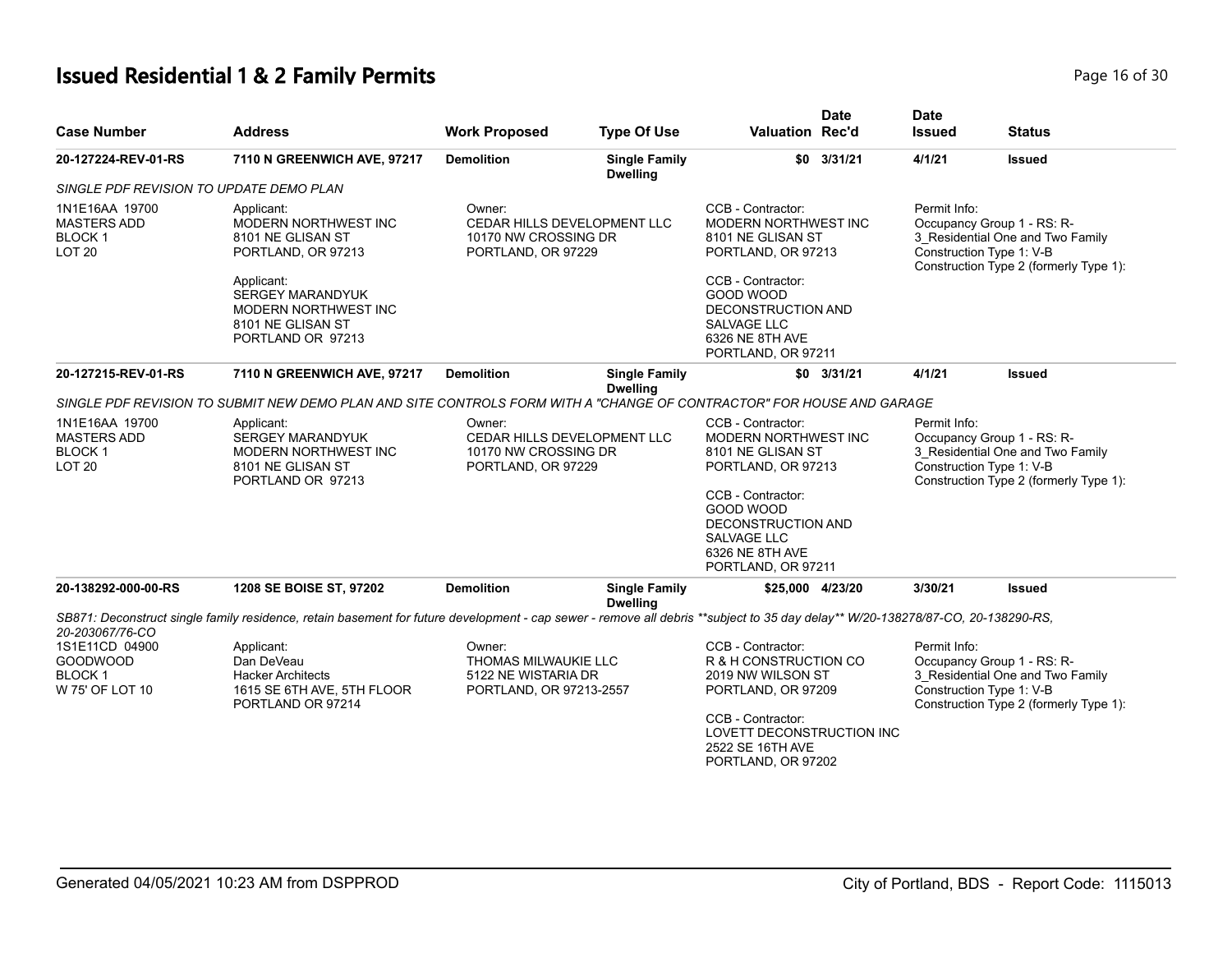# **Issued Residential 1 & 2 Family Permits Page 16 of 30 Page 16 of 30**

| <b>Case Number</b>                                                     | <b>Address</b>                                                                                                                                                                  | <b>Work Proposed</b>                                                                | <b>Type Of Use</b>                                                                          | <b>Date</b><br><b>Valuation Rec'd</b>                                                                                                                | <b>Date</b><br><b>Issued</b>                                                                                                                         | <b>Status</b>                                                                                            |  |
|------------------------------------------------------------------------|---------------------------------------------------------------------------------------------------------------------------------------------------------------------------------|-------------------------------------------------------------------------------------|---------------------------------------------------------------------------------------------|------------------------------------------------------------------------------------------------------------------------------------------------------|------------------------------------------------------------------------------------------------------------------------------------------------------|----------------------------------------------------------------------------------------------------------|--|
| 20-127224-REV-01-RS                                                    | 7110 N GREENWICH AVE, 97217                                                                                                                                                     | <b>Demolition</b>                                                                   | <b>Single Family</b><br><b>Dwelling</b>                                                     | $$0$ 3/31/21                                                                                                                                         | 4/1/21                                                                                                                                               | Issued                                                                                                   |  |
| SINGLE PDF REVISION TO UPDATE DEMO PLAN                                |                                                                                                                                                                                 |                                                                                     |                                                                                             |                                                                                                                                                      |                                                                                                                                                      |                                                                                                          |  |
| 1N1E16AA 19700<br><b>MASTERS ADD</b><br>BLOCK 1<br><b>LOT 20</b>       | Owner:<br>Applicant:<br>MODERN NORTHWEST INC<br><b>CEDAR HILLS DEVELOPMENT LLC</b><br>8101 NE GLISAN ST<br>10170 NW CROSSING DR<br>PORTLAND, OR 97229<br>PORTLAND, OR 97213     |                                                                                     | CCB - Contractor:<br><b>MODERN NORTHWEST INC</b><br>8101 NE GLISAN ST<br>PORTLAND, OR 97213 | Permit Info:<br>Occupancy Group 1 - RS: R-<br>3_Residential One and Two Family<br>Construction Type 1: V-B<br>Construction Type 2 (formerly Type 1): |                                                                                                                                                      |                                                                                                          |  |
|                                                                        | Applicant:<br><b>SERGEY MARANDYUK</b><br>MODERN NORTHWEST INC<br>8101 NE GLISAN ST<br>PORTLAND OR 97213                                                                         |                                                                                     |                                                                                             | CCB - Contractor:<br>GOOD WOOD<br>DECONSTRUCTION AND<br><b>SALVAGE LLC</b><br>6326 NE 8TH AVE<br>PORTLAND, OR 97211                                  |                                                                                                                                                      |                                                                                                          |  |
| 20-127215-REV-01-RS                                                    | 7110 N GREENWICH AVE, 97217                                                                                                                                                     | <b>Demolition</b>                                                                   | <b>Single Family</b>                                                                        | $$0$ 3/31/21                                                                                                                                         | 4/1/21                                                                                                                                               | <b>Issued</b>                                                                                            |  |
|                                                                        | SINGLE PDF REVISION TO SUBMIT NEW DEMO PLAN AND SITE CONTROLS FORM WITH A "CHANGE OF CONTRACTOR" FOR HOUSE AND GARAGE                                                           |                                                                                     | <b>Dwelling</b>                                                                             |                                                                                                                                                      |                                                                                                                                                      |                                                                                                          |  |
|                                                                        |                                                                                                                                                                                 |                                                                                     |                                                                                             |                                                                                                                                                      |                                                                                                                                                      |                                                                                                          |  |
| 1N1E16AA 19700<br><b>MASTERS ADD</b><br><b>BLOCK1</b><br><b>LOT 20</b> | Applicant:<br><b>SERGEY MARANDYUK</b><br>MODERN NORTHWEST INC<br>8101 NE GLISAN ST<br>PORTLAND OR 97213                                                                         | Owner:<br>CEDAR HILLS DEVELOPMENT LLC<br>10170 NW CROSSING DR<br>PORTLAND, OR 97229 |                                                                                             | CCB - Contractor:<br>MODERN NORTHWEST INC<br>8101 NE GLISAN ST<br>PORTLAND, OR 97213                                                                 | Permit Info:<br>Occupancy Group 1 - RS: R-<br>3_Residential One and Two Family<br>Construction Type 1: V-B<br>Construction Type 2 (formerly Type 1): |                                                                                                          |  |
|                                                                        |                                                                                                                                                                                 |                                                                                     |                                                                                             | CCB - Contractor:<br>GOOD WOOD<br>DECONSTRUCTION AND<br>SALVAGE LLC<br>6326 NE 8TH AVE<br>PORTLAND, OR 97211                                         |                                                                                                                                                      |                                                                                                          |  |
| 20-138292-000-00-RS                                                    | 1208 SE BOISE ST, 97202                                                                                                                                                         | <b>Demolition</b>                                                                   | <b>Single Family</b><br><b>Dwelling</b>                                                     | \$25,000 4/23/20                                                                                                                                     | 3/30/21                                                                                                                                              | Issued                                                                                                   |  |
| 20-203067/76-CO                                                        | SB871: Deconstruct single family residence, retain basement for future development - cap sewer - remove all debris **subject to 35 day delay** W/20-138278/87-CO, 20-138290-RS, |                                                                                     |                                                                                             |                                                                                                                                                      |                                                                                                                                                      |                                                                                                          |  |
| 1S1E11CD 04900<br><b>GOODWOOD</b><br><b>BLOCK1</b><br>W 75' OF LOT 10  | Applicant:<br>Dan DeVeau<br><b>Hacker Architects</b><br>1615 SE 6TH AVE, 5TH FLOOR<br>PORTLAND OR 97214                                                                         | Owner:<br>THOMAS MILWAUKIE LLC<br>5122 NE WISTARIA DR<br>PORTLAND, OR 97213-2557    |                                                                                             | CCB - Contractor:<br>R & H CONSTRUCTION CO<br>2019 NW WILSON ST<br>PORTLAND, OR 97209<br>CCB - Contractor:<br>LOVETT DECONSTRUCTION INC              | Permit Info:<br>Construction Type 1: V-B                                                                                                             | Occupancy Group 1 - RS: R-<br>3_Residential One and Two Family<br>Construction Type 2 (formerly Type 1): |  |
|                                                                        |                                                                                                                                                                                 |                                                                                     |                                                                                             | 2522 SE 16TH AVE<br>PORTLAND, OR 97202                                                                                                               |                                                                                                                                                      |                                                                                                          |  |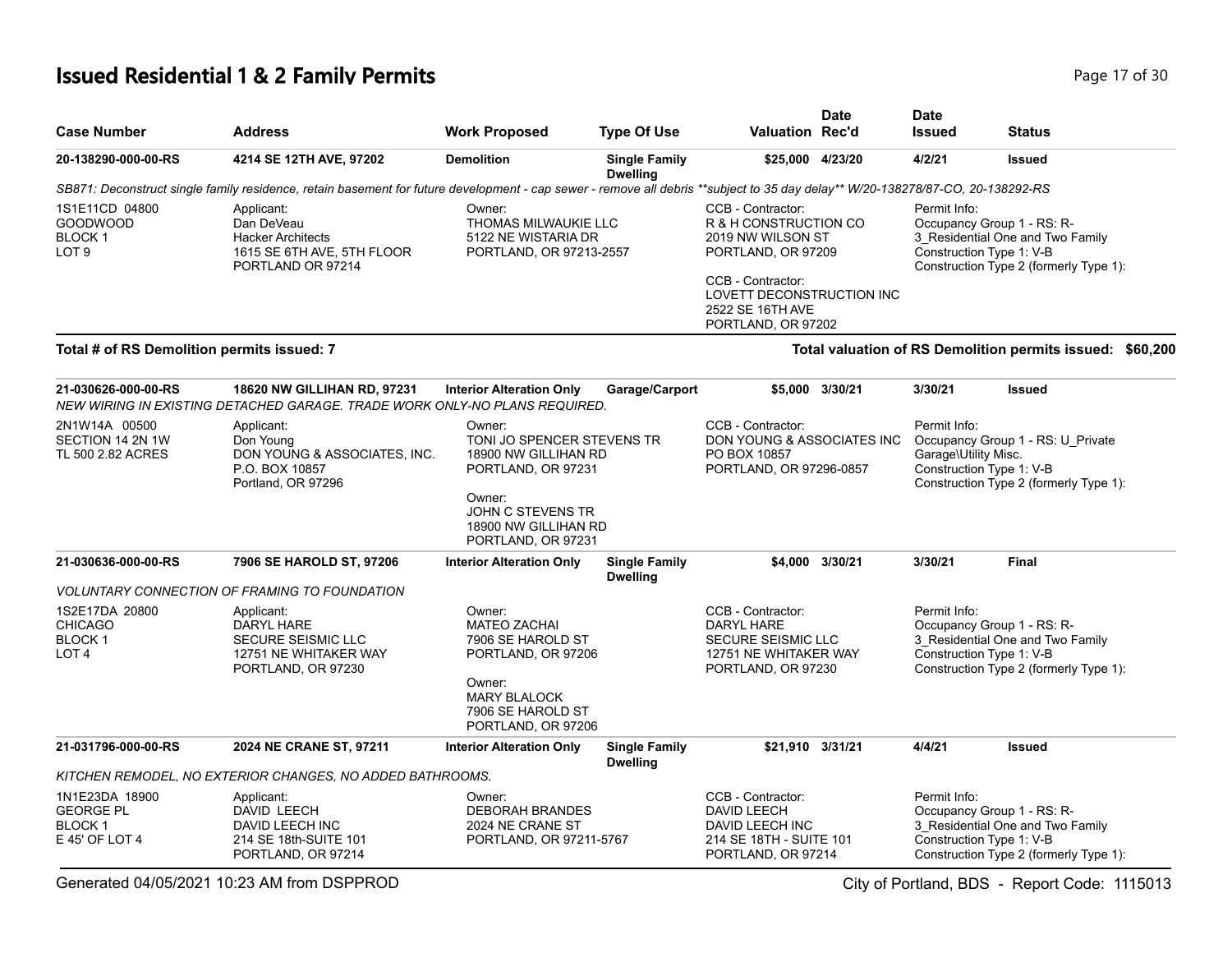# **Issued Residential 1 & 2 Family Permits Page 17 of 30 Page 17 of 30**

| <b>Case Number</b>                                                     | <b>Address</b>                                                                                            | <b>Work Proposed</b>                                                                                                                                 | <b>Type Of Use</b>                      | Valuation Rec'd                                                                                                                                                                   | Date            | <b>Date</b><br><b>Issued</b>                                                                                                                         | <b>Status</b>                                                                                                                        |
|------------------------------------------------------------------------|-----------------------------------------------------------------------------------------------------------|------------------------------------------------------------------------------------------------------------------------------------------------------|-----------------------------------------|-----------------------------------------------------------------------------------------------------------------------------------------------------------------------------------|-----------------|------------------------------------------------------------------------------------------------------------------------------------------------------|--------------------------------------------------------------------------------------------------------------------------------------|
| 20-138290-000-00-RS                                                    | 4214 SE 12TH AVE, 97202                                                                                   | <b>Demolition</b>                                                                                                                                    | <b>Single Family</b><br><b>Dwelling</b> | \$25,000 4/23/20                                                                                                                                                                  |                 | 4/2/21                                                                                                                                               | <b>Issued</b>                                                                                                                        |
|                                                                        |                                                                                                           |                                                                                                                                                      |                                         | SB871: Deconstruct single family residence, retain basement for future development - cap sewer - remove all debris **subject to 35 day delay** W/20-138278/87-CO, 20-138292-RS    |                 |                                                                                                                                                      |                                                                                                                                      |
| 1S1E11CD 04800<br><b>GOODWOOD</b><br><b>BLOCK1</b><br>LOT <sub>9</sub> | Applicant:<br>Dan DeVeau<br><b>Hacker Architects</b><br>1615 SE 6TH AVE, 5TH FLOOR<br>PORTLAND OR 97214   | Owner:<br>THOMAS MILWAUKIE LLC<br>5122 NE WISTARIA DR<br>PORTLAND, OR 97213-2557                                                                     |                                         | CCB - Contractor:<br>R & H CONSTRUCTION CO<br>2019 NW WILSON ST<br>PORTLAND, OR 97209<br>CCB - Contractor:<br>LOVETT DECONSTRUCTION INC<br>2522 SE 16TH AVE<br>PORTLAND, OR 97202 |                 | Permit Info:<br>Occupancy Group 1 - RS: R-<br>3 Residential One and Two Family<br>Construction Type 1: V-B<br>Construction Type 2 (formerly Type 1): |                                                                                                                                      |
| Total # of RS Demolition permits issued: 7                             |                                                                                                           |                                                                                                                                                      |                                         |                                                                                                                                                                                   |                 |                                                                                                                                                      | Total valuation of RS Demolition permits issued: \$60,200                                                                            |
| 21-030626-000-00-RS                                                    | 18620 NW GILLIHAN RD, 97231<br>NEW WIRING IN EXISTING DETACHED GARAGE. TRADE WORK ONLY-NO PLANS REQUIRED. | <b>Interior Alteration Only</b>                                                                                                                      | Garage/Carport                          |                                                                                                                                                                                   | \$5,000 3/30/21 | 3/30/21                                                                                                                                              | <b>Issued</b>                                                                                                                        |
| 2N1W14A 00500<br>SECTION 14 2N 1W<br>TL 500 2.82 ACRES                 | Applicant:<br>Don Young<br>DON YOUNG & ASSOCIATES, INC.<br>P.O. BOX 10857<br>Portland, OR 97296           | Owner:<br>TONI JO SPENCER STEVENS TR<br>18900 NW GILLIHAN RD<br>PORTLAND, OR 97231<br>Owner:<br><b>JOHN C STEVENS TR</b><br>18900 NW GILLIHAN RD     |                                         | CCB - Contractor:<br>DON YOUNG & ASSOCIATES INC<br>PO BOX 10857<br>PORTLAND, OR 97296-0857                                                                                        |                 | Permit Info:<br>Occupancy Group 1 - RS: U_Private<br>Garage\Utility Misc.<br>Construction Type 1: V-B<br>Construction Type 2 (formerly Type 1):      |                                                                                                                                      |
| 21-030636-000-00-RS                                                    | 7906 SE HAROLD ST, 97206                                                                                  | PORTLAND, OR 97231<br><b>Interior Alteration Only</b>                                                                                                | <b>Single Family</b>                    |                                                                                                                                                                                   | \$4,000 3/30/21 | 3/30/21                                                                                                                                              | <b>Final</b>                                                                                                                         |
|                                                                        | <b>VOLUNTARY CONNECTION OF FRAMING TO FOUNDATION</b>                                                      |                                                                                                                                                      | <b>Dwelling</b>                         |                                                                                                                                                                                   |                 |                                                                                                                                                      |                                                                                                                                      |
| 1S2E17DA 20800<br><b>CHICAGO</b><br><b>BLOCK1</b><br>LOT <sub>4</sub>  | Applicant:<br>DARYL HARE<br>SECURE SEISMIC LLC<br>12751 NE WHITAKER WAY<br>PORTLAND, OR 97230             | Owner:<br><b>MATEO ZACHAI</b><br>7906 SE HAROLD ST<br>PORTLAND, OR 97206<br>Owner:<br><b>MARY BLALOCK</b><br>7906 SE HAROLD ST<br>PORTLAND, OR 97206 |                                         | CCB - Contractor:<br>DARYL HARE<br>SECURE SEISMIC LLC<br>12751 NE WHITAKER WAY<br>PORTLAND, OR 97230                                                                              |                 | Permit Info:                                                                                                                                         | Occupancy Group 1 - RS: R-<br>3_Residential One and Two Family<br>Construction Type 1: V-B<br>Construction Type 2 (formerly Type 1): |
| 21-031796-000-00-RS                                                    | 2024 NE CRANE ST, 97211                                                                                   | <b>Interior Alteration Only</b>                                                                                                                      | <b>Single Family</b><br><b>Dwelling</b> | \$21,910 3/31/21                                                                                                                                                                  |                 | 4/4/21                                                                                                                                               | <b>Issued</b>                                                                                                                        |
|                                                                        | KITCHEN REMODEL, NO EXTERIOR CHANGES, NO ADDED BATHROOMS.                                                 |                                                                                                                                                      |                                         |                                                                                                                                                                                   |                 |                                                                                                                                                      |                                                                                                                                      |
| 1N1E23DA 18900<br><b>GEORGE PL</b><br><b>BLOCK1</b><br>E 45' OF LOT 4  | Applicant:<br>DAVID LEECH<br>DAVID LEECH INC<br>214 SE 18th-SUITE 101<br>PORTLAND, OR 97214               | Owner:<br><b>DEBORAH BRANDES</b><br>2024 NE CRANE ST<br>PORTLAND, OR 97211-5767                                                                      |                                         | CCB - Contractor:<br><b>DAVID LEECH</b><br>DAVID LEECH INC<br>214 SE 18TH - SUITE 101<br>PORTLAND, OR 97214                                                                       |                 | Permit Info:                                                                                                                                         | Occupancy Group 1 - RS: R-<br>3_Residential One and Two Family<br>Construction Type 1: V-B<br>Construction Type 2 (formerly Type 1): |

Generated 04/05/2021 10:23 AM from DSPPROD City of Portland, BDS - Report Code: 1115013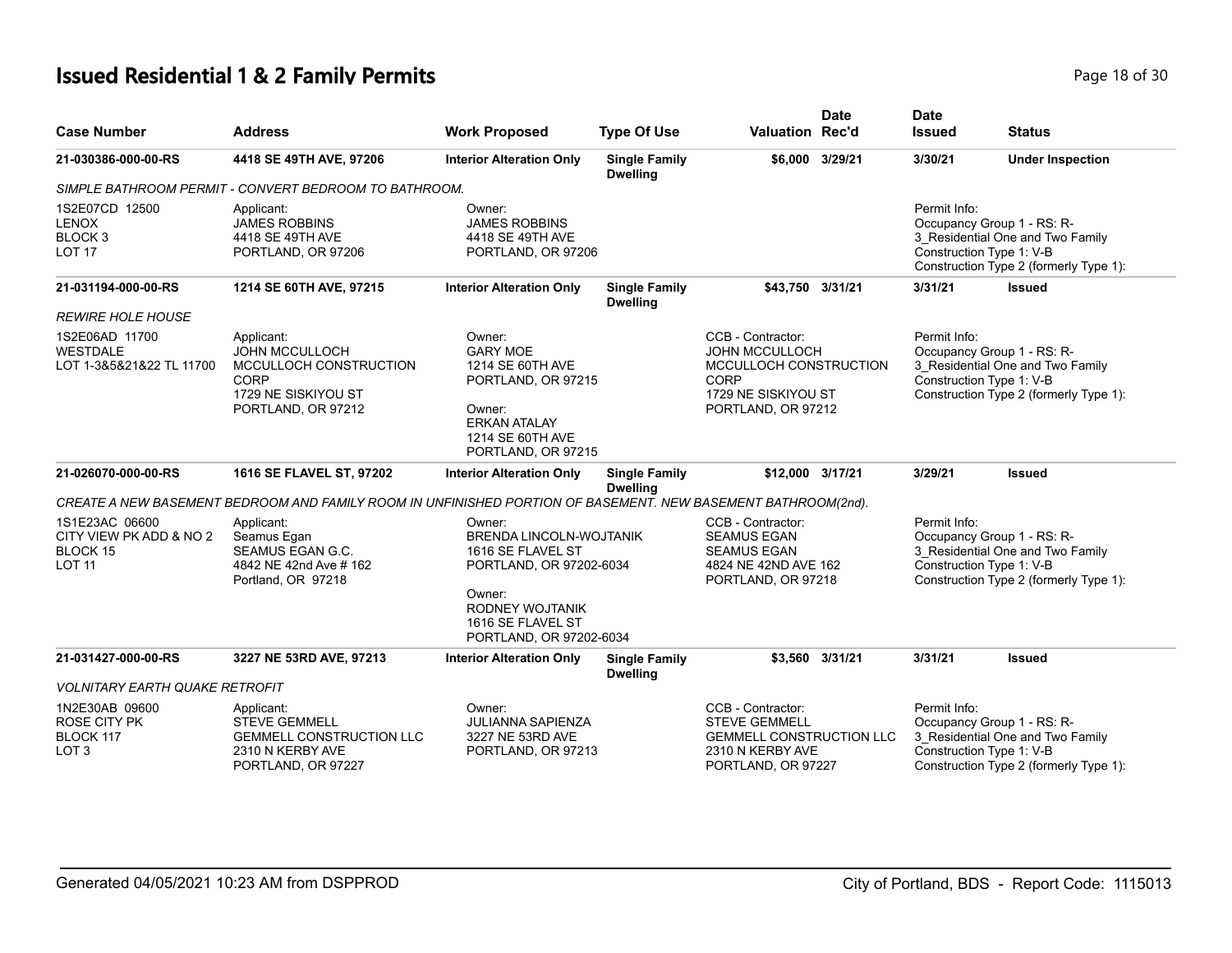# **Issued Residential 1 & 2 Family Permits Page 18 of 30 Page 18 of 30**

| <b>Case Number</b>                                                     | <b>Address</b>                                                                                                     | <b>Work Proposed</b>                                                                                                                           | <b>Type Of Use</b>                      | <b>Valuation Rec'd</b>                                                                                                    | <b>Date</b>     | <b>Date</b><br><b>Issued</b>             | <b>Status</b>                                                                                            |
|------------------------------------------------------------------------|--------------------------------------------------------------------------------------------------------------------|------------------------------------------------------------------------------------------------------------------------------------------------|-----------------------------------------|---------------------------------------------------------------------------------------------------------------------------|-----------------|------------------------------------------|----------------------------------------------------------------------------------------------------------|
| 21-030386-000-00-RS                                                    | 4418 SE 49TH AVE, 97206                                                                                            | <b>Interior Alteration Only</b>                                                                                                                | <b>Single Family</b>                    |                                                                                                                           | \$6,000 3/29/21 | 3/30/21                                  | <b>Under Inspection</b>                                                                                  |
|                                                                        | SIMPLE BATHROOM PERMIT - CONVERT BEDROOM TO BATHROOM.                                                              |                                                                                                                                                | <b>Dwelling</b>                         |                                                                                                                           |                 |                                          |                                                                                                          |
| 1S2E07CD 12500<br><b>LENOX</b><br>BLOCK <sub>3</sub><br><b>LOT 17</b>  | Applicant:<br><b>JAMES ROBBINS</b><br>4418 SE 49TH AVE<br>PORTLAND, OR 97206                                       | Owner:<br><b>JAMES ROBBINS</b><br>4418 SE 49TH AVE<br>PORTLAND, OR 97206                                                                       |                                         |                                                                                                                           |                 | Permit Info:<br>Construction Type 1: V-B | Occupancy Group 1 - RS: R-<br>3 Residential One and Two Family<br>Construction Type 2 (formerly Type 1): |
| 21-031194-000-00-RS<br><i>REWIRE HOLE HOUSE</i>                        | 1214 SE 60TH AVE, 97215                                                                                            | <b>Interior Alteration Only</b>                                                                                                                | <b>Single Family</b><br><b>Dwelling</b> | \$43,750 3/31/21                                                                                                          |                 | 3/31/21                                  | <b>Issued</b>                                                                                            |
| 1S2E06AD 11700<br><b>WESTDALE</b><br>LOT 1-3&5&21&22 TL 11700          | Applicant:<br><b>JOHN MCCULLOCH</b><br>MCCULLOCH CONSTRUCTION<br>CORP<br>1729 NE SISKIYOU ST<br>PORTLAND, OR 97212 | Owner:<br><b>GARY MOE</b><br>1214 SE 60TH AVE<br>PORTLAND, OR 97215<br>Owner:<br><b>ERKAN ATALAY</b><br>1214 SE 60TH AVE<br>PORTLAND, OR 97215 |                                         | CCB - Contractor:<br><b>JOHN MCCULLOCH</b><br>MCCULLOCH CONSTRUCTION<br>CORP<br>1729 NE SISKIYOU ST<br>PORTLAND, OR 97212 |                 | Permit Info:<br>Construction Type 1: V-B | Occupancy Group 1 - RS: R-<br>3_Residential One and Two Family<br>Construction Type 2 (formerly Type 1): |
| 21-026070-000-00-RS                                                    | 1616 SE FLAVEL ST, 97202                                                                                           | <b>Interior Alteration Only</b>                                                                                                                | <b>Single Family</b><br><b>Dwelling</b> | \$12,000 3/17/21                                                                                                          |                 | 3/29/21                                  | <b>Issued</b>                                                                                            |
|                                                                        | CREATE A NEW BASEMENT BEDROOM AND FAMILY ROOM IN UNFINISHED PORTION OF BASEMENT. NEW BASEMENT BATHROOM(2nd).       |                                                                                                                                                |                                         |                                                                                                                           |                 |                                          |                                                                                                          |
| 1S1E23AC 06600<br>CITY VIEW PK ADD & NO 2<br>BLOCK 15<br><b>LOT 11</b> | Applicant:<br>Seamus Egan<br>SEAMUS EGAN G.C.<br>4842 NE 42nd Ave # 162<br>Portland, OR 97218                      | Owner:<br>BRENDA LINCOLN-WOJTANIK<br>1616 SE FLAVEL ST<br>PORTLAND, OR 97202-6034<br>Owner:<br>RODNEY WOJTANIK<br>1616 SE FLAVEL ST            |                                         | CCB - Contractor:<br><b>SEAMUS EGAN</b><br><b>SEAMUS EGAN</b><br>4824 NE 42ND AVE 162<br>PORTLAND, OR 97218               |                 | Permit Info:<br>Construction Type 1: V-B | Occupancy Group 1 - RS: R-<br>3_Residential One and Two Family<br>Construction Type 2 (formerly Type 1): |
|                                                                        |                                                                                                                    | PORTLAND, OR 97202-6034                                                                                                                        |                                         |                                                                                                                           |                 |                                          |                                                                                                          |
| 21-031427-000-00-RS                                                    | 3227 NE 53RD AVE, 97213                                                                                            | <b>Interior Alteration Only</b>                                                                                                                | <b>Single Family</b><br><b>Dwelling</b> |                                                                                                                           | \$3,560 3/31/21 | 3/31/21                                  | <b>Issued</b>                                                                                            |
| <b>VOLNITARY EARTH QUAKE RETROFIT</b>                                  |                                                                                                                    |                                                                                                                                                |                                         |                                                                                                                           |                 |                                          |                                                                                                          |
| 1N2E30AB 09600<br>ROSE CITY PK<br>BLOCK 117<br>LOT 3                   | Applicant:<br><b>STEVE GEMMELL</b><br><b>GEMMELL CONSTRUCTION LLC</b><br>2310 N KERBY AVE<br>PORTLAND, OR 97227    | Owner:<br><b>JULIANNA SAPIENZA</b><br>3227 NE 53RD AVE<br>PORTLAND, OR 97213                                                                   |                                         | CCB - Contractor:<br><b>STEVE GEMMELL</b><br><b>GEMMELL CONSTRUCTION LLC</b><br>2310 N KERBY AVE<br>PORTLAND, OR 97227    |                 | Permit Info:<br>Construction Type 1: V-B | Occupancy Group 1 - RS: R-<br>3 Residential One and Two Family<br>Construction Type 2 (formerly Type 1): |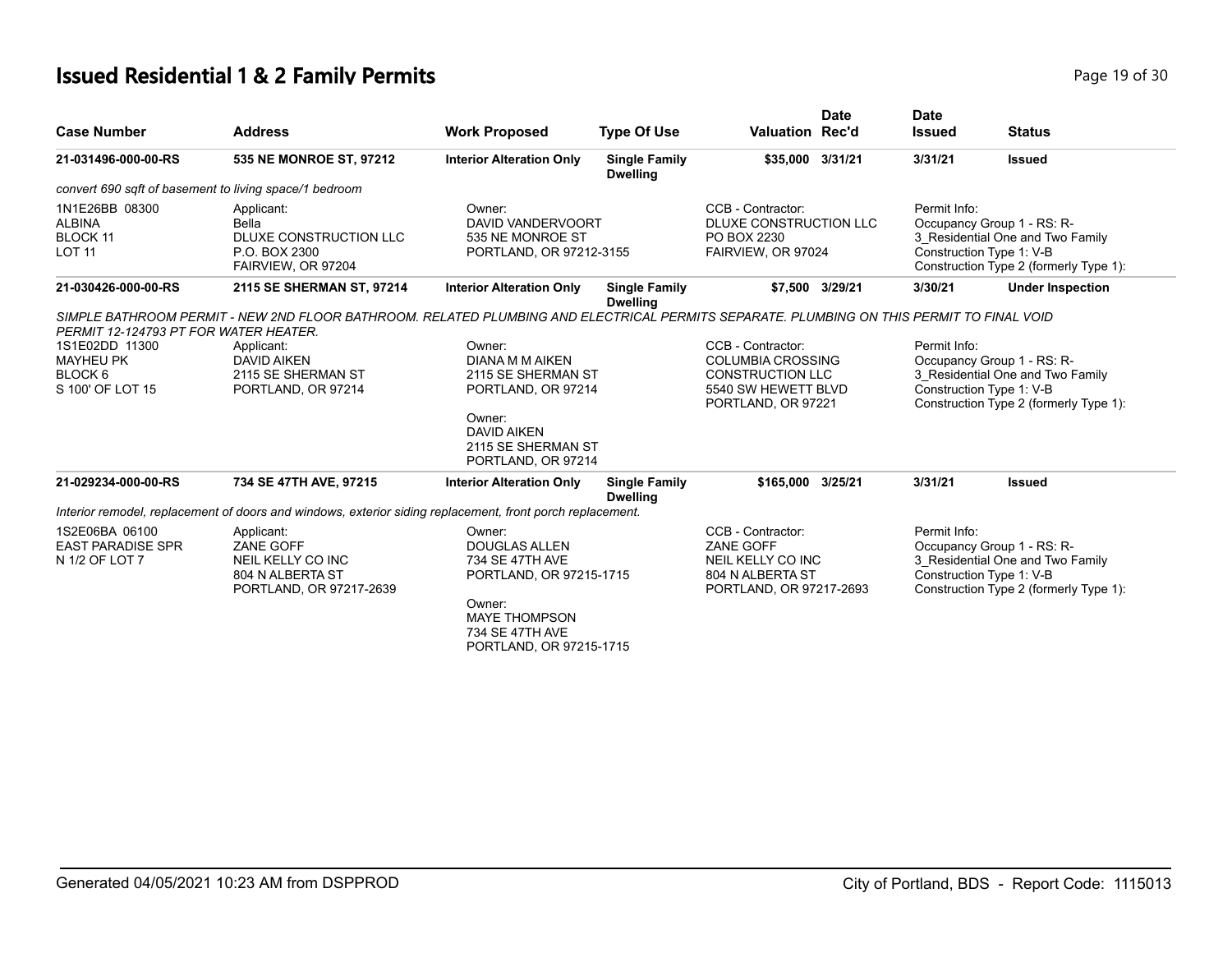# **Issued Residential 1 & 2 Family Permits Page 19 of 30 Page 19 of 30**

| <b>Case Number</b>                                                                                  | <b>Address</b>                                                                                                                           | <b>Work Proposed</b>                                                                                                                                                                 | <b>Type Of Use</b>                      | <b>Date</b><br><b>Valuation Rec'd</b>                                                                                                      | <b>Date</b><br><b>Issued</b>                                                                                                                         | <b>Status</b>                                                                                                                                         |
|-----------------------------------------------------------------------------------------------------|------------------------------------------------------------------------------------------------------------------------------------------|--------------------------------------------------------------------------------------------------------------------------------------------------------------------------------------|-----------------------------------------|--------------------------------------------------------------------------------------------------------------------------------------------|------------------------------------------------------------------------------------------------------------------------------------------------------|-------------------------------------------------------------------------------------------------------------------------------------------------------|
| 21-031496-000-00-RS                                                                                 | 535 NE MONROE ST, 97212                                                                                                                  | <b>Interior Alteration Only</b>                                                                                                                                                      | <b>Single Family</b><br><b>Dwelling</b> | \$35,000 3/31/21                                                                                                                           | 3/31/21                                                                                                                                              | <b>Issued</b>                                                                                                                                         |
|                                                                                                     | convert 690 sqft of basement to living space/1 bedroom                                                                                   |                                                                                                                                                                                      |                                         |                                                                                                                                            |                                                                                                                                                      |                                                                                                                                                       |
| 1N1E26BB 08300<br><b>ALBINA</b><br>BLOCK 11<br><b>LOT 11</b>                                        | Applicant:<br>Bella<br>DLUXE CONSTRUCTION LLC<br>P.O. BOX 2300<br>FAIRVIEW, OR 97204                                                     | Owner:<br>DAVID VANDERVOORT<br>535 NE MONROE ST<br>PORTLAND, OR 97212-3155                                                                                                           |                                         | CCB - Contractor:<br>DLUXE CONSTRUCTION LLC<br>PO BOX 2230<br>FAIRVIEW, OR 97024                                                           | Permit Info:<br>Occupancy Group 1 - RS: R-<br>3 Residential One and Two Family<br>Construction Type 1: V-B<br>Construction Type 2 (formerly Type 1): |                                                                                                                                                       |
| 21-030426-000-00-RS                                                                                 | 2115 SE SHERMAN ST, 97214                                                                                                                | <b>Interior Alteration Only</b>                                                                                                                                                      | <b>Single Family</b><br><b>Dwelling</b> | \$7.500<br>3/29/21                                                                                                                         | 3/30/21                                                                                                                                              | <b>Under Inspection</b>                                                                                                                               |
| PERMIT 12-124793 PT FOR WATER HEATER.                                                               | SIMPLE BATHROOM PERMIT - NEW 2ND FLOOR BATHROOM. RELATED PLUMBING AND ELECTRICAL PERMITS SEPARATE. PLUMBING ON THIS PERMIT TO FINAL VOID |                                                                                                                                                                                      |                                         |                                                                                                                                            |                                                                                                                                                      |                                                                                                                                                       |
| 1S1E02DD 11300<br><b>MAYHEU PK</b><br>BLOCK <sub>6</sub><br>S 100' OF LOT 15<br>21-029234-000-00-RS | Applicant:<br><b>DAVID AIKEN</b><br>2115 SE SHERMAN ST<br>PORTLAND, OR 97214<br>734 SE 47TH AVE, 97215                                   | Owner:<br>DIANA M M AIKEN<br>2115 SE SHERMAN ST<br>PORTLAND, OR 97214<br>Owner:<br><b>DAVID AIKEN</b><br>2115 SE SHERMAN ST<br>PORTLAND, OR 97214<br><b>Interior Alteration Only</b> | <b>Single Family</b><br><b>Dwelling</b> | CCB - Contractor:<br><b>COLUMBIA CROSSING</b><br><b>CONSTRUCTION LLC</b><br>5540 SW HEWETT BLVD<br>PORTLAND, OR 97221<br>\$165.000 3/25/21 | Permit Info:<br>3/31/21                                                                                                                              | Occupancy Group 1 - RS: R-<br>3 Residential One and Two Family<br>Construction Type 1: V-B<br>Construction Type 2 (formerly Type 1):<br><b>Issued</b> |
|                                                                                                     | Interior remodel, replacement of doors and windows, exterior siding replacement, front porch replacement.                                |                                                                                                                                                                                      |                                         |                                                                                                                                            |                                                                                                                                                      |                                                                                                                                                       |
| 1S2E06BA 06100<br><b>EAST PARADISE SPR</b><br>N 1/2 OF LOT 7                                        | Applicant:<br>ZANE GOFF<br>NEIL KELLY CO INC<br>804 N ALBERTA ST<br>PORTLAND, OR 97217-2639                                              | Owner:<br><b>DOUGLAS ALLEN</b><br>734 SE 47TH AVE<br>PORTLAND, OR 97215-1715<br>Owner:<br><b>MAYE THOMPSON</b><br>734 SE 47TH AVE<br>PORTLAND, OR 97215-1715                         |                                         | CCB - Contractor:<br><b>ZANE GOFF</b><br>NEIL KELLY CO INC<br>804 N ALBERTA ST<br>PORTLAND, OR 97217-2693                                  | Permit Info:                                                                                                                                         | Occupancy Group 1 - RS: R-<br>3_Residential One and Two Family<br>Construction Type 1: V-B<br>Construction Type 2 (formerly Type 1):                  |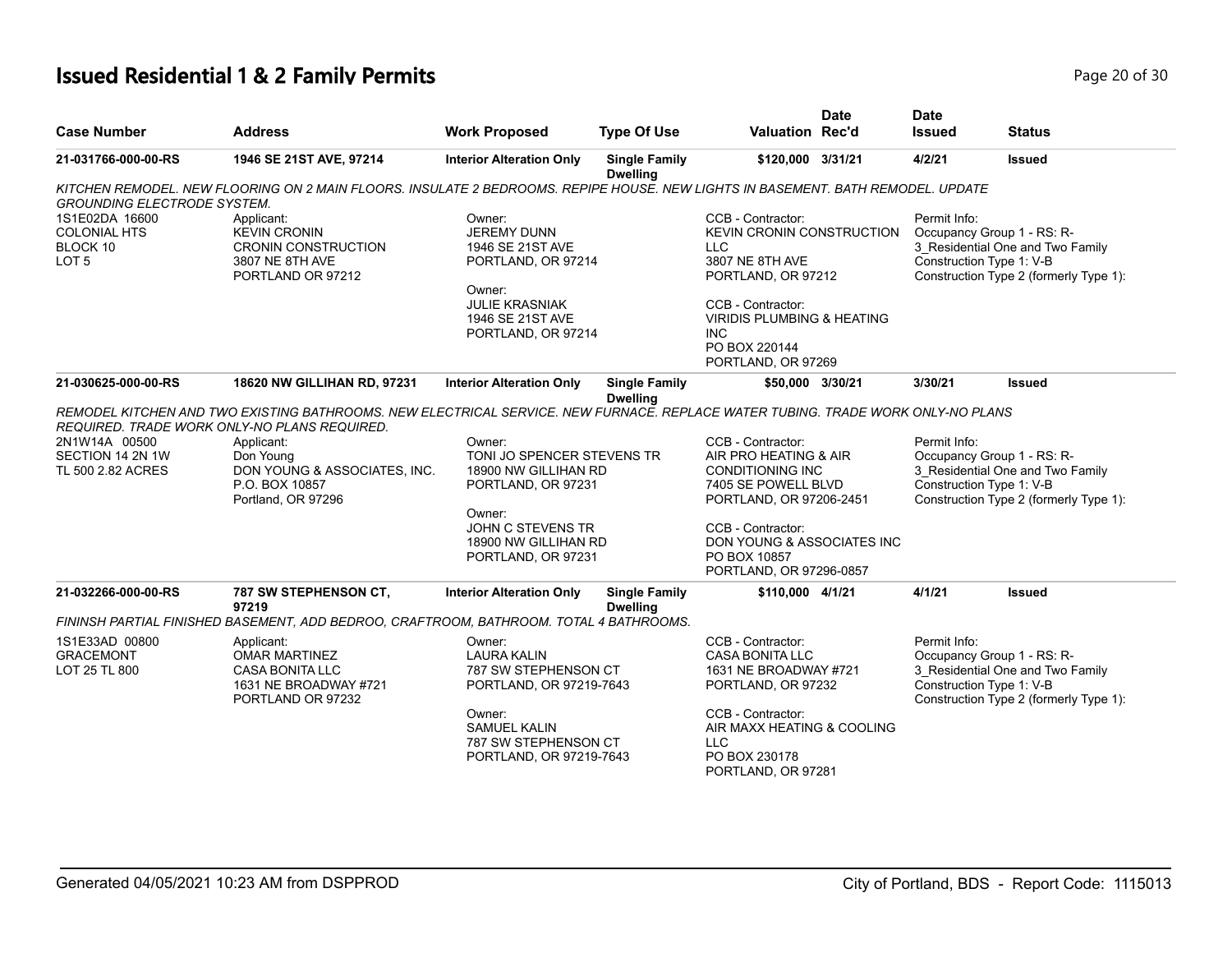# **Issued Residential 1 & 2 Family Permits Page 20 of 30 Page 20 of 30**

| <b>Case Number</b>                                                    | <b>Address</b>                                                                                                                                                                                | <b>Work Proposed</b>                                                                                                                                | <b>Type Of Use</b>                      | <b>Valuation Rec'd</b>                                                                                                                                                                                                    | <b>Date</b> | <b>Date</b><br>Issued                                                                                                                                | <b>Status</b>                                                                                            |  |
|-----------------------------------------------------------------------|-----------------------------------------------------------------------------------------------------------------------------------------------------------------------------------------------|-----------------------------------------------------------------------------------------------------------------------------------------------------|-----------------------------------------|---------------------------------------------------------------------------------------------------------------------------------------------------------------------------------------------------------------------------|-------------|------------------------------------------------------------------------------------------------------------------------------------------------------|----------------------------------------------------------------------------------------------------------|--|
| 21-031766-000-00-RS                                                   | 1946 SE 21ST AVE, 97214                                                                                                                                                                       | <b>Interior Alteration Only</b>                                                                                                                     | <b>Single Family</b><br><b>Dwelling</b> | \$120,000 3/31/21                                                                                                                                                                                                         |             | 4/2/21                                                                                                                                               | <b>Issued</b>                                                                                            |  |
| <b>GROUNDING ELECTRODE SYSTEM.</b>                                    | KITCHEN REMODEL. NEW FLOORING ON 2 MAIN FLOORS. INSULATE 2 BEDROOMS. REPIPE HOUSE. NEW LIGHTS IN BASEMENT. BATH REMODEL. UPDATE                                                               |                                                                                                                                                     |                                         |                                                                                                                                                                                                                           |             |                                                                                                                                                      |                                                                                                          |  |
| 1S1E02DA 16600<br><b>COLONIAL HTS</b><br>BLOCK 10<br>LOT <sub>5</sub> | Applicant:<br><b>KEVIN CRONIN</b><br><b>CRONIN CONSTRUCTION</b><br>3807 NE 8TH AVE<br>PORTLAND OR 97212                                                                                       | Owner:<br><b>JEREMY DUNN</b><br>1946 SE 21ST AVE<br>PORTLAND, OR 97214<br>Owner:<br><b>JULIE KRASNIAK</b><br>1946 SE 21ST AVE<br>PORTLAND, OR 97214 |                                         | CCB - Contractor:<br><b>KEVIN CRONIN CONSTRUCTION</b><br>LLC.<br>3807 NE 8TH AVE<br>PORTLAND, OR 97212<br>CCB - Contractor:<br><b>VIRIDIS PLUMBING &amp; HEATING</b><br><b>INC</b><br>PO BOX 220144<br>PORTLAND, OR 97269 |             | Permit Info:<br>Construction Type 1: V-B                                                                                                             | Occupancy Group 1 - RS: R-<br>3_Residential One and Two Family<br>Construction Type 2 (formerly Type 1): |  |
| 21-030625-000-00-RS                                                   | 18620 NW GILLIHAN RD, 97231                                                                                                                                                                   | <b>Interior Alteration Only</b>                                                                                                                     | <b>Single Family</b><br><b>Dwelling</b> | \$50,000 3/30/21                                                                                                                                                                                                          |             | 3/30/21                                                                                                                                              | <b>Issued</b>                                                                                            |  |
|                                                                       | REMODEL KITCHEN AND TWO EXISTING BATHROOMS. NEW ELECTRICAL SERVICE. NEW FURNACE. REPLACE WATER TUBING. TRADE WORK ONLY-NO PLANS<br>REQUIRED. TRADE WORK ONLY-NO PLANS REQUIRED.               |                                                                                                                                                     |                                         |                                                                                                                                                                                                                           |             |                                                                                                                                                      |                                                                                                          |  |
| 2N1W14A 00500<br>SECTION 14 2N 1W<br>TL 500 2.82 ACRES                | Applicant:<br>Don Young<br>DON YOUNG & ASSOCIATES, INC.<br>P.O. BOX 10857<br>Portland, OR 97296                                                                                               | Owner:<br>TONI JO SPENCER STEVENS TR<br>18900 NW GILLIHAN RD<br>PORTLAND, OR 97231                                                                  |                                         | CCB - Contractor:<br>AIR PRO HEATING & AIR<br><b>CONDITIONING INC</b><br>7405 SE POWELL BLVD<br>PORTLAND, OR 97206-2451                                                                                                   |             | Permit Info:<br>Occupancy Group 1 - RS: R-<br>3 Residential One and Two Family<br>Construction Type 1: V-B<br>Construction Type 2 (formerly Type 1): |                                                                                                          |  |
|                                                                       |                                                                                                                                                                                               | Owner:<br>JOHN C STEVENS TR<br>18900 NW GILLIHAN RD<br>PORTLAND, OR 97231                                                                           |                                         | CCB - Contractor:<br>DON YOUNG & ASSOCIATES INC<br>PO BOX 10857<br>PORTLAND, OR 97296-0857                                                                                                                                |             |                                                                                                                                                      |                                                                                                          |  |
| 21-032266-000-00-RS                                                   | <b>787 SW STEPHENSON CT,</b><br>97219                                                                                                                                                         | <b>Interior Alteration Only</b>                                                                                                                     | <b>Single Family</b><br><b>Dwelling</b> | \$110,000 4/1/21                                                                                                                                                                                                          |             | 4/1/21                                                                                                                                               | <b>Issued</b>                                                                                            |  |
|                                                                       | FININSH PARTIAL FINISHED BASEMENT, ADD BEDROO, CRAFTROOM, BATHROOM. TOTAL 4 BATHROOMS.                                                                                                        |                                                                                                                                                     |                                         |                                                                                                                                                                                                                           |             |                                                                                                                                                      |                                                                                                          |  |
| 1S1E33AD 00800<br><b>GRACEMONT</b><br>LOT 25 TL 800                   | Owner:<br>Applicant:<br><b>OMAR MARTINEZ</b><br><b>LAURA KALIN</b><br><b>CASA BONITA LLC</b><br>787 SW STEPHENSON CT<br>1631 NE BROADWAY #721<br>PORTLAND, OR 97219-7643<br>PORTLAND OR 97232 |                                                                                                                                                     |                                         | CCB - Contractor:<br>CASA BONITA LLC<br>1631 NE BROADWAY #721<br>PORTLAND, OR 97232                                                                                                                                       |             | Permit Info:<br>Occupancy Group 1 - RS: R-<br>3 Residential One and Two Family<br>Construction Type 1: V-B<br>Construction Type 2 (formerly Type 1): |                                                                                                          |  |
|                                                                       |                                                                                                                                                                                               | Owner:<br>SAMUEL KALIN<br>787 SW STEPHENSON CT<br>PORTLAND, OR 97219-7643                                                                           |                                         | CCB - Contractor:<br>AIR MAXX HEATING & COOLING<br>LLC<br>PO BOX 230178<br>PORTLAND, OR 97281                                                                                                                             |             |                                                                                                                                                      |                                                                                                          |  |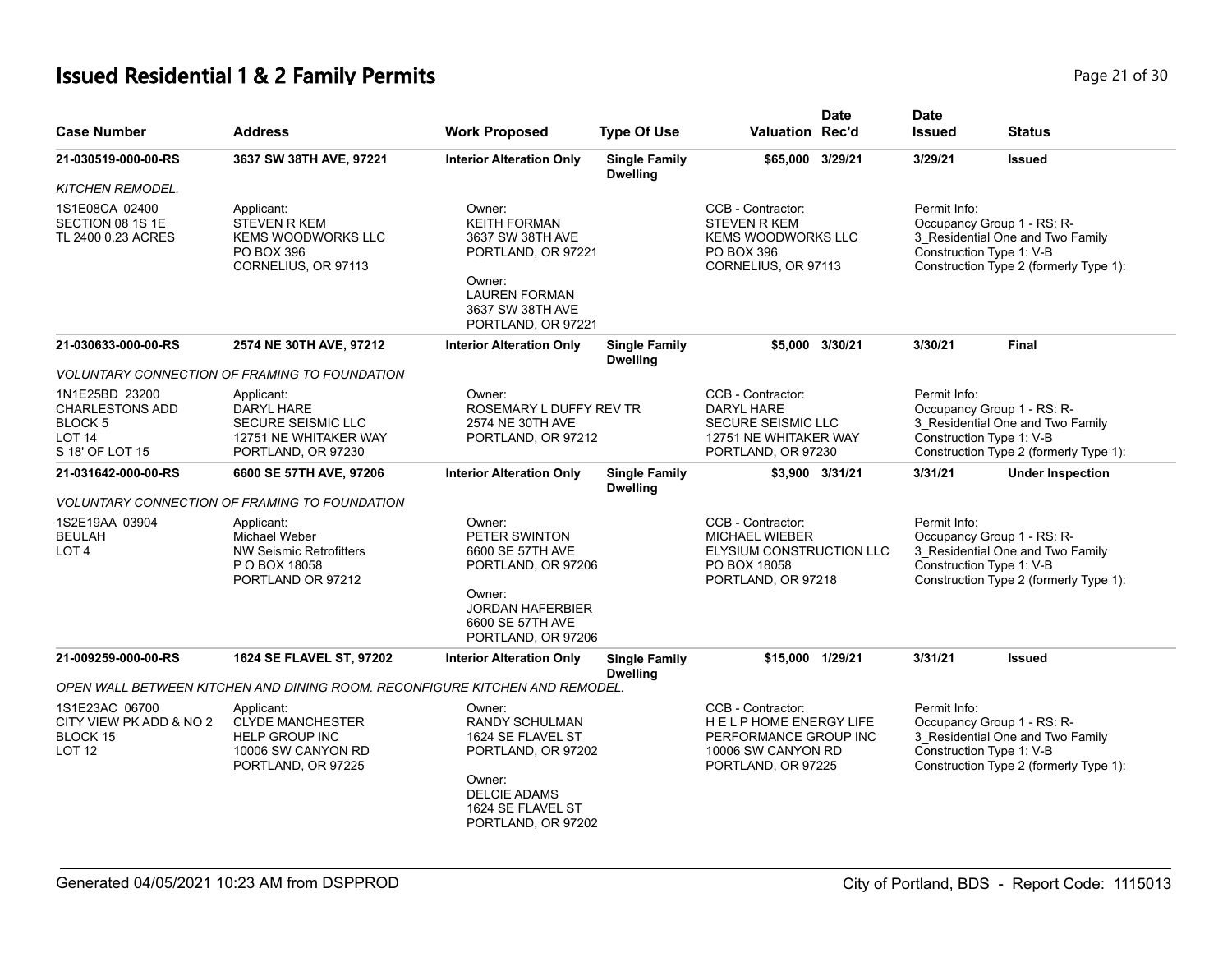# **Issued Residential 1 & 2 Family Permits Page 21 of 30 Page 21 of 30**

| <b>Case Number</b>                                                                                     | <b>Address</b>                                                                                             | <b>Work Proposed</b>                                                                                                                                | <b>Type Of Use</b>                      | <b>Valuation Rec'd</b>                                                                                             | <b>Date</b>     | <b>Date</b><br><b>Issued</b>             | <b>Status</b>                                                                                            |
|--------------------------------------------------------------------------------------------------------|------------------------------------------------------------------------------------------------------------|-----------------------------------------------------------------------------------------------------------------------------------------------------|-----------------------------------------|--------------------------------------------------------------------------------------------------------------------|-----------------|------------------------------------------|----------------------------------------------------------------------------------------------------------|
| 21-030519-000-00-RS                                                                                    | 3637 SW 38TH AVE, 97221                                                                                    | <b>Interior Alteration Only</b>                                                                                                                     | <b>Single Family</b><br><b>Dwelling</b> | \$65,000 3/29/21                                                                                                   |                 | 3/29/21                                  | <b>Issued</b>                                                                                            |
| <b>KITCHEN REMODEL.</b>                                                                                |                                                                                                            |                                                                                                                                                     |                                         |                                                                                                                    |                 |                                          |                                                                                                          |
| 1S1E08CA 02400<br>SECTION 08 1S 1E<br>TL 2400 0.23 ACRES                                               | Applicant:<br><b>STEVEN R KEM</b><br><b>KEMS WOODWORKS LLC</b><br>PO BOX 396<br>CORNELIUS, OR 97113        | Owner:<br><b>KEITH FORMAN</b><br>3637 SW 38TH AVE<br>PORTLAND, OR 97221<br>Owner:<br><b>LAUREN FORMAN</b><br>3637 SW 38TH AVE<br>PORTLAND, OR 97221 |                                         | CCB - Contractor:<br><b>STEVEN R KEM</b><br><b>KEMS WOODWORKS LLC</b><br>PO BOX 396<br>CORNELIUS, OR 97113         |                 | Permit Info:<br>Construction Type 1: V-B | Occupancy Group 1 - RS: R-<br>3 Residential One and Two Family<br>Construction Type 2 (formerly Type 1): |
| 21-030633-000-00-RS                                                                                    | 2574 NE 30TH AVE, 97212                                                                                    | <b>Interior Alteration Only</b>                                                                                                                     | <b>Single Family</b><br><b>Dwelling</b> |                                                                                                                    | \$5.000 3/30/21 | 3/30/21                                  | <b>Final</b>                                                                                             |
|                                                                                                        | <b>VOLUNTARY CONNECTION OF FRAMING TO FOUNDATION</b>                                                       |                                                                                                                                                     |                                         |                                                                                                                    |                 |                                          |                                                                                                          |
| 1N1E25BD 23200<br><b>CHARLESTONS ADD</b><br>BLOCK <sub>5</sub><br>LOT <sub>14</sub><br>S 18' OF LOT 15 | Applicant:<br>DARYL HARE<br><b>SECURE SEISMIC LLC</b><br>12751 NE WHITAKER WAY<br>PORTLAND, OR 97230       | Owner:<br>ROSEMARY L DUFFY REV TR<br>2574 NE 30TH AVE<br>PORTLAND, OR 97212                                                                         |                                         | CCB - Contractor:<br><b>DARYL HARE</b><br><b>SECURE SEISMIC LLC</b><br>12751 NE WHITAKER WAY<br>PORTLAND, OR 97230 |                 | Permit Info:<br>Construction Type 1: V-B | Occupancy Group 1 - RS: R-<br>3 Residential One and Two Family<br>Construction Type 2 (formerly Type 1): |
| 21-031642-000-00-RS                                                                                    | 6600 SE 57TH AVE, 97206                                                                                    | <b>Interior Alteration Only</b>                                                                                                                     | <b>Single Family</b><br><b>Dwelling</b> |                                                                                                                    | \$3,900 3/31/21 | 3/31/21                                  | <b>Under Inspection</b>                                                                                  |
|                                                                                                        | <b>VOLUNTARY CONNECTION OF FRAMING TO FOUNDATION</b>                                                       |                                                                                                                                                     |                                         |                                                                                                                    |                 |                                          |                                                                                                          |
| 1S2E19AA 03904<br><b>BEULAH</b><br>LOT <sub>4</sub>                                                    | Applicant:<br>Michael Weber<br><b>NW Seismic Retrofitters</b><br>P O BOX 18058<br>PORTLAND OR 97212        | Owner:<br>PETER SWINTON<br>6600 SE 57TH AVE<br>PORTLAND, OR 97206<br>Owner:<br><b>JORDAN HAFERBIER</b><br>6600 SE 57TH AVE<br>PORTLAND, OR 97206    |                                         | CCB - Contractor:<br><b>MICHAEL WIEBER</b><br>ELYSIUM CONSTRUCTION LLC<br>PO BOX 18058<br>PORTLAND, OR 97218       |                 | Permit Info:<br>Construction Type 1: V-B | Occupancy Group 1 - RS: R-<br>3_Residential One and Two Family<br>Construction Type 2 (formerly Type 1): |
| 21-009259-000-00-RS                                                                                    | 1624 SE FLAVEL ST, 97202                                                                                   | <b>Interior Alteration Only</b>                                                                                                                     | <b>Single Family</b><br><b>Dwelling</b> | \$15,000 1/29/21                                                                                                   |                 | 3/31/21                                  | <b>Issued</b>                                                                                            |
|                                                                                                        | OPEN WALL BETWEEN KITCHEN AND DINING ROOM. RECONFIGURE KITCHEN AND REMODEL.                                |                                                                                                                                                     |                                         |                                                                                                                    |                 |                                          |                                                                                                          |
| 1S1E23AC 06700<br>CITY VIEW PK ADD & NO 2<br>BLOCK 15<br>LOT <sub>12</sub>                             | Applicant:<br><b>CLYDE MANCHESTER</b><br><b>HELP GROUP INC</b><br>10006 SW CANYON RD<br>PORTLAND, OR 97225 | Owner:<br>RANDY SCHULMAN<br>1624 SE FLAVEL ST<br>PORTLAND, OR 97202<br>Owner:<br><b>DELCIE ADAMS</b><br>1624 SE FLAVEL ST<br>PORTLAND, OR 97202     |                                         | CCB - Contractor:<br>HELPHOME ENERGY LIFE<br>PERFORMANCE GROUP INC<br>10006 SW CANYON RD<br>PORTLAND, OR 97225     |                 | Permit Info:<br>Construction Type 1: V-B | Occupancy Group 1 - RS: R-<br>3 Residential One and Two Family<br>Construction Type 2 (formerly Type 1): |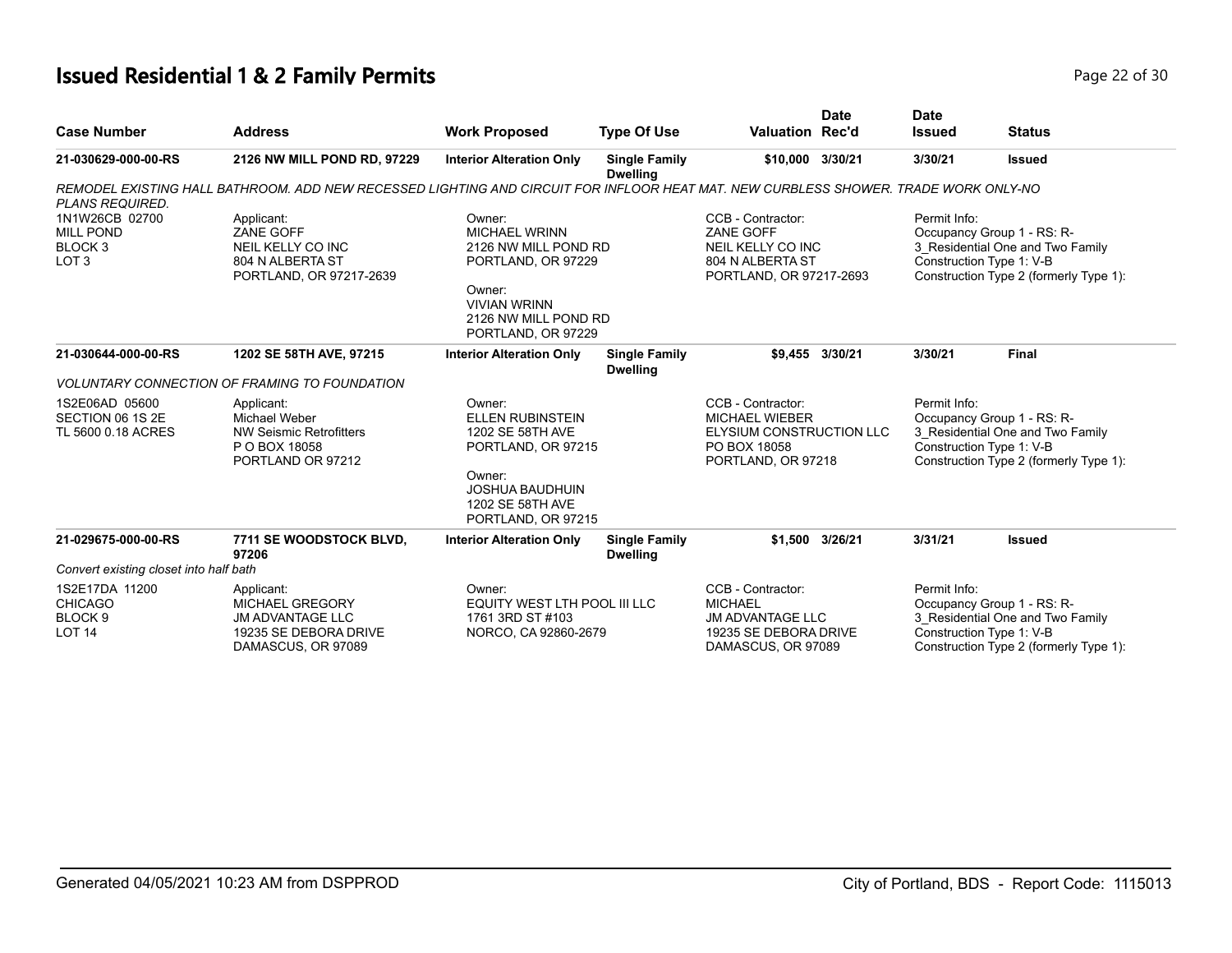# **Issued Residential 1 & 2 Family Permits Page 22 of 30 Page 22 of 30**

|                                        |                                                                                                                                     |                                                                             |                                         |                                             | <b>Date</b>     | <b>Date</b>                                                        |                                        |
|----------------------------------------|-------------------------------------------------------------------------------------------------------------------------------------|-----------------------------------------------------------------------------|-----------------------------------------|---------------------------------------------|-----------------|--------------------------------------------------------------------|----------------------------------------|
| <b>Case Number</b>                     | <b>Address</b>                                                                                                                      | <b>Work Proposed</b>                                                        | <b>Type Of Use</b>                      | <b>Valuation Rec'd</b>                      |                 | <b>Issued</b>                                                      | <b>Status</b>                          |
| 21-030629-000-00-RS                    | 2126 NW MILL POND RD, 97229                                                                                                         | <b>Interior Alteration Only</b>                                             | <b>Single Family</b><br><b>Dwelling</b> | \$10,000 3/30/21                            |                 | 3/30/21                                                            | <b>Issued</b>                          |
|                                        | REMODEL EXISTING HALL BATHROOM. ADD NEW RECESSED LIGHTING AND CIRCUIT FOR INFLOOR HEAT MAT. NEW CURBLESS SHOWER, TRADE WORK ONLY-NO |                                                                             |                                         |                                             |                 |                                                                    |                                        |
| <b>PLANS REQUIRED.</b>                 |                                                                                                                                     |                                                                             |                                         |                                             |                 |                                                                    |                                        |
| 1N1W26CB 02700                         | Applicant:                                                                                                                          | Owner:                                                                      |                                         | CCB - Contractor:                           |                 | Permit Info:                                                       |                                        |
| <b>MILL POND</b>                       | ZANE GOFF                                                                                                                           | <b>MICHAEL WRINN</b>                                                        |                                         | <b>ZANE GOFF</b>                            |                 |                                                                    | Occupancy Group 1 - RS: R-             |
| BLOCK <sub>3</sub>                     | NEIL KELLY CO INC                                                                                                                   | 2126 NW MILL POND RD                                                        |                                         | NEIL KELLY CO INC                           |                 |                                                                    | 3_Residential One and Two Family       |
| LOT <sub>3</sub>                       | 804 N ALBERTA ST<br>PORTLAND, OR 97217-2639                                                                                         | PORTLAND, OR 97229                                                          |                                         | 804 N ALBERTA ST<br>PORTLAND, OR 97217-2693 |                 | Construction Type 1: V-B<br>Construction Type 2 (formerly Type 1): |                                        |
|                                        |                                                                                                                                     | Owner:<br><b>VIVIAN WRINN</b><br>2126 NW MILL POND RD<br>PORTLAND, OR 97229 |                                         |                                             |                 |                                                                    |                                        |
| 21-030644-000-00-RS                    | 1202 SE 58TH AVE, 97215                                                                                                             | <b>Interior Alteration Only</b>                                             | <b>Single Family</b><br><b>Dwelling</b> |                                             | \$9,455 3/30/21 | 3/30/21                                                            | <b>Final</b>                           |
|                                        | <b>VOLUNTARY CONNECTION OF FRAMING TO FOUNDATION</b>                                                                                |                                                                             |                                         |                                             |                 |                                                                    |                                        |
| 1S2E06AD 05600                         | Applicant:                                                                                                                          | Owner:                                                                      |                                         | CCB - Contractor:                           |                 | Permit Info:                                                       |                                        |
| SECTION 06 1S 2E                       | Michael Weber                                                                                                                       | <b>ELLEN RUBINSTEIN</b>                                                     |                                         | <b>MICHAEL WIEBER</b>                       |                 |                                                                    | Occupancy Group 1 - RS: R-             |
| TL 5600 0.18 ACRES                     | <b>NW Seismic Retrofitters</b>                                                                                                      | 1202 SE 58TH AVE                                                            |                                         | ELYSIUM CONSTRUCTION LLC                    |                 |                                                                    | 3_Residential One and Two Family       |
|                                        | P O BOX 18058                                                                                                                       | PORTLAND, OR 97215                                                          |                                         | PO BOX 18058                                |                 |                                                                    | Construction Type 1: V-B               |
|                                        | PORTLAND OR 97212                                                                                                                   |                                                                             |                                         | PORTLAND, OR 97218                          |                 |                                                                    | Construction Type 2 (formerly Type 1): |
|                                        |                                                                                                                                     | Owner:<br><b>JOSHUA BAUDHUIN</b><br>1202 SE 58TH AVE<br>PORTLAND, OR 97215  |                                         |                                             |                 |                                                                    |                                        |
| 21-029675-000-00-RS                    | 7711 SE WOODSTOCK BLVD,                                                                                                             | <b>Interior Alteration Only</b>                                             | <b>Single Family</b>                    |                                             | \$1,500 3/26/21 | 3/31/21                                                            | <b>Issued</b>                          |
|                                        | 97206                                                                                                                               |                                                                             | <b>Dwelling</b>                         |                                             |                 |                                                                    |                                        |
| Convert existing closet into half bath |                                                                                                                                     |                                                                             |                                         |                                             |                 |                                                                    |                                        |
| 1S2E17DA 11200                         | Applicant:                                                                                                                          | Owner:                                                                      |                                         | CCB - Contractor:                           |                 | Permit Info:                                                       |                                        |
| <b>CHICAGO</b>                         | <b>MICHAEL GREGORY</b>                                                                                                              | EQUITY WEST LTH POOL III LLC                                                |                                         | <b>MICHAEL</b>                              |                 |                                                                    | Occupancy Group 1 - RS: R-             |
| BLOCK <sub>9</sub>                     | <b>JM ADVANTAGE LLC</b>                                                                                                             | 1761 3RD ST #103                                                            |                                         | <b>JM ADVANTAGE LLC</b>                     |                 |                                                                    | 3 Residential One and Two Family       |
| <b>LOT 14</b>                          | 19235 SE DEBORA DRIVE                                                                                                               | NORCO, CA 92860-2679                                                        |                                         | 19235 SE DEBORA DRIVE                       |                 |                                                                    | Construction Type 1: V-B               |
|                                        | DAMASCUS, OR 97089                                                                                                                  |                                                                             |                                         | DAMASCUS, OR 97089                          |                 |                                                                    | Construction Type 2 (formerly Type 1): |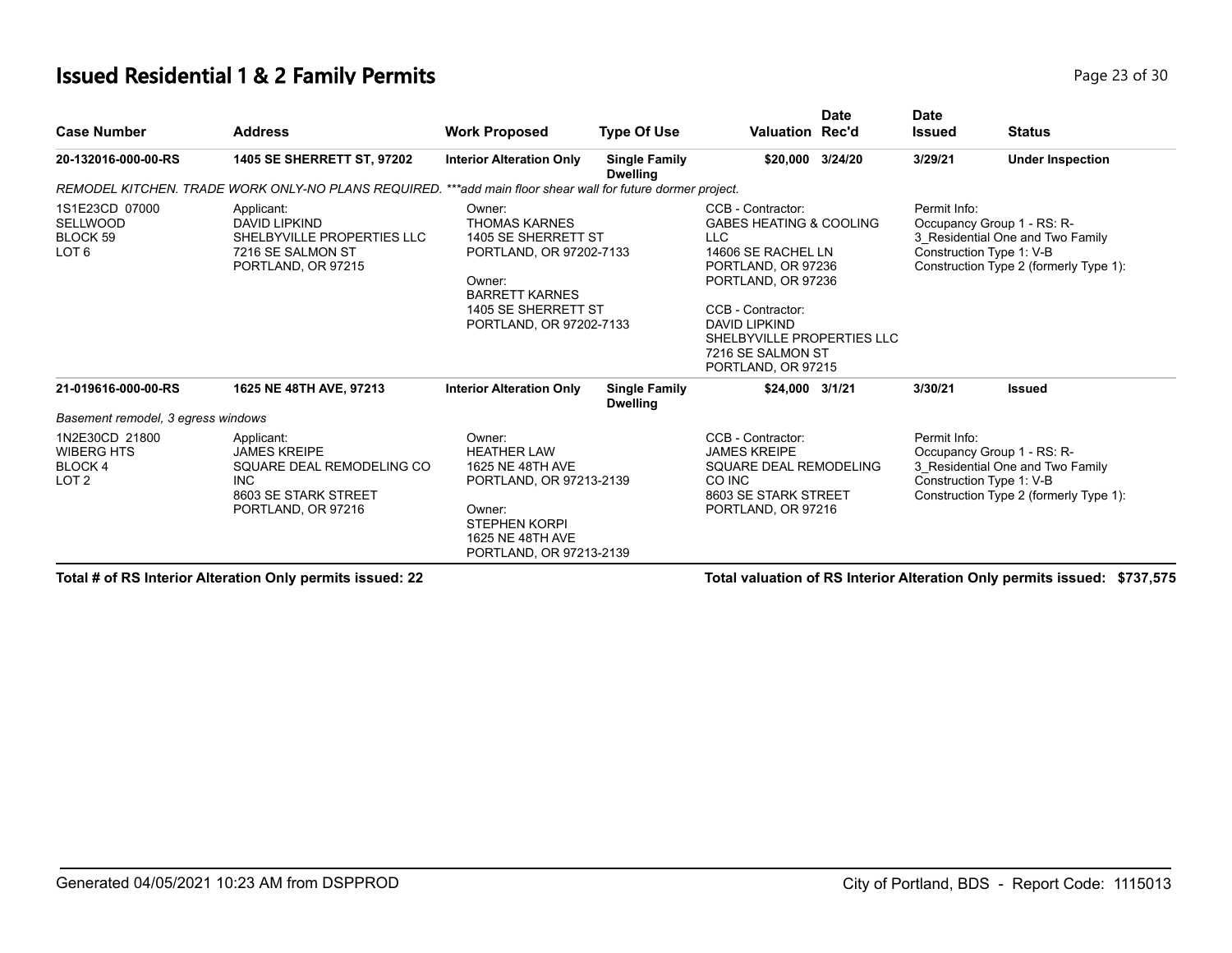#### **Issued Residential 1 & 2 Family Permits**

| Page 23 of 30 |  |  |  |
|---------------|--|--|--|
|---------------|--|--|--|

| <b>Case Number</b>                                                       | <b>Address</b>                                                                                                             | <b>Work Proposed</b>                                                                                                                                                  | <b>Type Of Use</b>                      | <b>Valuation Rec'd</b>                                                                                                                                                                                                                                        | <b>Date</b> | <b>Date</b><br><b>Issued</b> | <b>Status</b>                                                                                                                        |
|--------------------------------------------------------------------------|----------------------------------------------------------------------------------------------------------------------------|-----------------------------------------------------------------------------------------------------------------------------------------------------------------------|-----------------------------------------|---------------------------------------------------------------------------------------------------------------------------------------------------------------------------------------------------------------------------------------------------------------|-------------|------------------------------|--------------------------------------------------------------------------------------------------------------------------------------|
| 20-132016-000-00-RS                                                      | 1405 SE SHERRETT ST, 97202                                                                                                 | <b>Interior Alteration Only</b>                                                                                                                                       | <b>Single Family</b><br><b>Dwelling</b> | \$20,000 3/24/20                                                                                                                                                                                                                                              |             | 3/29/21                      | <b>Under Inspection</b>                                                                                                              |
|                                                                          | REMODEL KITCHEN. TRADE WORK ONLY-NO PLANS REQUIRED.                                                                        | **add main floor shear wall for future dormer project.                                                                                                                |                                         |                                                                                                                                                                                                                                                               |             |                              |                                                                                                                                      |
| 1S1E23CD 07000<br><b>SELLWOOD</b><br>BLOCK 59<br>LOT <sub>6</sub>        | Applicant:<br><b>DAVID LIPKIND</b><br>SHELBYVILLE PROPERTIES LLC<br>7216 SE SALMON ST<br>PORTLAND, OR 97215                | Owner:<br><b>THOMAS KARNES</b><br>1405 SE SHERRETT ST<br>PORTLAND, OR 97202-7133<br>Owner:<br><b>BARRETT KARNES</b><br>1405 SE SHERRETT ST<br>PORTLAND, OR 97202-7133 |                                         | CCB - Contractor:<br><b>GABES HEATING &amp; COOLING</b><br><b>LLC</b><br>14606 SE RACHEL LN<br>PORTLAND, OR 97236<br>PORTLAND, OR 97236<br>CCB - Contractor:<br><b>DAVID LIPKIND</b><br>SHELBYVILLE PROPERTIES LLC<br>7216 SE SALMON ST<br>PORTLAND, OR 97215 |             | Permit Info:                 | Occupancy Group 1 - RS: R-<br>3 Residential One and Two Family<br>Construction Type 1: V-B<br>Construction Type 2 (formerly Type 1): |
| 21-019616-000-00-RS                                                      | 1625 NE 48TH AVE, 97213                                                                                                    | <b>Interior Alteration Only</b>                                                                                                                                       | <b>Single Family</b><br><b>Dwelling</b> | \$24,000 3/1/21                                                                                                                                                                                                                                               |             | 3/30/21                      | <b>Issued</b>                                                                                                                        |
| Basement remodel, 3 egress windows                                       |                                                                                                                            |                                                                                                                                                                       |                                         |                                                                                                                                                                                                                                                               |             |                              |                                                                                                                                      |
| 1N2E30CD 21800<br><b>WIBERG HTS</b><br><b>BLOCK4</b><br>LOT <sub>2</sub> | Applicant:<br><b>JAMES KREIPE</b><br>SQUARE DEAL REMODELING CO<br><b>INC</b><br>8603 SE STARK STREET<br>PORTLAND, OR 97216 | Owner:<br><b>HEATHER LAW</b><br>1625 NE 48TH AVE<br>PORTLAND, OR 97213-2139<br>Owner:<br><b>STEPHEN KORPI</b><br>1625 NE 48TH AVE<br>PORTLAND, OR 97213-2139          |                                         | CCB - Contractor:<br><b>JAMES KREIPE</b><br>SQUARE DEAL REMODELING<br>CO INC<br>8603 SE STARK STREET<br>PORTLAND, OR 97216                                                                                                                                    |             | Permit Info:                 | Occupancy Group 1 - RS: R-<br>3 Residential One and Two Family<br>Construction Type 1: V-B<br>Construction Type 2 (formerly Type 1): |

**Total # of RS Interior Alteration Only permits issued: 22 Total valuation of RS Interior Alteration Only permits issued: \$737,575**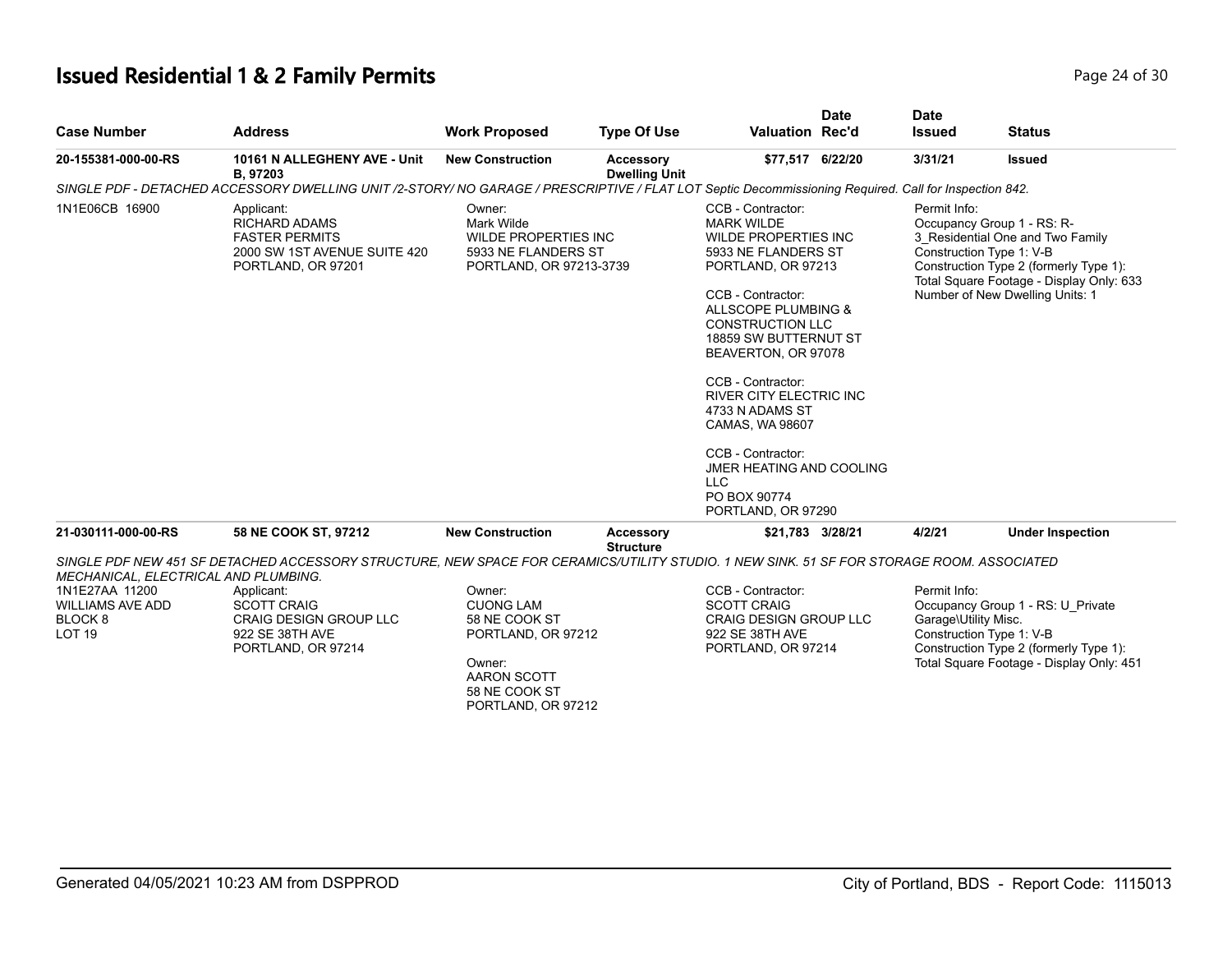# **Issued Residential 1 & 2 Family Permits**

| Page 24 of 30 |
|---------------|
|---------------|

| <b>Case Number</b>                                                                                                       | <b>Address</b>                                                                                                                                                                                                                                          | <b>Work Proposed</b>                                                                                                              | <b>Type Of Use</b>                       | <b>Valuation Rec'd</b>                                                                                                                                                                                                                                                                                                                                                                                                                       | <b>Date</b> | <b>Date</b><br><b>Issued</b>         | <b>Status</b>                                                                                                                                                                                                       |
|--------------------------------------------------------------------------------------------------------------------------|---------------------------------------------------------------------------------------------------------------------------------------------------------------------------------------------------------------------------------------------------------|-----------------------------------------------------------------------------------------------------------------------------------|------------------------------------------|----------------------------------------------------------------------------------------------------------------------------------------------------------------------------------------------------------------------------------------------------------------------------------------------------------------------------------------------------------------------------------------------------------------------------------------------|-------------|--------------------------------------|---------------------------------------------------------------------------------------------------------------------------------------------------------------------------------------------------------------------|
| 20-155381-000-00-RS                                                                                                      | 10161 N ALLEGHENY AVE - Unit<br>B, 97203                                                                                                                                                                                                                | <b>New Construction</b>                                                                                                           | <b>Accessory</b><br><b>Dwelling Unit</b> | \$77,517 6/22/20                                                                                                                                                                                                                                                                                                                                                                                                                             |             | 3/31/21                              | <b>Issued</b>                                                                                                                                                                                                       |
|                                                                                                                          | SINGLE PDF - DETACHED ACCESSORY DWELLING UNIT /2-STORY/ NO GARAGE / PRESCRIPTIVE / FLAT LOT Septic Decommissioning Required. Call for Inspection 842.                                                                                                   |                                                                                                                                   |                                          |                                                                                                                                                                                                                                                                                                                                                                                                                                              |             |                                      |                                                                                                                                                                                                                     |
| 1N1E06CB 16900                                                                                                           | Applicant:<br><b>RICHARD ADAMS</b><br><b>FASTER PERMITS</b><br>2000 SW 1ST AVENUE SUITE 420<br>PORTLAND, OR 97201                                                                                                                                       | Owner:<br>Mark Wilde<br><b>WILDE PROPERTIES INC</b><br>5933 NE FLANDERS ST<br>PORTLAND, OR 97213-3739                             |                                          | CCB - Contractor:<br><b>MARK WILDE</b><br><b>WILDE PROPERTIES INC</b><br>5933 NE FLANDERS ST<br>PORTLAND, OR 97213<br>CCB - Contractor:<br>ALLSCOPE PLUMBING &<br><b>CONSTRUCTION LLC</b><br>18859 SW BUTTERNUT ST<br>BEAVERTON, OR 97078<br>CCB - Contractor:<br><b>RIVER CITY ELECTRIC INC.</b><br>4733 N ADAMS ST<br>CAMAS, WA 98607<br>CCB - Contractor:<br>JMER HEATING AND COOLING<br><b>LLC</b><br>PO BOX 90774<br>PORTLAND, OR 97290 |             | Permit Info:                         | Occupancy Group 1 - RS: R-<br>3 Residential One and Two Family<br>Construction Type 1: V-B<br>Construction Type 2 (formerly Type 1):<br>Total Square Footage - Display Only: 633<br>Number of New Dwelling Units: 1 |
| 21-030111-000-00-RS                                                                                                      | 58 NE COOK ST, 97212                                                                                                                                                                                                                                    | <b>New Construction</b>                                                                                                           | <b>Accessory</b><br><b>Structure</b>     | \$21,783 3/28/21                                                                                                                                                                                                                                                                                                                                                                                                                             |             | 4/2/21                               | <b>Under Inspection</b>                                                                                                                                                                                             |
| MECHANICAL, ELECTRICAL AND PLUMBING.<br>1N1E27AA 11200<br><b>WILLIAMS AVE ADD</b><br>BLOCK <sub>8</sub><br><b>LOT 19</b> | SINGLE PDF NEW 451 SF DETACHED ACCESSORY STRUCTURE, NEW SPACE FOR CERAMICS/UTILITY STUDIO. 1 NEW SINK. 51 SF FOR STORAGE ROOM. ASSOCIATED<br>Applicant:<br><b>SCOTT CRAIG</b><br><b>CRAIG DESIGN GROUP LLC</b><br>922 SE 38TH AVE<br>PORTLAND, OR 97214 | Owner:<br><b>CUONG LAM</b><br>58 NE COOK ST<br>PORTLAND, OR 97212<br>Owner:<br>AARON SCOTT<br>58 NE COOK ST<br>PORTLAND, OR 97212 |                                          | CCB - Contractor:<br><b>SCOTT CRAIG</b><br><b>CRAIG DESIGN GROUP LLC</b><br>922 SE 38TH AVE<br>PORTLAND, OR 97214                                                                                                                                                                                                                                                                                                                            |             | Permit Info:<br>Garage\Utility Misc. | Occupancy Group 1 - RS: U Private<br>Construction Type 1: V-B<br>Construction Type 2 (formerly Type 1):<br>Total Square Footage - Display Only: 451                                                                 |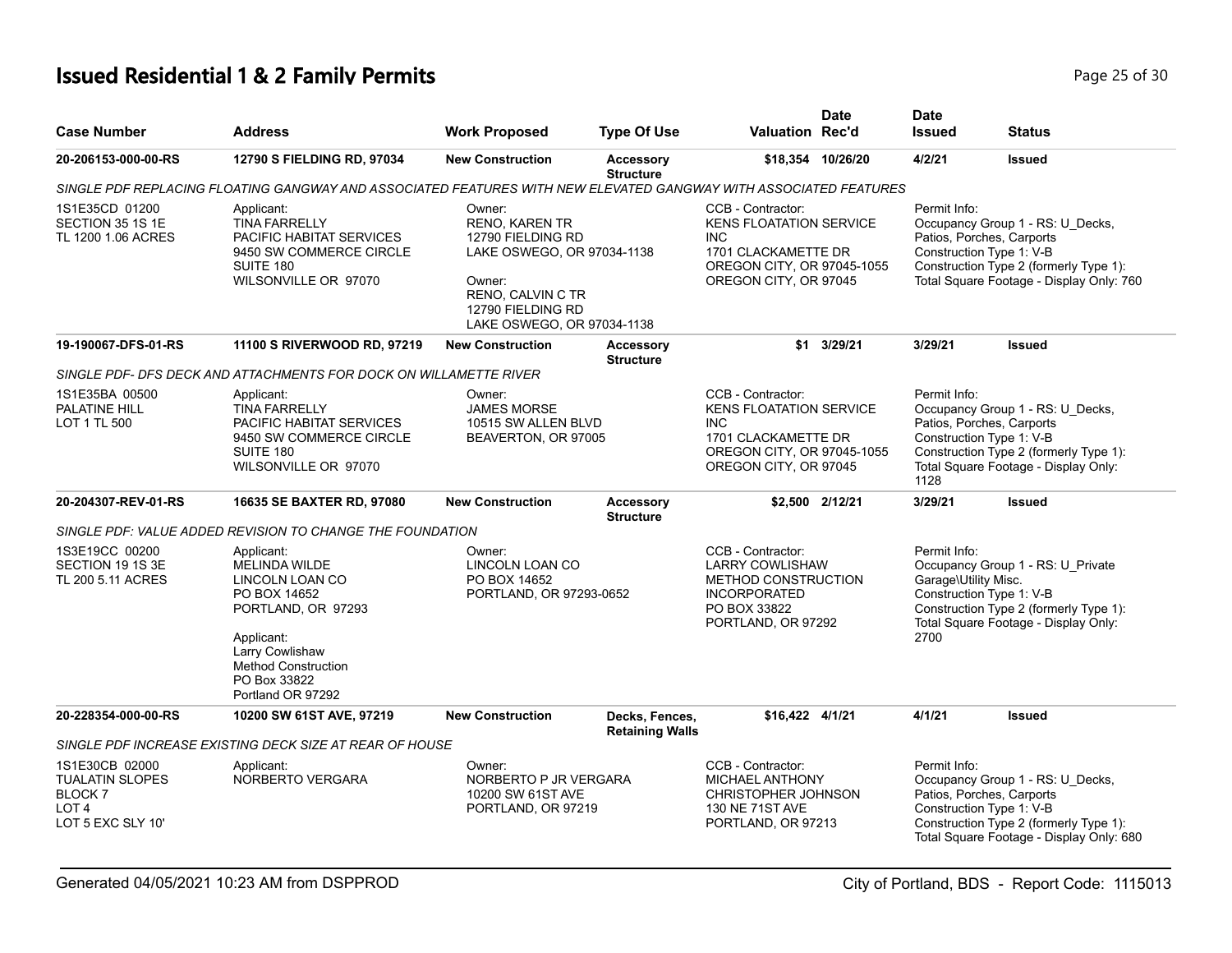# **Issued Residential 1 & 2 Family Permits Page 25 of 30 Page 25 of 30**

| <b>Case Number</b>                                                                                 | <b>Address</b>                                                                                                                                                                                  | <b>Work Proposed</b>                                                                                                                                                 | <b>Type Of Use</b>                       | Valuation Rec'd                                                                                                                                 | <b>Date</b>       | <b>Date</b><br><b>Issued</b>                                             | <b>Status</b>                                                                                                                                       |
|----------------------------------------------------------------------------------------------------|-------------------------------------------------------------------------------------------------------------------------------------------------------------------------------------------------|----------------------------------------------------------------------------------------------------------------------------------------------------------------------|------------------------------------------|-------------------------------------------------------------------------------------------------------------------------------------------------|-------------------|--------------------------------------------------------------------------|-----------------------------------------------------------------------------------------------------------------------------------------------------|
| 20-206153-000-00-RS                                                                                | 12790 S FIELDING RD, 97034                                                                                                                                                                      | <b>New Construction</b>                                                                                                                                              | <b>Accessory</b><br><b>Structure</b>     |                                                                                                                                                 | \$18,354 10/26/20 | 4/2/21                                                                   | <b>Issued</b>                                                                                                                                       |
|                                                                                                    | SINGLE PDF REPLACING FLOATING GANGWAY AND ASSOCIATED FEATURES WITH NEW ELEVATED GANGWAY WITH ASSOCIATED FEATURES                                                                                |                                                                                                                                                                      |                                          |                                                                                                                                                 |                   |                                                                          |                                                                                                                                                     |
| 1S1E35CD 01200<br>SECTION 35 1S 1E<br>TL 1200 1.06 ACRES                                           | Applicant:<br><b>TINA FARRELLY</b><br>PACIFIC HABITAT SERVICES<br>9450 SW COMMERCE CIRCLE<br>SUITE 180<br>WILSONVILLE OR 97070                                                                  | Owner:<br><b>RENO, KAREN TR</b><br>12790 FIELDING RD<br>LAKE OSWEGO, OR 97034-1138<br>Owner:<br>RENO, CALVIN C TR<br>12790 FIELDING RD<br>LAKE OSWEGO, OR 97034-1138 |                                          | CCB - Contractor:<br><b>KENS FLOATATION SERVICE</b><br><b>INC</b><br>1701 CLACKAMETTE DR<br>OREGON CITY, OR 97045-1055<br>OREGON CITY, OR 97045 |                   | Permit Info:<br>Construction Type 1: V-B                                 | Occupancy Group 1 - RS: U_Decks,<br>Patios, Porches, Carports<br>Construction Type 2 (formerly Type 1):<br>Total Square Footage - Display Only: 760 |
| 19-190067-DFS-01-RS                                                                                | 11100 S RIVERWOOD RD, 97219                                                                                                                                                                     | <b>New Construction</b>                                                                                                                                              | Accessory<br><b>Structure</b>            |                                                                                                                                                 | \$1 3/29/21       | 3/29/21                                                                  | <b>Issued</b>                                                                                                                                       |
|                                                                                                    | SINGLE PDF- DFS DECK AND ATTACHMENTS FOR DOCK ON WILLAMETTE RIVER                                                                                                                               |                                                                                                                                                                      |                                          |                                                                                                                                                 |                   |                                                                          |                                                                                                                                                     |
| 1S1E35BA 00500<br>PALATINE HILL<br>LOT 1 TL 500                                                    | Applicant:<br><b>TINA FARRELLY</b><br><b>PACIFIC HABITAT SERVICES</b><br>9450 SW COMMERCE CIRCLE<br>SUITE 180<br>WILSONVILLE OR 97070                                                           | Owner:<br><b>JAMES MORSE</b><br>10515 SW ALLEN BLVD<br>BEAVERTON, OR 97005                                                                                           |                                          | CCB - Contractor:<br><b>KENS FLOATATION SERVICE</b><br><b>INC</b><br>1701 CLACKAMETTE DR<br>OREGON CITY, OR 97045-1055<br>OREGON CITY, OR 97045 |                   | Permit Info:<br>Construction Type 1: V-B<br>1128                         | Occupancy Group 1 - RS: U_Decks,<br>Patios, Porches, Carports<br>Construction Type 2 (formerly Type 1):<br>Total Square Footage - Display Only:     |
| 20-204307-REV-01-RS                                                                                | 16635 SE BAXTER RD, 97080                                                                                                                                                                       | <b>New Construction</b>                                                                                                                                              | Accessory<br><b>Structure</b>            |                                                                                                                                                 | \$2,500 2/12/21   | 3/29/21                                                                  | <b>Issued</b>                                                                                                                                       |
|                                                                                                    | SINGLE PDF: VALUE ADDED REVISION TO CHANGE THE FOUNDATION                                                                                                                                       |                                                                                                                                                                      |                                          |                                                                                                                                                 |                   |                                                                          |                                                                                                                                                     |
| 1S3E19CC 00200<br>SECTION 19 1S 3E<br>TL 200 5.11 ACRES                                            | Applicant:<br><b>MELINDA WILDE</b><br>LINCOLN LOAN CO<br>PO BOX 14652<br>PORTLAND, OR 97293<br>Applicant:<br>Larry Cowlishaw<br><b>Method Construction</b><br>PO Box 33822<br>Portland OR 97292 | Owner:<br>LINCOLN LOAN CO<br>PO BOX 14652<br>PORTLAND, OR 97293-0652                                                                                                 |                                          | CCB - Contractor:<br><b>LARRY COWLISHAW</b><br><b>METHOD CONSTRUCTION</b><br><b>INCORPORATED</b><br>PO BOX 33822<br>PORTLAND, OR 97292          |                   | Permit Info:<br>Garage\Utility Misc.<br>Construction Type 1: V-B<br>2700 | Occupancy Group 1 - RS: U_Private<br>Construction Type 2 (formerly Type 1):<br>Total Square Footage - Display Only:                                 |
| 20-228354-000-00-RS                                                                                | 10200 SW 61ST AVE, 97219                                                                                                                                                                        | <b>New Construction</b>                                                                                                                                              | Decks, Fences,<br><b>Retaining Walls</b> | \$16,422 4/1/21                                                                                                                                 |                   | 4/1/21                                                                   | <b>Issued</b>                                                                                                                                       |
|                                                                                                    | SINGLE PDF INCREASE EXISTING DECK SIZE AT REAR OF HOUSE                                                                                                                                         |                                                                                                                                                                      |                                          |                                                                                                                                                 |                   |                                                                          |                                                                                                                                                     |
| 1S1E30CB 02000<br><b>TUALATIN SLOPES</b><br><b>BLOCK7</b><br>LOT <sub>4</sub><br>LOT 5 EXC SLY 10' | Applicant:<br>NORBERTO VERGARA                                                                                                                                                                  | Owner:<br>NORBERTO P JR VERGARA<br>10200 SW 61ST AVE<br>PORTLAND, OR 97219                                                                                           |                                          | CCB - Contractor:<br><b>MICHAEL ANTHONY</b><br><b>CHRISTOPHER JOHNSON</b><br>130 NE 71ST AVE<br>PORTLAND, OR 97213                              |                   | Permit Info:<br>Construction Type 1: V-B                                 | Occupancy Group 1 - RS: U_Decks,<br>Patios, Porches, Carports<br>Construction Type 2 (formerly Type 1):<br>Total Square Footage - Display Only: 680 |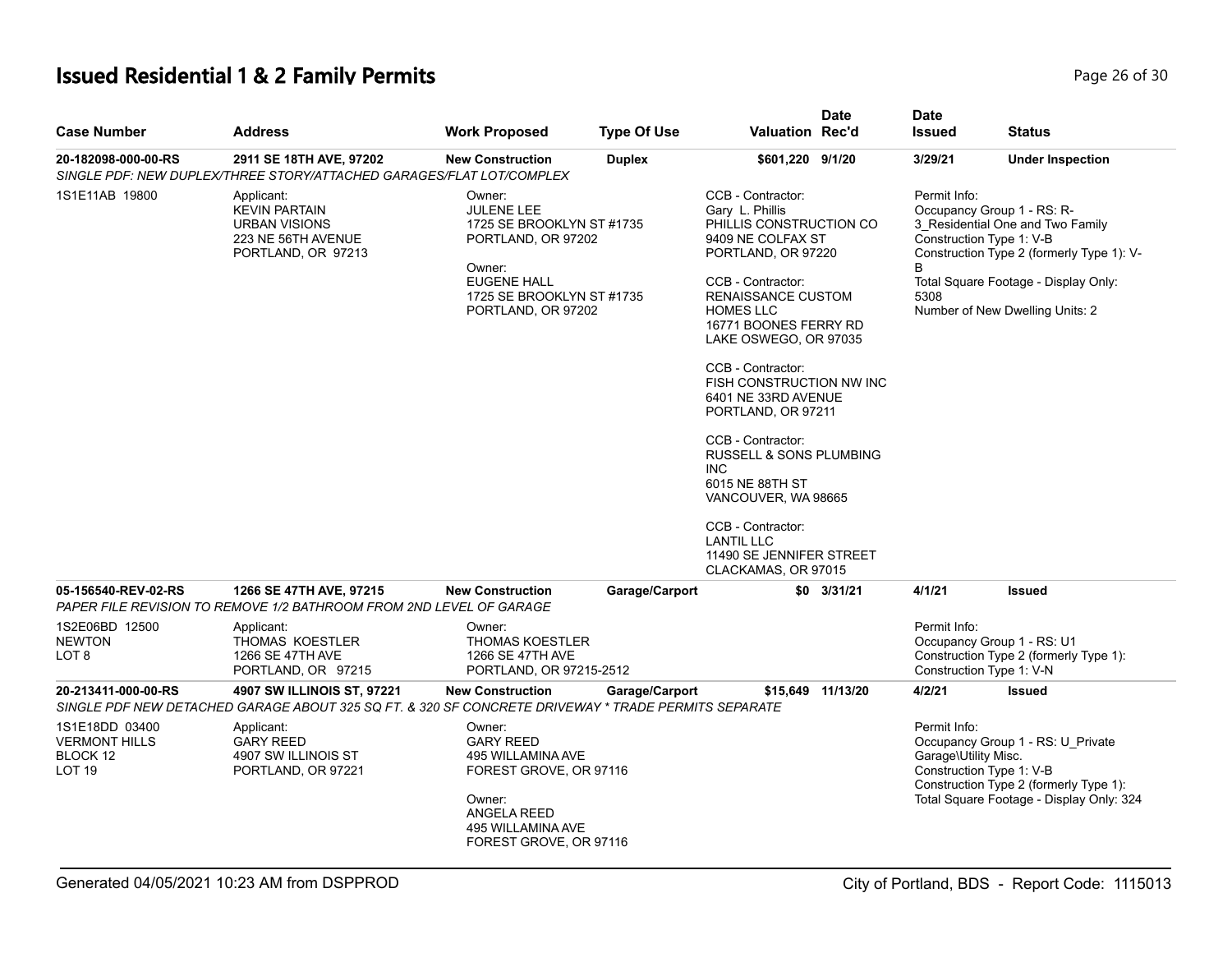# **Issued Residential 1 & 2 Family Permits Page 26 of 30 Page 26 of 30**

| <b>Case Number</b>                                                      | <b>Address</b>                                                                                                                    | <b>Work Proposed</b>                                                                                                                                              | <b>Type Of Use</b> | <b>Valuation Rec'd</b>                                                                                                                                                                                                                                                                                                                                                                                                                                                                                                         | <b>Date</b>       | <b>Date</b><br><b>Issued</b>         | <b>Status</b>                                                                                                                                                                                                      |
|-------------------------------------------------------------------------|-----------------------------------------------------------------------------------------------------------------------------------|-------------------------------------------------------------------------------------------------------------------------------------------------------------------|--------------------|--------------------------------------------------------------------------------------------------------------------------------------------------------------------------------------------------------------------------------------------------------------------------------------------------------------------------------------------------------------------------------------------------------------------------------------------------------------------------------------------------------------------------------|-------------------|--------------------------------------|--------------------------------------------------------------------------------------------------------------------------------------------------------------------------------------------------------------------|
| 20-182098-000-00-RS                                                     | 2911 SE 18TH AVE, 97202<br>SINGLE PDF: NEW DUPLEX/THREE STORY/ATTACHED GARAGES/FLAT LOT/COMPLEX                                   | <b>New Construction</b>                                                                                                                                           | <b>Duplex</b>      | \$601,220 9/1/20                                                                                                                                                                                                                                                                                                                                                                                                                                                                                                               |                   | 3/29/21                              | <b>Under Inspection</b>                                                                                                                                                                                            |
| 1S1E11AB 19800                                                          | Applicant:<br><b>KEVIN PARTAIN</b><br><b>URBAN VISIONS</b><br>223 NE 56TH AVENUE<br>PORTLAND, OR 97213                            | Owner:<br><b>JULENE LEE</b><br>1725 SE BROOKLYN ST #1735<br>PORTLAND, OR 97202<br>Owner:<br><b>EUGENE HALL</b><br>1725 SE BROOKLYN ST #1735<br>PORTLAND, OR 97202 |                    | CCB - Contractor:<br>Gary L. Phillis<br>PHILLIS CONSTRUCTION CO<br>9409 NE COLFAX ST<br>PORTLAND, OR 97220<br>CCB - Contractor:<br>RENAISSANCE CUSTOM<br><b>HOMES LLC</b><br>16771 BOONES FERRY RD<br>LAKE OSWEGO, OR 97035<br>CCB - Contractor:<br>FISH CONSTRUCTION NW INC<br>6401 NE 33RD AVENUE<br>PORTLAND, OR 97211<br>CCB - Contractor:<br>RUSSELL & SONS PLUMBING<br><b>INC</b><br>6015 NE 88TH ST<br>VANCOUVER, WA 98665<br>CCB - Contractor:<br><b>LANTIL LLC</b><br>11490 SE JENNIFER STREET<br>CLACKAMAS, OR 97015 |                   | Permit Info:<br>B<br>5308            | Occupancy Group 1 - RS: R-<br>3 Residential One and Two Family<br>Construction Type 1: V-B<br>Construction Type 2 (formerly Type 1): V-<br>Total Square Footage - Display Only:<br>Number of New Dwelling Units: 2 |
| 05-156540-REV-02-RS                                                     | 1266 SE 47TH AVE, 97215<br>PAPER FILE REVISION TO REMOVE 1/2 BATHROOM FROM 2ND LEVEL OF GARAGE                                    | <b>New Construction</b>                                                                                                                                           | Garage/Carport     |                                                                                                                                                                                                                                                                                                                                                                                                                                                                                                                                | $$0$ 3/31/21      | 4/1/21                               | <b>Issued</b>                                                                                                                                                                                                      |
| 1S2E06BD 12500<br><b>NEWTON</b><br>LOT 8                                | Applicant:<br>THOMAS KOESTLER<br>1266 SE 47TH AVE<br>PORTLAND, OR 97215                                                           | Owner:<br><b>THOMAS KOESTLER</b><br>1266 SE 47TH AVE<br>PORTLAND, OR 97215-2512                                                                                   |                    |                                                                                                                                                                                                                                                                                                                                                                                                                                                                                                                                |                   | Permit Info:                         | Occupancy Group 1 - RS: U1<br>Construction Type 2 (formerly Type 1):<br>Construction Type 1: V-N                                                                                                                   |
| 20-213411-000-00-RS                                                     | 4907 SW ILLINOIS ST, 97221<br>SINGLE PDF NEW DETACHED GARAGE ABOUT 325 SQ FT. & 320 SF CONCRETE DRIVEWAY * TRADE PERMITS SEPARATE | <b>New Construction</b>                                                                                                                                           | Garage/Carport     |                                                                                                                                                                                                                                                                                                                                                                                                                                                                                                                                | \$15,649 11/13/20 | 4/2/21                               | <b>Issued</b>                                                                                                                                                                                                      |
| 1S1E18DD 03400<br><b>VERMONT HILLS</b><br>BLOCK 12<br>LOT <sub>19</sub> | Applicant:<br><b>GARY REED</b><br>4907 SW ILLINOIS ST<br>PORTLAND, OR 97221                                                       | Owner:<br><b>GARY REED</b><br>495 WILLAMINA AVE<br>FOREST GROVE, OR 97116<br>Owner:<br>ANGELA REED<br>495 WILLAMINA AVE<br>FOREST GROVE, OR 97116                 |                    |                                                                                                                                                                                                                                                                                                                                                                                                                                                                                                                                |                   | Permit Info:<br>Garage\Utility Misc. | Occupancy Group 1 - RS: U_Private<br>Construction Type 1: V-B<br>Construction Type 2 (formerly Type 1):<br>Total Square Footage - Display Only: 324                                                                |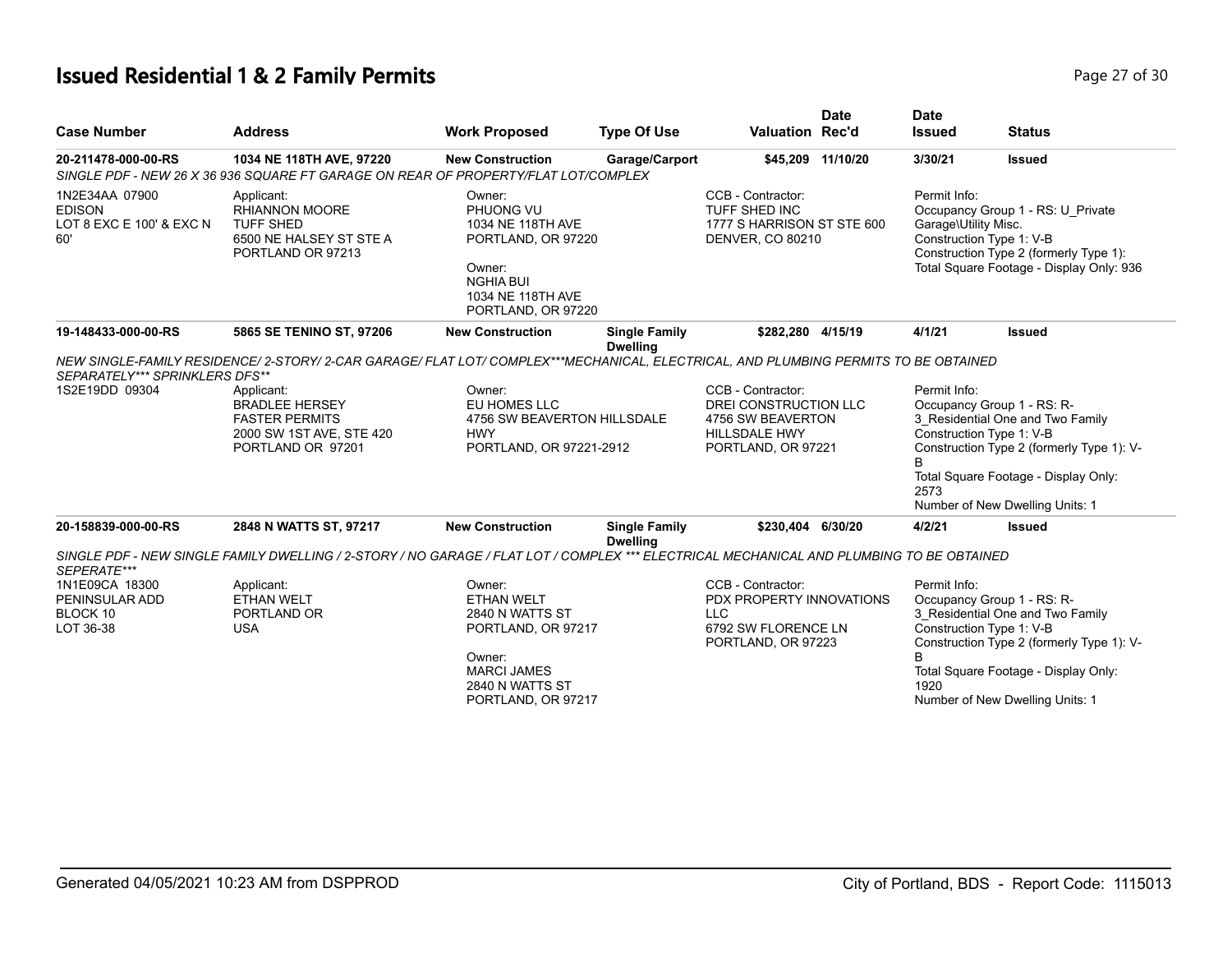# **Issued Residential 1 & 2 Family Permits Page 27 of 30 Page 27 of 30**

| <b>Case Number</b>                                                      | <b>Address</b>                                                                                                                                                                                                                                       | <b>Work Proposed</b>                                                                                                                    | <b>Type Of Use</b>                      | <b>Valuation Rec'd</b>                                                                                                     | <b>Date</b> | <b>Date</b><br><b>Issued</b>         | <b>Status</b>                                                                                                                                                                                                      |
|-------------------------------------------------------------------------|------------------------------------------------------------------------------------------------------------------------------------------------------------------------------------------------------------------------------------------------------|-----------------------------------------------------------------------------------------------------------------------------------------|-----------------------------------------|----------------------------------------------------------------------------------------------------------------------------|-------------|--------------------------------------|--------------------------------------------------------------------------------------------------------------------------------------------------------------------------------------------------------------------|
| 20-211478-000-00-RS                                                     | 1034 NE 118TH AVE, 97220<br>SINGLE PDF - NEW 26 X 36 936 SQUARE FT GARAGE ON REAR OF PROPERTY/FLAT LOT/COMPLEX                                                                                                                                       | <b>New Construction</b>                                                                                                                 | Garage/Carport                          | \$45,209                                                                                                                   | 11/10/20    | 3/30/21                              | <b>Issued</b>                                                                                                                                                                                                      |
| 1N2E34AA 07900<br><b>EDISON</b><br>LOT 8 EXC E 100' & EXC N<br>60'      | Applicant:<br><b>RHIANNON MOORE</b><br><b>TUFF SHED</b><br>6500 NE HALSEY ST STE A<br>PORTLAND OR 97213                                                                                                                                              | Owner:<br>PHUONG VU<br>1034 NE 118TH AVE<br>PORTLAND, OR 97220<br>Owner:<br><b>NGHIA BUI</b><br>1034 NE 118TH AVE<br>PORTLAND, OR 97220 |                                         | CCB - Contractor:<br>TUFF SHED INC<br>1777 S HARRISON ST STE 600<br><b>DENVER, CO 80210</b>                                |             | Permit Info:<br>Garage\Utility Misc. | Occupancy Group 1 - RS: U Private<br>Construction Type 1: V-B<br>Construction Type 2 (formerly Type 1):<br>Total Square Footage - Display Only: 936                                                                |
| 19-148433-000-00-RS                                                     | 5865 SE TENINO ST, 97206                                                                                                                                                                                                                             | <b>New Construction</b>                                                                                                                 | <b>Single Family</b><br><b>Dwelling</b> | \$282,280 4/15/19                                                                                                          |             | 4/1/21                               | <b>Issued</b>                                                                                                                                                                                                      |
| SEPARATELY*** SPRINKLERS DFS**<br>1S2E19DD 09304<br>20-158839-000-00-RS | NEW SINGLE-FAMILY RESIDENCE/ 2-STORY/ 2-CAR GARAGE/ FLAT LOT/ COMPLEX***MECHANICAL, ELECTRICAL, AND PLUMBING PERMITS TO BE OBTAINED<br>Applicant:<br><b>BRADLEE HERSEY</b><br><b>FASTER PERMITS</b><br>2000 SW 1ST AVE, STE 420<br>PORTLAND OR 97201 | Owner:<br>EU HOMES LLC<br>4756 SW BEAVERTON HILLSDALE<br><b>HWY</b><br>PORTLAND, OR 97221-2912<br><b>New Construction</b>               |                                         | CCB - Contractor:<br>DREI CONSTRUCTION LLC<br>4756 SW BEAVERTON<br><b>HILLSDALE HWY</b><br>PORTLAND, OR 97221<br>\$230.404 | 6/30/20     | Permit Info:<br>B<br>2573            | Occupancy Group 1 - RS: R-<br>3 Residential One and Two Family<br>Construction Type 1: V-B<br>Construction Type 2 (formerly Type 1): V-<br>Total Square Footage - Display Only:<br>Number of New Dwelling Units: 1 |
|                                                                         | 2848 N WATTS ST, 97217                                                                                                                                                                                                                               |                                                                                                                                         | <b>Single Family</b><br><b>Dwelling</b> |                                                                                                                            |             | 4/2/21                               | <b>Issued</b>                                                                                                                                                                                                      |
| SEPERATE***                                                             | SINGLE PDF - NEW SINGLE FAMILY DWELLING / 2-STORY / NO GARAGE / FLAT LOT / COMPLEX *** ELECTRICAL MECHANICAL AND PLUMBING TO BE OBTAINED                                                                                                             |                                                                                                                                         |                                         |                                                                                                                            |             |                                      |                                                                                                                                                                                                                    |
| 1N1E09CA 18300<br>PENINSULAR ADD<br>BLOCK 10<br>LOT 36-38               | Applicant:<br><b>ETHAN WELT</b><br>PORTLAND OR<br><b>USA</b>                                                                                                                                                                                         | Owner:<br>ETHAN WELT<br>2840 N WATTS ST<br>PORTLAND, OR 97217<br>Owner:<br><b>MARCI JAMES</b><br>2840 N WATTS ST<br>PORTLAND, OR 97217  |                                         | CCB - Contractor:<br>PDX PROPERTY INNOVATIONS<br><b>LLC</b><br>6792 SW FLORENCE LN<br>PORTLAND, OR 97223                   |             | Permit Info:<br>B<br>1920            | Occupancy Group 1 - RS: R-<br>3 Residential One and Two Family<br>Construction Type 1: V-B<br>Construction Type 2 (formerly Type 1): V-<br>Total Square Footage - Display Only:<br>Number of New Dwelling Units: 1 |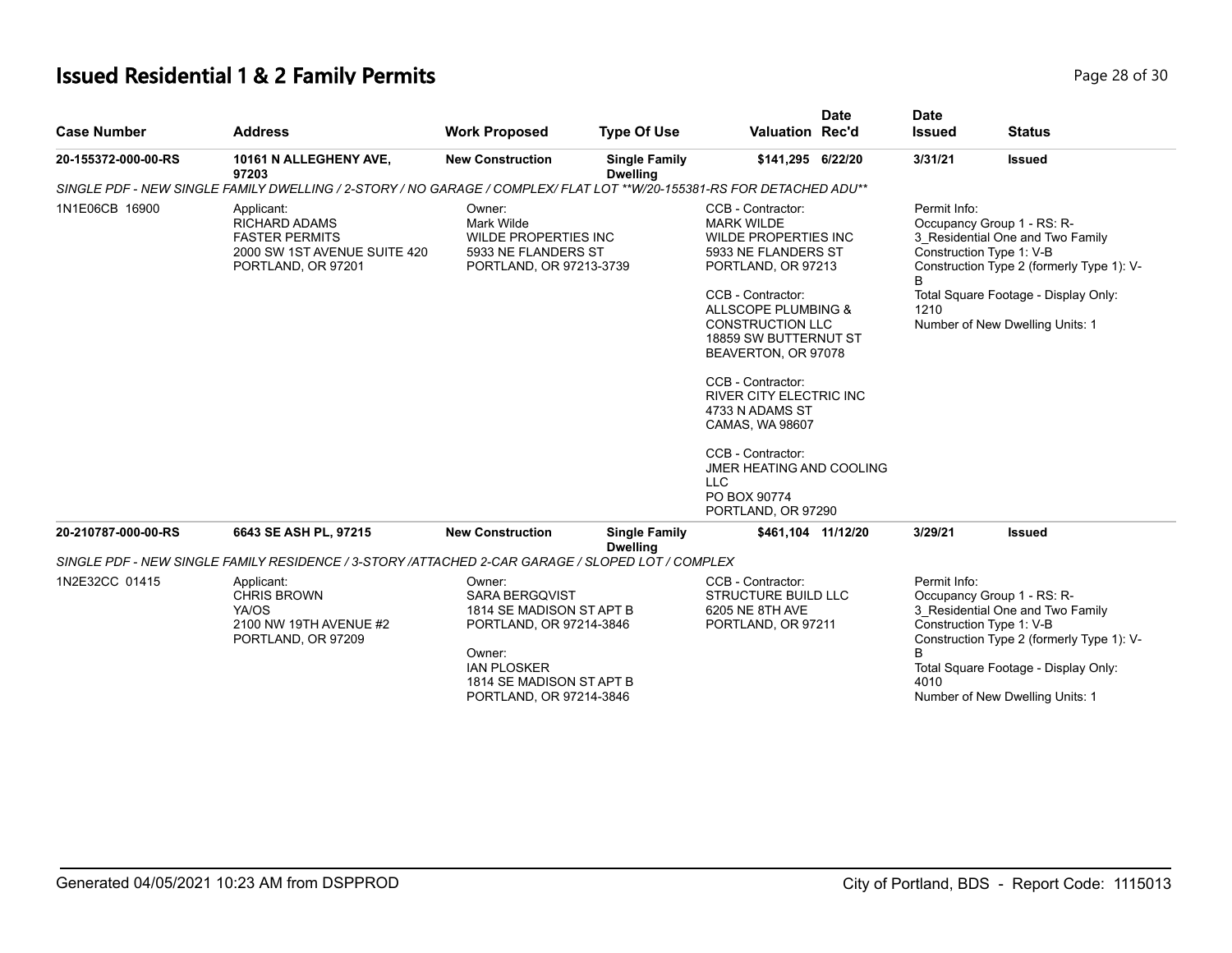# **Issued Residential 1 & 2 Family Permits Page 28 of 30 Page 28 of 30**

| <b>Case Number</b>  | <b>Address</b>                                                                                                        | <b>Work Proposed</b>                                                                                                                                                          | <b>Type Of Use</b>                      | <b>Valuation Rec'd</b>                                                                                                                                                                                                                                                                                                                                                                                                | <b>Date</b> | <b>Date</b><br><b>Issued</b> | <b>Status</b>                                                                                                                                                                                                      |
|---------------------|-----------------------------------------------------------------------------------------------------------------------|-------------------------------------------------------------------------------------------------------------------------------------------------------------------------------|-----------------------------------------|-----------------------------------------------------------------------------------------------------------------------------------------------------------------------------------------------------------------------------------------------------------------------------------------------------------------------------------------------------------------------------------------------------------------------|-------------|------------------------------|--------------------------------------------------------------------------------------------------------------------------------------------------------------------------------------------------------------------|
| 20-155372-000-00-RS | 10161 N ALLEGHENY AVE,<br>97203                                                                                       | <b>New Construction</b>                                                                                                                                                       | <b>Single Family</b><br><b>Dwelling</b> | \$141,295 6/22/20                                                                                                                                                                                                                                                                                                                                                                                                     |             | 3/31/21                      | <b>Issued</b>                                                                                                                                                                                                      |
|                     | SINGLE PDF - NEW SINGLE FAMILY DWELLING / 2-STORY / NO GARAGE / COMPLEX/ FLAT LOT **W/20-155381-RS FOR DETACHED ADU** |                                                                                                                                                                               |                                         |                                                                                                                                                                                                                                                                                                                                                                                                                       |             |                              |                                                                                                                                                                                                                    |
| 1N1E06CB 16900      | Applicant:<br><b>RICHARD ADAMS</b><br><b>FASTER PERMITS</b><br>2000 SW 1ST AVENUE SUITE 420<br>PORTLAND, OR 97201     | Owner:<br>Mark Wilde<br><b>WILDE PROPERTIES INC</b><br>5933 NE FLANDERS ST<br>PORTLAND, OR 97213-3739                                                                         |                                         | CCB - Contractor:<br><b>MARK WILDE</b><br><b>WILDE PROPERTIES INC</b><br>5933 NE FLANDERS ST<br>PORTLAND, OR 97213<br>CCB - Contractor:<br>ALLSCOPE PLUMBING &<br><b>CONSTRUCTION LLC</b><br>18859 SW BUTTERNUT ST<br>BEAVERTON, OR 97078<br>CCB - Contractor:<br><b>RIVER CITY ELECTRIC INC</b><br>4733 N ADAMS ST<br>CAMAS, WA 98607<br>CCB - Contractor:<br>JMER HEATING AND COOLING<br><b>LLC</b><br>PO BOX 90774 |             | Permit Info:<br>1210         | Occupancy Group 1 - RS: R-<br>3 Residential One and Two Family<br>Construction Type 1: V-B<br>Construction Type 2 (formerly Type 1): V-<br>Total Square Footage - Display Only:<br>Number of New Dwelling Units: 1 |
| 20-210787-000-00-RS | 6643 SE ASH PL, 97215                                                                                                 | <b>New Construction</b>                                                                                                                                                       | <b>Single Family</b>                    | PORTLAND, OR 97290<br>\$461,104 11/12/20                                                                                                                                                                                                                                                                                                                                                                              |             | 3/29/21                      | <b>Issued</b>                                                                                                                                                                                                      |
|                     | SINGLE PDF - NEW SINGLE FAMILY RESIDENCE / 3-STORY /ATTACHED 2-CAR GARAGE / SLOPED LOT / COMPLEX                      |                                                                                                                                                                               | <b>Dwelling</b>                         |                                                                                                                                                                                                                                                                                                                                                                                                                       |             |                              |                                                                                                                                                                                                                    |
| 1N2E32CC 01415      | Applicant:<br><b>CHRIS BROWN</b><br>YA/OS<br>2100 NW 19TH AVENUE #2<br>PORTLAND, OR 97209                             | Owner:<br><b>SARA BERGQVIST</b><br>1814 SE MADISON ST APT B<br>PORTLAND, OR 97214-3846<br>Owner:<br><b>IAN PLOSKER</b><br>1814 SE MADISON ST APT B<br>PORTLAND, OR 97214-3846 |                                         | CCB - Contractor:<br><b>STRUCTURE BUILD LLC</b><br>6205 NE 8TH AVE<br>PORTLAND, OR 97211                                                                                                                                                                                                                                                                                                                              |             | Permit Info:<br>B<br>4010    | Occupancy Group 1 - RS: R-<br>3 Residential One and Two Family<br>Construction Type 1: V-B<br>Construction Type 2 (formerly Type 1): V-<br>Total Square Footage - Display Only:<br>Number of New Dwelling Units: 1 |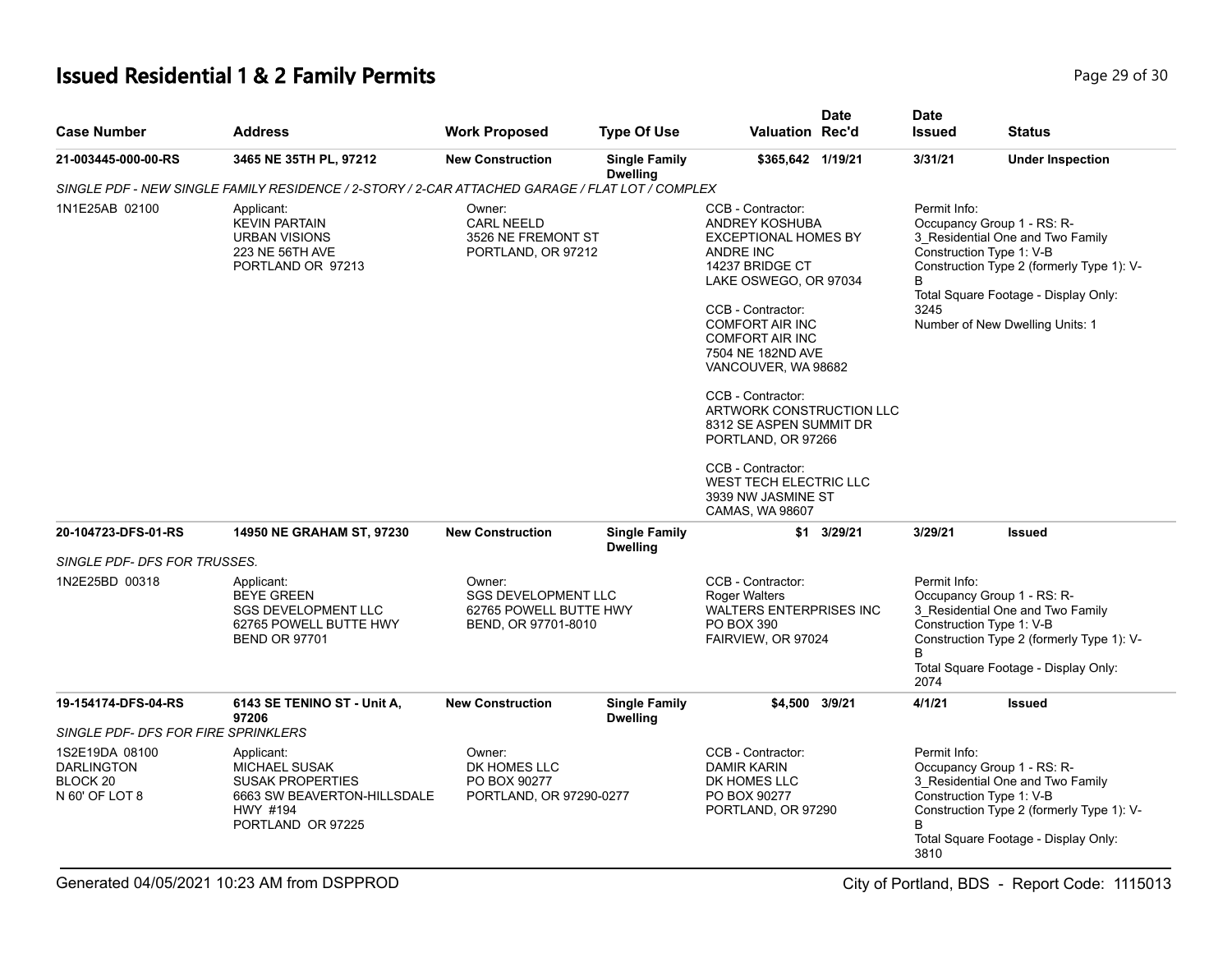# **Issued Residential 1 & 2 Family Permits Page 29 of 30 Page 29 of 30**

| <b>Case Number</b>                                                           | <b>Address</b>                                                                                                                | <b>Work Proposed</b>                                                                  | Type Of Use                             | <b>Valuation Rec'd</b>                                                                                                                                                                                                                                                                                                                                                                                                                                          | <b>Date</b> | <b>Date</b><br><b>Issued</b>                          | <b>Status</b>                                                                                                                                                                          |
|------------------------------------------------------------------------------|-------------------------------------------------------------------------------------------------------------------------------|---------------------------------------------------------------------------------------|-----------------------------------------|-----------------------------------------------------------------------------------------------------------------------------------------------------------------------------------------------------------------------------------------------------------------------------------------------------------------------------------------------------------------------------------------------------------------------------------------------------------------|-------------|-------------------------------------------------------|----------------------------------------------------------------------------------------------------------------------------------------------------------------------------------------|
| 21-003445-000-00-RS                                                          | 3465 NE 35TH PL, 97212                                                                                                        | <b>New Construction</b>                                                               | <b>Single Family</b>                    | \$365,642 1/19/21                                                                                                                                                                                                                                                                                                                                                                                                                                               |             | 3/31/21                                               | <b>Under Inspection</b>                                                                                                                                                                |
|                                                                              | SINGLE PDF - NEW SINGLE FAMILY RESIDENCE / 2-STORY / 2-CAR ATTACHED GARAGE / FLAT LOT / COMPLEX                               |                                                                                       | <b>Dwelling</b>                         |                                                                                                                                                                                                                                                                                                                                                                                                                                                                 |             |                                                       |                                                                                                                                                                                        |
| 1N1E25AB 02100                                                               | Applicant:<br><b>KEVIN PARTAIN</b><br><b>URBAN VISIONS</b><br>223 NE 56TH AVE<br>PORTLAND OR 97213                            | Owner:<br><b>CARL NEELD</b><br>3526 NE FREMONT ST<br>PORTLAND, OR 97212               |                                         | CCB - Contractor:<br><b>ANDREY KOSHUBA</b><br><b>EXCEPTIONAL HOMES BY</b><br>ANDRE INC<br>14237 BRIDGE CT<br>LAKE OSWEGO, OR 97034<br>CCB - Contractor:<br><b>COMFORT AIR INC</b><br><b>COMFORT AIR INC</b><br>7504 NE 182ND AVE<br>VANCOUVER, WA 98682<br>CCB - Contractor:<br>ARTWORK CONSTRUCTION LLC<br>8312 SE ASPEN SUMMIT DR<br>PORTLAND, OR 97266<br>CCB - Contractor:<br><b>WEST TECH ELECTRIC LLC</b><br>3939 NW JASMINE ST<br><b>CAMAS, WA 98607</b> |             | Permit Info:<br>Construction Type 1: V-B<br>B<br>3245 | Occupancy Group 1 - RS: R-<br>3_Residential One and Two Family<br>Construction Type 2 (formerly Type 1): V-<br>Total Square Footage - Display Only:<br>Number of New Dwelling Units: 1 |
| 20-104723-DFS-01-RS                                                          | 14950 NE GRAHAM ST, 97230                                                                                                     | <b>New Construction</b>                                                               | <b>Single Family</b><br><b>Dwelling</b> | \$1                                                                                                                                                                                                                                                                                                                                                                                                                                                             | 3/29/21     | 3/29/21                                               | <b>Issued</b>                                                                                                                                                                          |
| SINGLE PDF- DFS FOR TRUSSES.                                                 |                                                                                                                               |                                                                                       |                                         |                                                                                                                                                                                                                                                                                                                                                                                                                                                                 |             |                                                       |                                                                                                                                                                                        |
| 1N2E25BD 00318                                                               | Applicant:<br><b>BEYE GREEN</b><br><b>SGS DEVELOPMENT LLC</b><br>62765 POWELL BUTTE HWY<br><b>BEND OR 97701</b>               | Owner:<br><b>SGS DEVELOPMENT LLC</b><br>62765 POWELL BUTTE HWY<br>BEND, OR 97701-8010 |                                         | CCB - Contractor:<br><b>Roger Walters</b><br><b>WALTERS ENTERPRISES INC</b><br>PO BOX 390<br>FAIRVIEW, OR 97024                                                                                                                                                                                                                                                                                                                                                 |             | Permit Info:<br>Construction Type 1: V-B<br>B<br>2074 | Occupancy Group 1 - RS: R-<br>3 Residential One and Two Family<br>Construction Type 2 (formerly Type 1): V-<br>Total Square Footage - Display Only:                                    |
| 19-154174-DFS-04-RS                                                          | 6143 SE TENINO ST - Unit A,<br>97206                                                                                          | <b>New Construction</b>                                                               | <b>Single Family</b><br><b>Dwelling</b> | \$4,500 3/9/21                                                                                                                                                                                                                                                                                                                                                                                                                                                  |             | 4/1/21                                                | <b>Issued</b>                                                                                                                                                                          |
| SINGLE PDF- DFS FOR FIRE SPRINKLERS                                          |                                                                                                                               |                                                                                       |                                         |                                                                                                                                                                                                                                                                                                                                                                                                                                                                 |             |                                                       |                                                                                                                                                                                        |
| 1S2E19DA 08100<br><b>DARLINGTON</b><br>BLOCK <sub>20</sub><br>N 60' OF LOT 8 | Applicant:<br><b>MICHAEL SUSAK</b><br><b>SUSAK PROPERTIES</b><br>6663 SW BEAVERTON-HILLSDALE<br>HWY #194<br>PORTLAND OR 97225 | Owner:<br>DK HOMES LLC<br>PO BOX 90277<br>PORTLAND, OR 97290-0277                     |                                         | CCB - Contractor:<br><b>DAMIR KARIN</b><br>DK HOMES LLC<br>PO BOX 90277<br>PORTLAND, OR 97290                                                                                                                                                                                                                                                                                                                                                                   |             | Permit Info:<br>Construction Type 1: V-B<br>3810      | Occupancy Group 1 - RS: R-<br>3 Residential One and Two Family<br>Construction Type 2 (formerly Type 1): V-<br>Total Square Footage - Display Only:                                    |